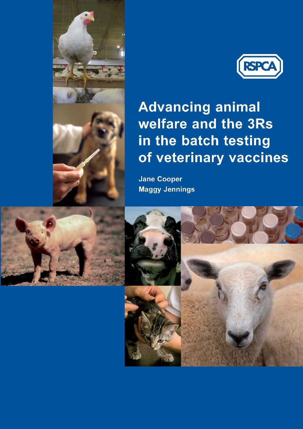



# **Advancing animal** welfare and the 3Rs in the batch testing of veterinary vaccines

**Jane Cooper Maggy Jennings** 



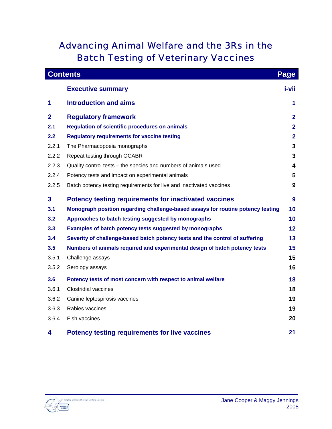## Advancing Animal Welfare and the 3Rs in the Batch Testing of Veterinary Vaccines

|              | <b>Contents</b>                                                                 | Page                    |
|--------------|---------------------------------------------------------------------------------|-------------------------|
|              | <b>Executive summary</b>                                                        | i-vii                   |
| 1            | <b>Introduction and aims</b>                                                    | 1                       |
| $\mathbf{2}$ | <b>Regulatory framework</b>                                                     | $\mathbf{2}$            |
| 2.1          | <b>Regulation of scientific procedures on animals</b>                           | $\overline{2}$          |
| 2.2          | <b>Regulatory requirements for vaccine testing</b>                              | $\overline{2}$          |
| 2.2.1        | The Pharmacopoeia monographs                                                    | 3                       |
| 2.2.2        | Repeat testing through OCABR                                                    | 3                       |
| 2.2.3        | Quality control tests - the species and numbers of animals used                 | $\overline{\mathbf{4}}$ |
| 2.2.4        | Potency tests and impact on experimental animals                                | 5                       |
| 2.2.5        | Batch potency testing requirements for live and inactivated vaccines            | 9                       |
| $\mathbf{3}$ | <b>Potency testing requirements for inactivated vaccines</b>                    | 9                       |
| 3.1          | Monograph position regarding challenge-based assays for routine potency testing | 10                      |
| 3.2          | Approaches to batch testing suggested by monographs                             | 10                      |
| 3.3          | Examples of batch potency tests suggested by monographs                         | 12                      |
| 3.4          | Severity of challenge-based batch potency tests and the control of suffering    | 13                      |
| 3.5          | Numbers of animals required and experimental design of batch potency tests      | 15                      |
| 3.5.1        | Challenge assays                                                                | 15                      |
| 3.5.2        | Serology assays                                                                 | 16                      |
| 3.6          | Potency tests of most concern with respect to animal welfare                    | 18                      |
| 3.6.1        | <b>Clostridial vaccines</b>                                                     | 18                      |
| 3.6.2        | Canine leptospirosis vaccines                                                   | 19                      |
| 3.6.3        | Rabies vaccines                                                                 | 19                      |
| 3.6.4        | Fish vaccines                                                                   | 20                      |
| 4            | <b>Potency testing requirements for live vaccines</b>                           | 21                      |

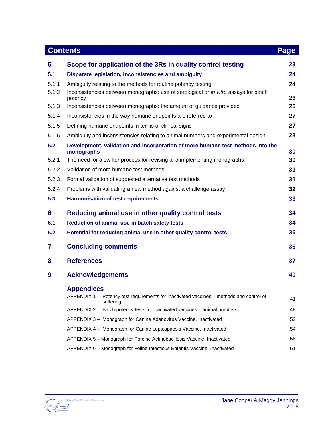|       | <b>Contents</b>                                                                                       | Page     |
|-------|-------------------------------------------------------------------------------------------------------|----------|
| 5     | Scope for application of the 3Rs in quality control testing                                           | 23       |
| 5.1   | Disparate legislation, inconsistencies and ambiguity                                                  | 24       |
| 5.1.1 | Ambiguity relating to the methods for routine potency testing                                         | 24       |
| 5.1.2 | Inconsistencies between monographs: use of serological or in vitro assays for batch<br>potency        | 26       |
| 5.1.3 | Inconsistencies between monographs: the amount of guidance provided                                   | 26       |
| 5.1.4 | Inconsistencies in the way humane endpoints are referred to                                           | 27       |
| 5.1.5 | Defining humane endpoints in terms of clinical signs                                                  | 27       |
| 5.1.6 | Ambiguity and inconsistencies relating to animal numbers and experimental design                      | 28       |
| 5.2   | Development, validation and incorporation of more humane test methods into the                        |          |
| 5.2.1 | monographs<br>The need for a swifter process for revising and implementing monographs                 | 30<br>30 |
| 5.2.2 | Validation of more humane test methods                                                                | 31       |
| 5.2.3 | Formal validation of suggested alternative test methods                                               | 31       |
| 5.2.4 |                                                                                                       |          |
|       | Problems with validating a new method against a challenge assay                                       | 32       |
| 5.3   | <b>Harmonisation of test requirements</b>                                                             | 33       |
| 6     | Reducing animal use in other quality control tests                                                    | 34       |
| 6.1   | Reduction of animal use in batch safety tests                                                         | 34       |
| 6.2   | Potential for reducing animal use in other quality control tests                                      | 36       |
| 7     | <b>Concluding comments</b>                                                                            | 36       |
| 8     | <b>References</b>                                                                                     | 37       |
| 9     | <b>Acknowledgements</b>                                                                               | 40       |
|       | <b>Appendices</b>                                                                                     |          |
|       | APPENDIX 1 - Potency test requirements for inactivated vaccines - methods and control of<br>suffering | 41       |
|       | APPENDIX 2 - Batch potency tests for inactivated vaccines - animal numbers                            | 48       |
|       | APPENDIX 3 - Monograph for Canine Adenovirus Vaccine, Inactivated                                     | 52       |
|       | APPENDIX 4 - Monograph for Canine Leptospirosis Vaccine, Inactivated                                  | 54       |
|       | APPENDIX 5 - Monograph for Porcine Actinobacillosis Vaccine, Inactivated                              | 58       |
|       | APPENDIX 6 - Monograph for Feline Infectious Enteritis Vaccine, Inactivated                           | 61       |

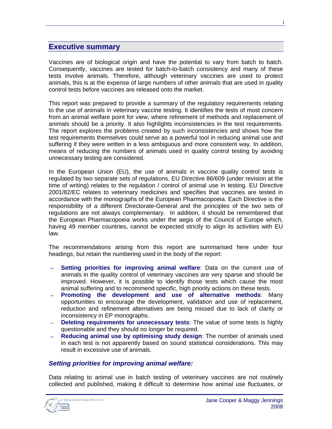## **Executive summary**

Vaccines are of biological origin and have the potential to vary from batch to batch. Consequently, vaccines are tested for batch-to-batch consistency and many of these tests involve animals. Therefore, although veterinary vaccines are used to protect animals, this is at the expense of large numbers of other animals that are used in quality control tests before vaccines are released onto the market.

This report was prepared to provide a summary of the regulatory requirements relating to the use of animals in veterinary vaccine testing. It identifies the tests of most concern from an animal welfare point for view, where refinement of methods and replacement of animals should be a priority. It also highlights inconsistencies in the test requirements. The report explores the problems created by such inconsistencies and shows how the test requirements themselves could serve as a powerful tool in reducing animal use and suffering if they were written in a less ambiguous and more consistent way. In addition, means of reducing the numbers of animals used in quality control testing by avoiding unnecessary testing are considered.

In the European Union (EU), the use of animals in vaccine quality control tests is regulated by two separate sets of regulations. EU Directive 86/609 (under revision at the time of writing) relates to the regulation / control of animal use in testing. EU Directive 2001/82/EC relates to veterinary medicines and specifies that vaccines are tested in accordance with the monographs of the European Pharmacopoeia. Each Directive is the responsibility of a different Directorate-General and the principles of the two sets of regulations are not always complementary. In addition, it should be remembered that the European Pharmacopoeia works under the aegis of the Council of Europe which, having 49 member countries, cannot be expected strictly to align its activities with EU law.

The recommendations arising from this report are summarised here under four headings, but retain the numbering used in the body of the report:

- − **Setting priorities for improving animal welfare**: Data on the current use of animals in the quality control of veterinary vaccines are very sparse and should be improved. However, it is possible to identify those tests which cause the most animal suffering and to recommend specific, high priority actions on these tests.
- − **Promoting the development and use of alternative methods**: Many opportunities to encourage the development, validation and use of replacement, reduction and refinement alternatives are being missed due to lack of clarity or inconsistency in EP monographs.
- − **Deleting requirements for unnecessary tests**: The value of some tests is highly questionable and they should no longer be required.
- − **Reducing animal use by optimising study design**: The number of animals used in each test is not apparently based on sound statistical considerations. This may result in excessive use of animals.

#### *Setting priorities for improving animal welfare:*

Data relating to animal use in batch testing of veterinary vaccines are not routinely collected and published, making it difficult to determine how animal use fluctuates, or

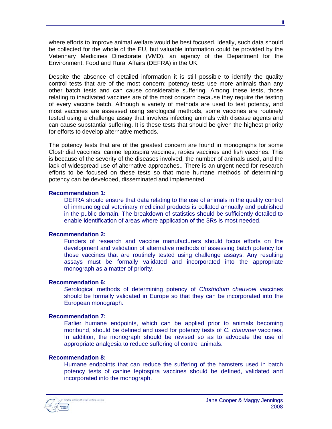where efforts to improve animal welfare would be best focused. Ideally, such data should be collected for the whole of the EU, but valuable information could be provided by the Veterinary Medicines Directorate (VMD), an agency of the Department for the Environment, Food and Rural Affairs (DEFRA) in the UK.

Despite the absence of detailed information it is still possible to identify the quality control tests that are of the most concern: potency tests use more animals than any other batch tests and can cause considerable suffering. Among these tests, those relating to inactivated vaccines are of the most concern because they require the testing of every vaccine batch. Although a variety of methods are used to test potency, and most vaccines are assessed using serological methods, some vaccines are routinely tested using a challenge assay that involves infecting animals with disease agents and can cause substantial suffering. It is these tests that should be given the highest priority for efforts to develop alternative methods.

The potency tests that are of the greatest concern are found in monographs for some Clostridial vaccines, canine leptospira vaccines, rabies vaccines and fish vaccines. This is because of the severity of the diseases involved, the number of animals used, and the lack of widespread use of alternative approaches,. There is an urgent need for research efforts to be focused on these tests so that more humane methods of determining potency can be developed, disseminated and implemented.

#### **Recommendation 1:**

DEFRA should ensure that data relating to the use of animals in the quality control of immunological veterinary medicinal products is collated annually and published in the public domain. The breakdown of statistics should be sufficiently detailed to enable identification of areas where application of the 3Rs is most needed.

#### **Recommendation 2:**

Funders of research and vaccine manufacturers should focus efforts on the development and validation of alternative methods of assessing batch potency for those vaccines that are routinely tested using challenge assays. Any resulting assays must be formally validated and incorporated into the appropriate monograph as a matter of priority.

#### **Recommendation 6:**

Serological methods of determining potency of *Clostridium chauvoei* vaccines should be formally validated in Europe so that they can be incorporated into the European monograph.

#### **Recommendation 7:**

Earlier humane endpoints, which can be applied prior to animals becoming moribund, should be defined and used for potency tests of *C. chauvoei* vaccines. In addition, the monograph should be revised so as to advocate the use of appropriate analgesia to reduce suffering of control animals.

#### **Recommendation 8:**

Humane endpoints that can reduce the suffering of the hamsters used in batch potency tests of canine leptospira vaccines should be defined, validated and incorporated into the monograph.

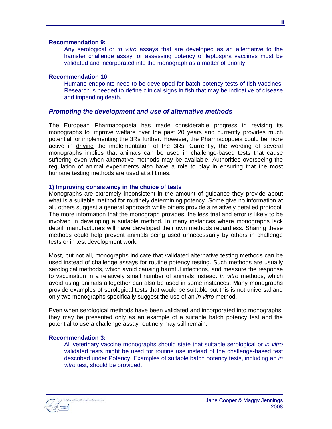#### **Recommendation 9:**

Any serological or *in vitro* assays that are developed as an alternative to the hamster challenge assay for assessing potency of leptospira vaccines must be validated and incorporated into the monograph as a matter of priority.

#### **Recommendation 10:**

Humane endpoints need to be developed for batch potency tests of fish vaccines. Research is needed to define clinical signs in fish that may be indicative of disease and impending death.

#### *Promoting the development and use of alternative methods*

The European Pharmacopoeia has made considerable progress in revising its monographs to improve welfare over the past 20 years and currently provides much potential for implementing the 3Rs further. However, the Pharmacopoeia could be more active in driving the implementation of the 3Rs. Currently, the wording of several monographs implies that animals can be used in challenge-based tests that cause suffering even when alternative methods may be available. Authorities overseeing the regulation of animal experiments also have a role to play in ensuring that the most humane testing methods are used at all times.

#### **1) Improving consistency in the choice of tests**

Monographs are extremely inconsistent in the amount of guidance they provide about what is a suitable method for routinely determining potency. Some give no information at all, others suggest a general approach while others provide a relatively detailed protocol. The more information that the monograph provides, the less trial and error is likely to be involved in developing a suitable method. In many instances where monographs lack detail, manufacturers will have developed their own methods regardless. Sharing these methods could help prevent animals being used unnecessarily by others in challenge tests or in test development work.

Most, but not all, monographs indicate that validated alternative testing methods can be used instead of challenge assays for routine potency testing. Such methods are usually serological methods, which avoid causing harmful infections, and measure the response to vaccination in a relatively small number of animals instead. *In vitro* methods, which avoid using animals altogether can also be used in some instances. Many monographs provide examples of serological tests that would be suitable but this is not universal and only two monographs specifically suggest the use of an *in vitro* method.

Even when serological methods have been validated and incorporated into monographs, they may be presented only as an example of a suitable batch potency test and the potential to use a challenge assay routinely may still remain.

#### **Recommendation 3:**

All veterinary vaccine monographs should state that suitable serological or *in vitro* validated tests might be used for routine use instead of the challenge-based test described under Potency. Examples of suitable batch potency tests, including an *in vitro* test, should be provided.

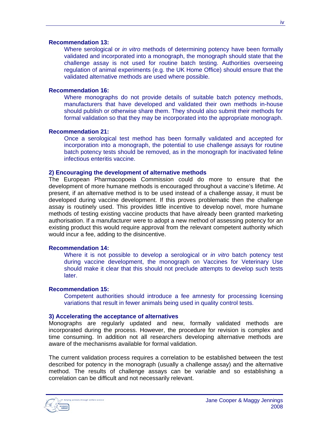#### **Recommendation 13:**

Where serological or *in vitro* methods of determining potency have been formally validated and incorporated into a monograph, the monograph should state that the challenge assay is not used for routine batch testing. Authorities overseeing regulation of animal experiments (e.g. the UK Home Office) should ensure that the validated alternative methods are used where possible.

#### **Recommendation 16:**

Where monographs do not provide details of suitable batch potency methods, manufacturers that have developed and validated their own methods in-house should publish or otherwise share them. They should also submit their methods for formal validation so that they may be incorporated into the appropriate monograph.

#### **Recommendation 21:**

Once a serological test method has been formally validated and accepted for incorporation into a monograph, the potential to use challenge assays for routine batch potency tests should be removed, as in the monograph for inactivated feline infectious enteritis vaccine.

#### **2) Encouraging the development of alternative methods**

The European Pharmacopoeia Commission could do more to ensure that the development of more humane methods is encouraged throughout a vaccine's lifetime. At present, if an alternative method is to be used instead of a challenge assay, it must be developed during vaccine development. If this proves problematic then the challenge assay is routinely used. This provides little incentive to develop novel, more humane methods of testing existing vaccine products that have already been granted marketing authorisation. If a manufacturer were to adopt a new method of assessing potency for an existing product this would require approval from the relevant competent authority which would incur a fee, adding to the disincentive.

#### **Recommendation 14:**

Where it is not possible to develop a serological or *in vitro* batch potency test during vaccine development, the monograph on Vaccines for Veterinary Use should make it clear that this should not preclude attempts to develop such tests later.

#### **Recommendation 15:**

Competent authorities should introduce a fee amnesty for processing licensing variations that result in fewer animals being used in quality control tests.

#### **3) Accelerating the acceptance of alternatives**

Monographs are regularly updated and new, formally validated methods are incorporated during the process. However, the procedure for revision is complex and time consuming. In addition not all researchers developing alternative methods are aware of the mechanisms available for formal validation.

The current validation process requires a correlation to be established between the test described for potency in the monograph (usually a challenge assay) and the alternative method. The results of challenge assays can be variable and so establishing a correlation can be difficult and not necessarily relevant.

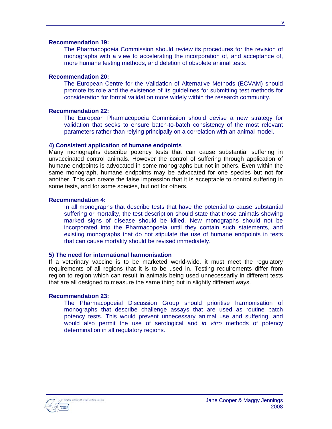#### **Recommendation 19:**

The Pharmacopoeia Commission should review its procedures for the revision of monographs with a view to accelerating the incorporation of, and acceptance of, more humane testing methods, and deletion of obsolete animal tests.

#### **Recommendation 20:**

The European Centre for the Validation of Alternative Methods (ECVAM) should promote its role and the existence of its guidelines for submitting test methods for consideration for formal validation more widely within the research community.

#### **Recommendation 22:**

The European Pharmacopoeia Commission should devise a new strategy for validation that seeks to ensure batch-to-batch consistency of the most relevant parameters rather than relying principally on a correlation with an animal model.

#### **4) Consistent application of humane endpoints**

Many monographs describe potency tests that can cause substantial suffering in unvaccinated control animals. However the control of suffering through application of humane endpoints is advocated in some monographs but not in others. Even within the same monograph, humane endpoints may be advocated for one species but not for another. This can create the false impression that it is acceptable to control suffering in some tests, and for some species, but not for others.

#### **Recommendation 4:**

In all monographs that describe tests that have the potential to cause substantial suffering or mortality, the test description should state that those animals showing marked signs of disease should be killed. New monographs should not be incorporated into the Pharmacopoeia until they contain such statements, and existing monographs that do not stipulate the use of humane endpoints in tests that can cause mortality should be revised immediately.

#### **5) The need for international harmonisation**

If a veterinary vaccine is to be marketed world-wide, it must meet the regulatory requirements of all regions that it is to be used in. Testing requirements differ from region to region which can result in animals being used unnecessarily in different tests that are all designed to measure the same thing but in slightly different ways.

#### **Recommendation 23:**

The Pharmacopoeial Discussion Group should prioritise harmonisation of monographs that describe challenge assays that are used as routine batch potency tests. This would prevent unnecessary animal use and suffering, and would also permit the use of serological and *in vitro* methods of potency determination in all regulatory regions.

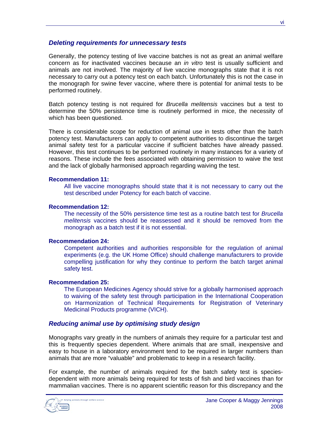#### *Deleting requirements for unnecessary tests*

Generally, the potency testing of live vaccine batches is not as great an animal welfare concern as for inactivated vaccines because an *in vitro* test is usually sufficient and animals are not involved. The majority of live vaccine monographs state that it is not necessary to carry out a potency test on each batch. Unfortunately this is not the case in the monograph for swine fever vaccine, where there is potential for animal tests to be performed routinely.

Batch potency testing is not required for *Brucella melitensis* vaccines but a test to determine the 50% persistence time is routinely performed in mice, the necessity of which has been questioned.

There is considerable scope for reduction of animal use in tests other than the batch potency test. Manufacturers can apply to competent authorities to discontinue the target animal safety test for a particular vaccine if sufficient batches have already passed. However, this test continues to be performed routinely in many instances for a variety of reasons. These include the fees associated with obtaining permission to waive the test and the lack of globally harmonised approach regarding waiving the test.

#### **Recommendation 11:**

All live vaccine monographs should state that it is not necessary to carry out the test described under Potency for each batch of vaccine.

#### **Recommendation 12:**

The necessity of the 50% persistence time test as a routine batch test for *Brucella melitensis* vaccines should be reassessed and it should be removed from the monograph as a batch test if it is not essential.

#### **Recommendation 24:**

Competent authorities and authorities responsible for the regulation of animal experiments (e.g. the UK Home Office) should challenge manufacturers to provide compelling justification for why they continue to perform the batch target animal safety test.

#### **Recommendation 25:**

The European Medicines Agency should strive for a globally harmonised approach to waiving of the safety test through participation in the International Cooperation on Harmonization of Technical Requirements for Registration of Veterinary Medicinal Products programme (VICH).

#### *Reducing animal use by optimising study design*

Monographs vary greatly in the numbers of animals they require for a particular test and this is frequently species dependent. Where animals that are small, inexpensive and easy to house in a laboratory environment tend to be required in larger numbers than animals that are more "valuable" and problematic to keep in a research facility.

For example, the number of animals required for the batch safety test is speciesdependent with more animals being required for tests of fish and bird vaccines than for mammalian vaccines. There is no apparent scientific reason for this discrepancy and the

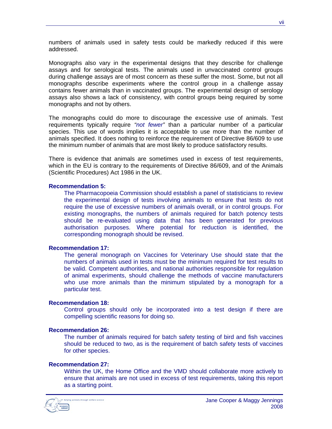numbers of animals used in safety tests could be markedly reduced if this were addressed.

Monographs also vary in the experimental designs that they describe for challenge assays and for serological tests. The animals used in unvaccinated control groups during challenge assays are of most concern as these suffer the most. Some, but not all monographs describe experiments where the control group in a challenge assay contains fewer animals than in vaccinated groups. The experimental design of serology assays also shows a lack of consistency, with control groups being required by some monographs and not by others.

The monographs could do more to discourage the excessive use of animals. Test requirements typically require *"not fewer"* than a particular number of a particular species. This use of words implies it is acceptable to use more than the number of animals specified. It does nothing to reinforce the requirement of Directive 86/609 to use the minimum number of animals that are most likely to produce satisfactory results.

There is evidence that animals are sometimes used in excess of test requirements, which in the EU is contrary to the requirements of Directive 86/609, and of the Animals (Scientific Procedures) Act 1986 in the UK.

#### **Recommendation 5:**

The Pharmacopoeia Commission should establish a panel of statisticians to review the experimental design of tests involving animals to ensure that tests do not require the use of excessive numbers of animals overall, or in control groups. For existing monographs, the numbers of animals required for batch potency tests should be re-evaluated using data that has been generated for previous authorisation purposes. Where potential for reduction is identified, the corresponding monograph should be revised.

#### **Recommendation 17:**

The general monograph on Vaccines for Veterinary Use should state that the numbers of animals used in tests must be the minimum required for test results to be valid. Competent authorities, and national authorities responsible for regulation of animal experiments, should challenge the methods of vaccine manufacturers who use more animals than the minimum stipulated by a monograph for a particular test.

#### **Recommendation 18:**

Control groups should only be incorporated into a test design if there are compelling scientific reasons for doing so.

#### **Recommendation 26:**

The number of animals required for batch safety testing of bird and fish vaccines should be reduced to two, as is the requirement of batch safety tests of vaccines for other species.

#### **Recommendation 27:**

Within the UK, the Home Office and the VMD should collaborate more actively to ensure that animals are not used in excess of test requirements, taking this report as a starting point.

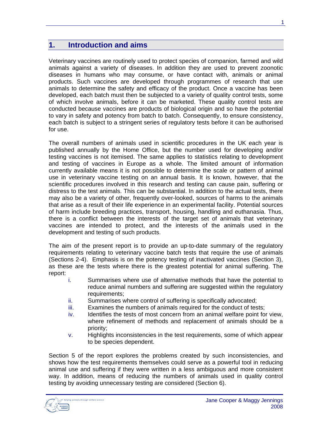## **1. Introduction and aims**

Veterinary vaccines are routinely used to protect species of companion, farmed and wild animals against a variety of diseases. In addition they are used to prevent zoonotic diseases in humans who may consume, or have contact with, animals or animal products. Such vaccines are developed through programmes of research that use animals to determine the safety and efficacy of the product. Once a vaccine has been developed, each batch must then be subjected to a variety of quality control tests, some of which involve animals, before it can be marketed. These quality control tests are conducted because vaccines are products of biological origin and so have the potential to vary in safety and potency from batch to batch. Consequently, to ensure consistency, each batch is subject to a stringent series of regulatory tests before it can be authorised for use.

The overall numbers of animals used in scientific procedures in the UK each year is published annually by the Home Office, but the number used for developing and/or testing vaccines is not itemised. The same applies to statistics relating to development and testing of vaccines in Europe as a whole. The limited amount of information currently available means it is not possible to determine the scale or pattern of animal use in veterinary vaccine testing on an annual basis. It is known, however, that the scientific procedures involved in this research and testing can cause pain, suffering or distress to the test animals. This can be substantial. In addition to the actual tests, there may also be a variety of other, frequently over-looked, sources of harms to the animals that arise as a result of their life experience in an experimental facility. Potential sources of harm include breeding practices, transport, housing, handling and euthanasia. Thus, there is a conflict between the interests of the target set of animals that veterinary vaccines are intended to protect, and the interests of the animals used in the development and testing of such products.

The aim of the present report is to provide an up-to-date summary of the regulatory requirements relating to veterinary vaccine batch tests that require the use of animals (Sections 2-4). Emphasis is on the potency testing of inactivated vaccines (Section 3), as these are the tests where there is the greatest potential for animal suffering. The report:

- i. Summarises where use of alternative methods that have the potential to reduce animal numbers and suffering are suggested within the regulatory requirements;
- ii. Summarises where control of suffering is specifically advocated;
- iii. Examines the numbers of animals required for the conduct of tests;
- iv. Identifies the tests of most concern from an animal welfare point for view, where refinement of methods and replacement of animals should be a priority;
- v. Highlights inconsistencies in the test requirements, some of which appear to be species dependent.

Section 5 of the report explores the problems created by such inconsistencies, and shows how the test requirements themselves could serve as a powerful tool in reducing animal use and suffering if they were written in a less ambiguous and more consistent way. In addition, means of reducing the numbers of animals used in quality control testing by avoiding unnecessary testing are considered (Section 6).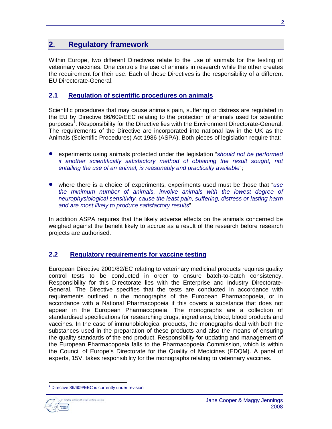## **2. Regulatory framework**

Within Europe, two different Directives relate to the use of animals for the testing of veterinary vaccines. One controls the use of animals in research while the other creates the requirement for their use. Each of these Directives is the responsibility of a different EU Directorate-General.

## **2.1 Regulation of scientific procedures on animals**

Scientific procedures that may cause animals pain, suffering or distress are regulated in the EU by Directive 86/609/EEC relating to the protection of animals used for scientific purposes<sup>1</sup>. Responsibility for the Directive lies with the Environment Directorate-General. The requirements of the Directive are incorporated into national law in the UK as the Animals (Scientific Procedures) Act 1986 (ASPA). Both pieces of legislation require that:

- experiments using animals protected under the legislation "*should not be performed if another scientifically satisfactory method of obtaining the result sought, not entailing the use of an animal, is reasonably and practically available*";
- where there is a choice of experiments, experiments used must be those that "*use the minimum number of animals, involve animals with the lowest degree of neurophysiological sensitivity, cause the least pain, suffering, distress or lasting harm and are most likely to produce satisfactory results*"

In addition ASPA requires that the likely adverse effects on the animals concerned be weighed against the benefit likely to accrue as a result of the research before research projects are authorised.

## **2.2 Regulatory requirements for vaccine testing**

European Directive 2001/82/EC relating to veterinary medicinal products requires quality control tests to be conducted in order to ensure batch-to-batch consistency. Responsibility for this Directorate lies with the Enterprise and Industry Directorate-General. The Directive specifies that the tests are conducted in accordance with requirements outlined in the monographs of the European Pharmacopoeia, or in accordance with a National Pharmacopoeia if this covers a substance that does not appear in the European Pharmacopoeia. The monographs are a collection of standardised specifications for researching drugs, ingredients, blood, blood products and vaccines. In the case of immunobiological products, the monographs deal with both the substances used in the preparation of these products and also the means of ensuring the quality standards of the end product. Responsibility for updating and management of the European Pharmacopoeia falls to the Pharmacopoeia Commission, which is within the Council of Europe's Directorate for the Quality of Medicines (EDQM). A panel of experts, 15V, takes responsibility for the monographs relating to veterinary vaccines.

<span id="page-11-0"></span> $\overline{a}$ Directive 86/609/EEC is currently under revision

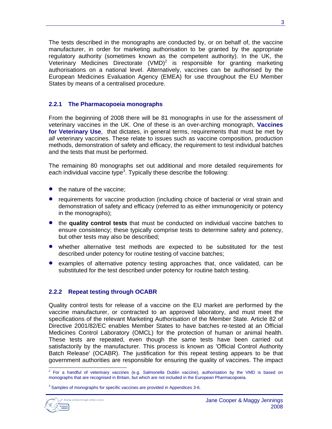The tests described in the monographs are conducted by, or on behalf of, the vaccine manufacturer, in order for marketing authorisation to be granted by the appropriate regulatory authority (sometimes known as the competent authority). In the UK, the Veterinary Medicines Directorate (VMD)<sup>[2](#page-12-0)</sup> is responsible for granting marketing authorisations on a national level. Alternatively, vaccines can be authorised by the European Medicines Evaluation Agency (EMEA) for use throughout the EU Member States by means of a centralised procedure.

#### **2.2.1 The Pharmacopoeia monographs**

From the beginning of 2008 there will be 81 monographs in use for the assessment of veterinary vaccines in the UK. One of these is an over-arching monograph, **Vaccines for Veterinary Use**, that dictates, in general terms, requirements that must be met by *all* veterinary vaccines. These relate to issues such as vaccine composition, production methods, demonstration of safety and efficacy, the requirement to test individual batches and the tests that must be performed.

The remaining 80 monographs set out additional and more detailed requirements for each individual vaccine type<sup>[3](#page-12-1)</sup>. Typically these describe the following:

- the nature of the vaccine:
- requirements for vaccine production (including choice of bacterial or viral strain and demonstration of safety and efficacy (referred to as either immunogenicity or potency in the monographs);
- the **quality control tests** that must be conducted on individual vaccine batches to ensure consistency; these typically comprise tests to determine safety and potency, but other tests may also be described;
- whether alternative test methods are expected to be substituted for the test described under potency for routine testing of vaccine batches;
- examples of alternative potency testing approaches that, once validated, can be substituted for the test described under potency for routine batch testing.

#### **2.2.2 Repeat testing through OCABR**

Quality control tests for release of a vaccine on the EU market are performed by the vaccine manufacturer, or contracted to an approved laboratory, and must meet the specifications of the relevant Marketing Authorisation of the Member State. Article 82 of Directive 2001/82/EC enables Member States to have batches re-tested at an Official Medicines Control Laboratory (OMCL) for the protection of human or animal health. These tests are repeated, even though the same tests have been carried out satisfactorily by the manufacturer. This process is known as 'Official Control Authority Batch Release' (OCABR). The justification for this repeat testing appears to be that government authorities are responsible for ensuring the quality of vaccines. The impact

<span id="page-12-1"></span><sup>&</sup>lt;sup>3</sup> Samples of monographs for specific vaccines are provided in Appendices 3-6.



 $\overline{a}$ 

<span id="page-12-0"></span><sup>2</sup> For a handful of veterinary vaccines (e.g. *Salmonella* Dublin vaccine), authorisation by the VMD is based on monographs that are recognised in Britain, but which are not included in the European Pharmacopoeia.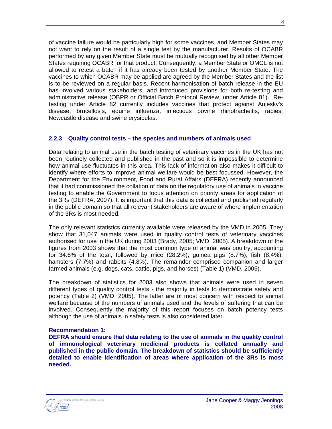of vaccine failure would be particularly high for some vaccines, and Member States may not want to rely on the result of a single test by the manufacturer. Results of OCABR performed by any given Member State must be mutually recognised by all other Member States requiring OCABR for that product. Consequently, a Member State or OMCL is not allowed to retest a batch if it has already been tested by another Member State. The vaccines to which OCABR may be applied are agreed by the Member States and the list is to be reviewed on a regular basis. Recent harmonisation of batch release in the EU has involved various stakeholders, and introduced provisions for both re-testing and administrative release (OBPR or Official Batch Protocol Review, under Article 81). Retesting under Article 82 currently includes vaccines that protect against Aujesky's disease, brucellosis, equine influenza, infectious bovine rhinotracheitis, rabies, Newcastle disease and swine erysipelas.

#### **2.2.3 Quality control tests – the species and numbers of animals used**

Data relating to animal use in the batch testing of veterinary vaccines in the UK has not been routinely collected and published in the past and so it is impossible to determine how animal use fluctuates in this area. This lack of information also makes it difficult to identify where efforts to improve animal welfare would be best focussed. However, the Department for the Environment, Food and Rural Affairs (DEFRA) recently announced that it had commissioned the collation of data on the regulatory use of animals in vaccine testing to enable the Government to focus attention on priority areas for application of the 3Rs (DEFRA, 2007). It is important that this data is collected and published regularly in the public domain so that all relevant stakeholders are aware of where implementation of the 3Rs is most needed.

The only relevant statistics currently available were released by the VMD in 2005. They show that 31,047 animals were used in quality control tests of veterinary vaccines authorised for use in the UK during 2003 (Brady, 2005; VMD, 2005). A breakdown of the figures from 2003 shows that the most common type of animal was poultry, accounting for 34.6% of the total, followed by mice (28.2%), guinea pigs (8.7%), fish (8.4%), hamsters (7.7%) and rabbits (4.8%). The remainder comprised companion and larger farmed animals (e.g. dogs, cats, cattle, pigs, and horses) (Table 1) (VMD, 2005).

The breakdown of statistics for 2003 also shows that animals were used in seven different types of quality control tests - the majority in tests to demonstrate safety and potency (Table 2) (VMD, 2005). The latter are of most concern with respect to animal welfare because of the numbers of animals used and the levels of suffering that can be involved. Consequently the majority of this report focuses on batch potency tests although the use of animals in safety tests is also considered later.

#### **Recommendation 1:**

**DEFRA should ensure that data relating to the use of animals in the quality control of immunological veterinary medicinal products is collated annually and published in the public domain. The breakdown of statistics should be sufficiently detailed to enable identification of areas where application of the 3Rs is most needed.**

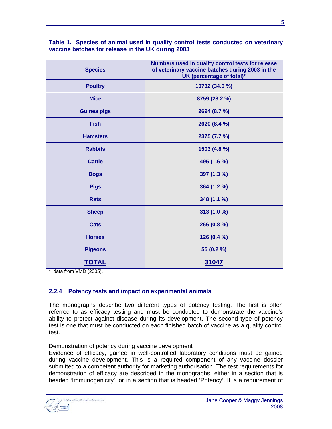| <b>Species</b>     | Numbers used in quality control tests for release<br>of veterinary vaccine batches during 2003 in the<br>UK (percentage of total)* |  |  |  |
|--------------------|------------------------------------------------------------------------------------------------------------------------------------|--|--|--|
| <b>Poultry</b>     | 10732 (34.6 %)                                                                                                                     |  |  |  |
| <b>Mice</b>        | 8759 (28.2 %)                                                                                                                      |  |  |  |
| <b>Guinea pigs</b> | 2694 (8.7 %)                                                                                                                       |  |  |  |
| <b>Fish</b>        | 2620 (8.4 %)                                                                                                                       |  |  |  |
| <b>Hamsters</b>    | 2375 (7.7 %)                                                                                                                       |  |  |  |
| <b>Rabbits</b>     | 1503 (4.8 %)                                                                                                                       |  |  |  |
| <b>Cattle</b>      | 495 (1.6 %)                                                                                                                        |  |  |  |
| <b>Dogs</b>        | 397 (1.3 %)                                                                                                                        |  |  |  |
| <b>Pigs</b>        | 364 (1.2 %)                                                                                                                        |  |  |  |
| <b>Rats</b>        | 348 (1.1 %)                                                                                                                        |  |  |  |
| <b>Sheep</b>       | 313 (1.0 %)                                                                                                                        |  |  |  |
| Cats               | 266 (0.8 %)                                                                                                                        |  |  |  |
| <b>Horses</b>      | 126 (0.4 %)                                                                                                                        |  |  |  |
| <b>Pigeons</b>     | 55 (0.2 %)                                                                                                                         |  |  |  |
| <b>TOTAL</b>       | 31047                                                                                                                              |  |  |  |

#### **Table 1. Species of animal used in quality control tests conducted on veterinary vaccine batches for release in the UK during 2003**

\* data from VMD (2005).

#### **2.2.4 Potency tests and impact on experimental animals**

The monographs describe two different types of potency testing. The first is often referred to as efficacy testing and must be conducted to demonstrate the vaccine's ability to protect against disease during its development. The second type of potency test is one that must be conducted on each finished batch of vaccine as a quality control test.

#### Demonstration of potency during vaccine development

Evidence of efficacy, gained in well-controlled laboratory conditions must be gained during vaccine development. This is a required component of any vaccine dossier submitted to a competent authority for marketing authorisation. The test requirements for demonstration of efficacy are described in the monographs, either in a section that is headed 'Immunogenicity', or in a section that is headed 'Potency'. It is a requirement of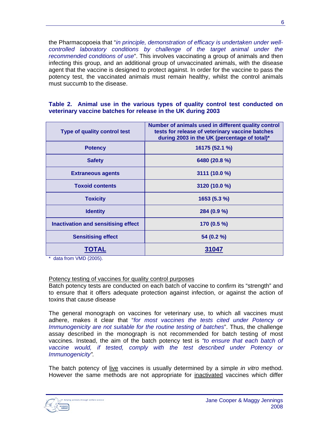the Pharmacopoeia that "*in principle, demonstration of efficacy is undertaken under wellcontrolled laboratory conditions by challenge of the target animal under the recommended conditions of use*". This involves vaccinating a group of animals and then infecting this group, and an additional group of unvaccinated animals, with the disease agent that the vaccine is designed to protect against. In order for the vaccine to pass the potency test, the vaccinated animals must remain healthy, whilst the control animals must succumb to the disease.

#### **Table 2. Animal use in the various types of quality control test conducted on veterinary vaccine batches for release in the UK during 2003**

| <b>Type of quality control test</b>        | Number of animals used in different quality control<br>tests for release of veterinary vaccine batches<br>during 2003 in the UK (percentage of total)* |  |  |  |
|--------------------------------------------|--------------------------------------------------------------------------------------------------------------------------------------------------------|--|--|--|
| <b>Potency</b>                             | 16175 (52.1 %)                                                                                                                                         |  |  |  |
| <b>Safety</b>                              | 6480 (20.8 %)                                                                                                                                          |  |  |  |
| <b>Extraneous agents</b>                   | 3111 (10.0 %)                                                                                                                                          |  |  |  |
| <b>Toxoid contents</b>                     | 3120 (10.0 %)                                                                                                                                          |  |  |  |
| <b>Toxicity</b>                            | 1653(5.3%)                                                                                                                                             |  |  |  |
| <b>Identity</b>                            | 284 (0.9 %)                                                                                                                                            |  |  |  |
| <b>Inactivation and sensitising effect</b> | 170 (0.5 %)                                                                                                                                            |  |  |  |
| <b>Sensitising effect</b>                  | 54 (0.2 %)                                                                                                                                             |  |  |  |
| <b>IOIAL</b>                               | 31047                                                                                                                                                  |  |  |  |

\* data from VMD (2005).

#### Potency testing of vaccines for quality control purposes

Batch potency tests are conducted on each batch of vaccine to confirm its "strength" and to ensure that it offers adequate protection against infection, or against the action of toxins that cause disease

The general monograph on vaccines for veterinary use, to which all vaccines must adhere, makes it clear that "*for most vaccines the tests cited under Potency or Immunogenicity are not suitable for the routine testing of batches*". Thus, the challenge assay described in the monograph is not recommended for batch testing of most vaccines. Instead, the aim of the batch potency test is *"to ensure that each batch of vaccine would, if tested, comply with the test described under Potency or Immunogenicity".*

The batch potency of live vaccines is usually determined by a simple *in vitro* method. However the same methods are not appropriate for inactivated vaccines which differ

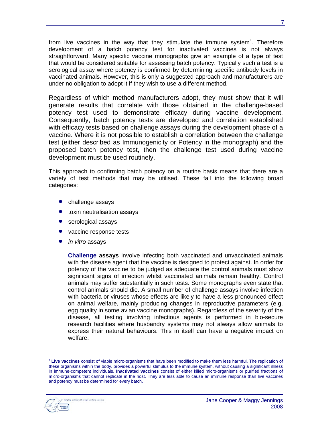from live vaccines in the way that they stimulate the immune system<sup>[4](#page-16-0)</sup>. Therefore development of a batch potency test for inactivated vaccines is not always straightforward. Many specific vaccine monographs give an example of a type of test that would be considered suitable for assessing batch potency. Typically such a test is a serological assay where potency is confirmed by determining specific antibody levels in vaccinated animals. However, this is only a suggested approach and manufacturers are under no obligation to adopt it if they wish to use a different method.

Regardless of which method manufacturers adopt, they must show that it will generate results that correlate with those obtained in the challenge-based potency test used to demonstrate efficacy during vaccine development. Consequently, batch potency tests are developed and correlation established with efficacy tests based on challenge assays during the development phase of a vaccine. Where it is not possible to establish a correlation between the challenge test (either described as Immunogenicity or Potency in the monograph) and the proposed batch potency test, then the challenge test used during vaccine development must be used routinely.

This approach to confirming batch potency on a routine basis means that there are a variety of test methods that may be utilised. These fall into the following broad categories:

- challenge assays
- toxin neutralisation assays
- serological assays
- vaccine response tests
- *in vitro* assays

**Challenge assays** involve infecting both vaccinated and unvaccinated animals with the disease agent that the vaccine is designed to protect against. In order for potency of the vaccine to be judged as adequate the control animals must show significant signs of infection whilst vaccinated animals remain healthy. Control animals may suffer substantially in such tests. Some monographs even state that control animals should die. A small number of challenge assays involve infection with bacteria or viruses whose effects are likely to have a less pronounced effect on animal welfare, mainly producing changes in reproductive parameters (e.g. egg quality in some avian vaccine monographs). Regardless of the severity of the disease, all testing involving infectious agents is performed in bio-secure research facilities where husbandry systems may not always allow animals to express their natural behaviours. This in itself can have a negative impact on welfare.

<span id="page-16-0"></span> $\overline{a}$ <sup>4</sup> **Live vaccines** consist of viable micro-organisms that have been modified to make them less harmful. The replication of these organisms within the body, provides a powerful stimulus to the immune system, without causing a significant illness in immune-competent individuals. **Inactivated vaccines** consist of either killed micro-organisms or purified fractions of micro-organisms that cannot replicate in the host. They are less able to cause an immune response than live vaccines and potency must be determined for every batch.

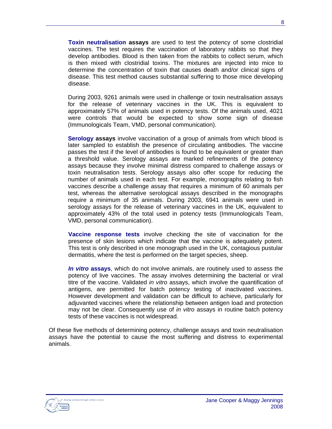**Toxin neutralisation assays** are used to test the potency of some clostridial vaccines. The test requires the vaccination of laboratory rabbits so that they develop antibodies. Blood is then taken from the rabbits to collect serum, which is then mixed with clostridial toxins. The mixtures are injected into mice to determine the concentration of toxin that causes death and/or clinical signs of disease. This test method causes substantial suffering to those mice developing disease.

During 2003, 9261 animals were used in challenge or toxin neutralisation assays for the release of veterinary vaccines in the UK. This is equivalent to approximately 57% of animals used in potency tests. Of the animals used, 4021 were controls that would be expected to show some sign of disease (Immunologicals Team, VMD, personal communication).

**Serology assays** involve vaccination of a group of animals from which blood is later sampled to establish the presence of circulating antibodies. The vaccine passes the test if the level of antibodies is found to be equivalent or greater than a threshold value. Serology assays are marked refinements of the potency assays because they involve minimal distress compared to challenge assays or toxin neutralisation tests. Serology assays also offer scope for reducing the number of animals used in each test. For example, monographs relating to fish vaccines describe a challenge assay that requires a minimum of 60 animals per test, whereas the alternative serological assays described in the monographs require a minimum of 35 animals. During 2003, 6941 animals were used in serology assays for the release of veterinary vaccines in the UK, equivalent to approximately 43% of the total used in potency tests (Immunologicals Team, VMD, personal communication).

**Vaccine response tests** involve checking the site of vaccination for the presence of skin lesions which indicate that the vaccine is adequately potent. This test is only described in one monograph used in the UK, contagious pustular dermatitis, where the test is performed on the target species, sheep.

*In vitro* **assays**, which do not involve animals, are routinely used to assess the potency of live vaccines. The assay involves determining the bacterial or viral titre of the vaccine. Validated *in vitro* assays, which involve the quantification of antigens, are permitted for batch potency testing of inactivated vaccines. However development and validation can be difficult to achieve, particularly for adjuvanted vaccines where the relationship between antigen load and protection may not be clear. Consequently use of *in vitro* assays in routine batch potency tests of these vaccines is not widespread.

Of these five methods of determining potency, challenge assays and toxin neutralisation assays have the potential to cause the most suffering and distress to experimental animals.

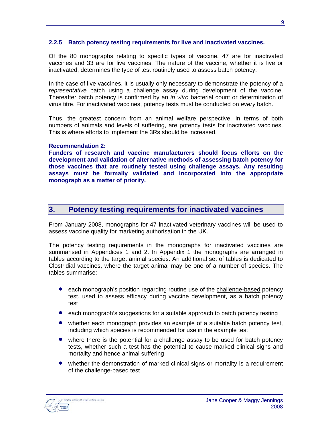#### **2.2.5 Batch potency testing requirements for live and inactivated vaccines.**

Of the 80 monographs relating to specific types of vaccine, 47 are for inactivated vaccines and 33 are for live vaccines. The nature of the vaccine, whether it is live or inactivated, determines the type of test routinely used to assess batch potency.

In the case of live vaccines, it is usually only necessary to demonstrate the potency of a *representative* batch using a challenge assay during development of the vaccine. Thereafter batch potency is confirmed by an *in vitro* bacterial count or determination of virus titre. For inactivated vaccines, potency tests must be conducted on *every* batch.

Thus, the greatest concern from an animal welfare perspective, in terms of both numbers of animals and levels of suffering, are potency tests for inactivated vaccines. This is where efforts to implement the 3Rs should be increased.

#### **Recommendation 2:**

**Funders of research and vaccine manufacturers should focus efforts on the development and validation of alternative methods of assessing batch potency for those vaccines that are routinely tested using challenge assays. Any resulting assays must be formally validated and incorporated into the appropriate monograph as a matter of priority.**

## **3. Potency testing requirements for inactivated vaccines**

From January 2008, monographs for 47 inactivated veterinary vaccines will be used to assess vaccine quality for marketing authorisation in the UK.

The potency testing requirements in the monographs for inactivated vaccines are summarised in Appendices 1 and 2. In Appendix 1 the monographs are arranged in tables according to the target animal species. An additional set of tables is dedicated to Clostridial vaccines, where the target animal may be one of a number of species. The tables summarise:

- each monograph's position regarding routine use of the challenge-based potency test, used to assess efficacy during vaccine development, as a batch potency test
- each monograph's suggestions for a suitable approach to batch potency testing
- whether each monograph provides an example of a suitable batch potency test, including which species is recommended for use in the example test
- where there is the potential for a challenge assay to be used for batch potency tests, whether such a test has the potential to cause marked clinical signs and mortality and hence animal suffering
- whether the demonstration of marked clinical signs or mortality is a requirement of the challenge-based test

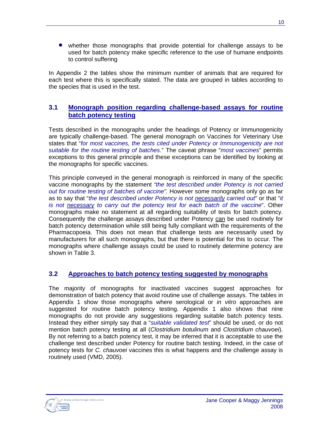• whether those monographs that provide potential for challenge assays to be used for batch potency make specific reference to the use of humane endpoints to control suffering

In Appendix 2 the tables show the minimum number of animals that are required for each test where this is specifically stated. The data are grouped in tables according to the species that is used in the test.

## **3.1 Monograph position regarding challenge-based assays for routine batch potency testing**

Tests described in the monographs under the headings of Potency or Immunogenicity are typically challenge-based. The general monograph on Vaccines for Veterinary Use states that "*for most vaccines, the tests cited under Potency or Immunogenicity are not suitable for the routine testing of batches*." The caveat phrase "*most vaccines*" permits exceptions to this general principle and these exceptions can be identified by looking at the monographs for specific vaccines.

This principle conveyed in the general monograph is reinforced in many of the specific vaccine monographs by the statement *"the test described under Potency is not carried out for routine testing of batches of vaccine".* However some monographs only go as far as to say that "*the test described under Potency is not necessarily carried out*" or that "*it is not necessary to carry out the potency test for each batch of the vaccine*". Other monographs make no statement at all regarding suitability of tests for batch potency. Consequently the challenge assays described under Potency can be used routinely for batch potency determination while still being fully compliant with the requirements of the Pharmacopoeia. This does not mean that challenge tests are necessarily used by manufacturers for all such monographs, but that there is potential for this to occur. The monographs where challenge assays could be used to routinely determine potency are shown in Table 3.

## **3.2 Approaches to batch potency testing suggested by monographs**

The majority of monographs for inactivated vaccines suggest approaches for demonstration of batch potency that avoid routine use of challenge assays. The tables in Appendix 1 show those monographs where serological or *in vitro* approaches are suggested for routine batch potency testing. Appendix 1 also shows that nine monographs do not provide any suggestions regarding suitable batch potency tests. Instead they either simply say that a "*suitable validated test*" should be used, or do not mention batch potency testing at all (*Clostridium botulinum* and *Clostridium chauvoei*). By not referring to a batch potency test, it may be inferred that it is acceptable to use the challenge test described under Potency for routine batch testing. Indeed, in the case of potency tests for *C. chauvoei* vaccines this is what happens and the challenge assay is routinely used (VMD, 2005).

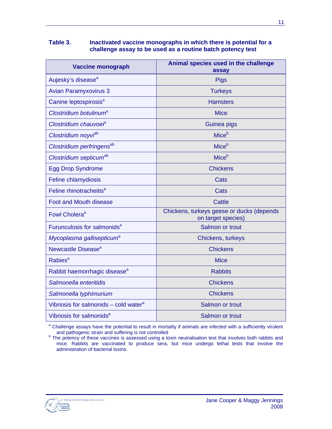#### **Table 3. Inactivated vaccine monographs in which there is potential for a challenge assay to be used as a routine batch potency test**

| <b>Vaccine monograph</b>                          | Animal species used in the challenge<br>assay                   |  |  |  |
|---------------------------------------------------|-----------------------------------------------------------------|--|--|--|
| Aujesky's disease <sup>a</sup>                    | <b>Pigs</b>                                                     |  |  |  |
| <b>Avian Paramyxovirus 3</b>                      | <b>Turkeys</b>                                                  |  |  |  |
| Canine leptospirosis <sup>a</sup>                 | <b>Hamsters</b>                                                 |  |  |  |
| Clostridium botulinum <sup>a</sup>                | <b>Mice</b>                                                     |  |  |  |
| Clostridium chauvoel <sup>a</sup>                 | Guinea pigs                                                     |  |  |  |
| Clostridium noyviab                               | Mice <sup>b</sup>                                               |  |  |  |
| Clostridium perfringens <sup>ab</sup>             | Mice <sup>b</sup>                                               |  |  |  |
| Clostridium septicum <sup>ab</sup>                | Mice <sup>b</sup>                                               |  |  |  |
| <b>Egg Drop Syndrome</b>                          | <b>Chickens</b>                                                 |  |  |  |
| Feline chlamydiosis                               | <b>Cats</b>                                                     |  |  |  |
| Feline rhinotracheitis <sup>a</sup>               | Cats                                                            |  |  |  |
| <b>Foot and Mouth disease</b>                     | Cattle                                                          |  |  |  |
| Fowl Cholera <sup>a</sup>                         | Chickens, turkeys geese or ducks (depends<br>on target species) |  |  |  |
| Furunculosis for salmonids <sup>a</sup>           | Salmon or trout                                                 |  |  |  |
| Mycoplasma gallisepticum <sup>a</sup>             | Chickens, turkeys                                               |  |  |  |
| Newcastle Disease <sup>a</sup>                    | <b>Chickens</b>                                                 |  |  |  |
| Rabies <sup>a</sup>                               | <b>Mice</b>                                                     |  |  |  |
| Rabbit haemorrhagic disease <sup>a</sup>          | <b>Rabbits</b>                                                  |  |  |  |
| Salmonella enteritidis                            | <b>Chickens</b>                                                 |  |  |  |
| Salmonella typhimurium                            | <b>Chickens</b>                                                 |  |  |  |
| Vibriosis for salmonids – cold water <sup>a</sup> | Salmon or trout                                                 |  |  |  |
| Vibriosis for salmonids <sup>a</sup>              | Salmon or trout                                                 |  |  |  |

<sup>a</sup> Challenge assays have the potential to result in mortality if animals are infected with a sufficiently virulent

and pathogenic strain and suffering is not controlled<br><sup>b</sup> The potency of these vaccines is assessed using a toxin neutralisation test that involves both rabbits and mice. Rabbits are vaccinated to produce sera, but mice undergo lethal tests that involve the administration of bacterial toxins.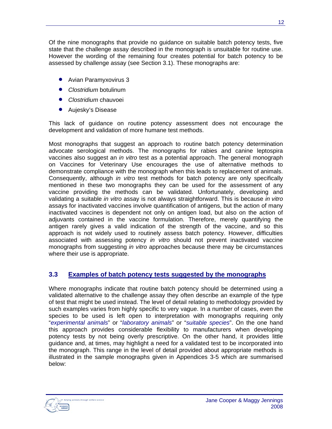Of the nine monographs that provide no guidance on suitable batch potency tests, five state that the challenge assay described in the monograph is unsuitable for routine use. However the wording of the remaining four creates potential for batch potency to be assessed by challenge assay (see Section 3.1). These monographs are:

- Avian Paramyxovirus 3
- *Clostridium* botulinum
- *Clostridium* chauvoei
- Aujesky's Disease

This lack of guidance on routine potency assessment does not encourage the development and validation of more humane test methods.

Most monographs that suggest an approach to routine batch potency determination advocate serological methods. The monographs for rabies and canine leptospira vaccines also suggest an *in vitro* test as a potential approach. The general monograph on Vaccines for Veterinary Use encourages the use of alternative methods to demonstrate compliance with the monograph when this leads to replacement of animals. Consequently, although *in vitro* test methods for batch potency are only specifically mentioned in these two monographs they can be used for the assessment of any vaccine providing the methods can be validated. Unfortunately, developing and validating a suitable *in vitro* assay is not always straightforward. This is because *in vitro* assays for inactivated vaccines involve quantification of antigens, but the action of many inactivated vaccines is dependent not only on antigen load, but also on the action of adjuvants contained in the vaccine formulation. Therefore, merely quantifying the antigen rarely gives a valid indication of the strength of the vaccine, and so this approach is not widely used to routinely assess batch potency. However, difficulties associated with assessing potency *in vitro* should not prevent inactivated vaccine monographs from suggesting *in vitro* approaches because there may be circumstances where their use is appropriate.

## **3.3 Examples of batch potency tests suggested by the monographs**

Where monographs indicate that routine batch potency should be determined using a validated alternative to the challenge assay they often describe an example of the type of test that might be used instead. The level of detail relating to methodology provided by such examples varies from highly specific to very vague. In a number of cases, even the species to be used is left open to interpretation with monographs requiring only "*experimental animals*" or "*laboratory animals*" or "*suitable species*". On the one hand this approach provides considerable flexibility to manufacturers when developing potency tests by not being overly prescriptive. On the other hand, it provides little guidance and, at times, may highlight a need for a validated test to be incorporated into the monograph. This range in the level of detail provided about appropriate methods is illustrated in the sample monographs given in Appendices 3-5 which are summarised below:

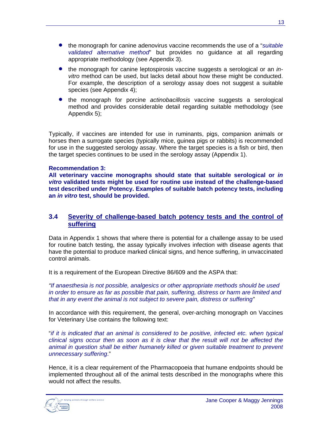- the monograph for canine adenovirus vaccine recommends the use of a "*suitable validated alternative method*" but provides no guidance at all regarding appropriate methodology (see Appendix 3).
- the monograph for canine leptospirosis vaccine suggests a serological or an *invitro* method can be used, but lacks detail about how these might be conducted. For example, the description of a serology assay does not suggest a suitable species (see Appendix 4);
- the monograph for porcine *actinobacillosis* vaccine suggests a serological method and provides considerable detail regarding suitable methodology (see Appendix 5);

Typically, if vaccines are intended for use in ruminants, pigs, companion animals or horses then a surrogate species (typically mice, guinea pigs or rabbits) is recommended for use in the suggested serology assay. Where the target species is a fish or bird, then the target species continues to be used in the serology assay (Appendix 1).

#### **Recommendation 3:**

**All veterinary vaccine monographs should state that suitable serological or** *in vitro* **validated tests might be used for routine use instead of the challenge-based test described under Potency. Examples of suitable batch potency tests, including an** *in vitro* **test, should be provided.**

#### **3.4 Severity of challenge-based batch potency tests and the control of suffering**

Data in Appendix 1 shows that where there is potential for a challenge assay to be used for routine batch testing, the assay typically involves infection with disease agents that have the potential to produce marked clinical signs, and hence suffering, in unvaccinated control animals.

It is a requirement of the European Directive 86/609 and the ASPA that:

*"If anaesthesia is not possible, analgesics or other appropriate methods should be used in order to ensure as far as possible that pain, suffering, distress or harm are limited and that in any event the animal is not subject to severe pain, distress or suffering"*

In accordance with this requirement, the general, over-arching monograph on Vaccines for Veterinary Use contains the following text:

"*if it is indicated that an animal is considered to be positive, infected etc. when typical clinical signs occur then as soon as it is clear that the result will not be affected the animal in question shall be either humanely killed or given suitable treatment to prevent unnecessary suffering*."

Hence, it is a clear requirement of the Pharmacopoeia that humane endpoints should be implemented throughout all of the animal tests described in the monographs where this would not affect the results.

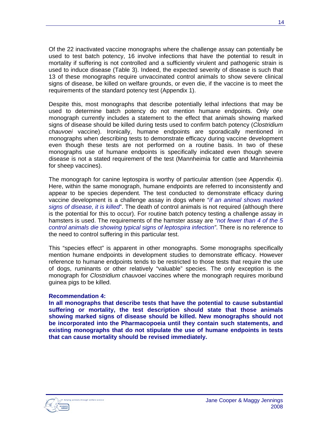Of the 22 inactivated vaccine monographs where the challenge assay can potentially be used to test batch potency, 16 involve infections that have the potential to result in mortality if suffering is not controlled and a sufficiently virulent and pathogenic strain is used to induce disease (Table 3). Indeed, the expected severity of disease is such that 13 of these monographs require unvaccinated control animals to show severe clinical signs of disease, be killed on welfare grounds, or even die, if the vaccine is to meet the requirements of the standard potency test (Appendix 1).

Despite this, most monographs that describe potentially lethal infections that may be used to determine batch potency do not mention humane endpoints. Only one monograph currently includes a statement to the effect that animals showing marked signs of disease should be killed during tests used to confirm batch potency (*Clostridium chauvoei* vaccine). Ironically, humane endpoints are sporadically mentioned in monographs when describing tests to demonstrate efficacy during vaccine development even though these tests are not performed on a routine basis. In two of these monographs use of humane endpoints is specifically indicated even though severe disease is not a stated requirement of the test (Mannheimia for cattle and Mannheimia for sheep vaccines).

The monograph for canine leptospira is worthy of particular attention (see Appendix 4). Here, within the same monograph, humane endpoints are referred to inconsistently and appear to be species dependent. The test conducted to demonstrate efficacy during vaccine development is a challenge assay in dogs where "*if an animal shows marked signs of disease, it is killed*". The death of control animals is not required (although there is the potential for this to occur). For routine batch potency testing a challenge assay in hamsters is used. The requirements of the hamster assay are *"not fewer than 4 of the 5 control animals die showing typical signs of leptospira infection"*. There is no reference to the need to control suffering in this particular test.

This "species effect" is apparent in other monographs. Some monographs specifically mention humane endpoints in development studies to demonstrate efficacy. However reference to humane endpoints tends to be restricted to those tests that require the use of dogs, ruminants or other relatively "valuable" species. The only exception is the monograph for *Clostridium chauvoei* vaccines where the monograph requires moribund guinea pigs to be killed.

#### **Recommendation 4:**

**In all monographs that describe tests that have the potential to cause substantial suffering or mortality, the test description should state that those animals showing marked signs of disease should be killed. New monographs should not be incorporated into the Pharmacopoeia until they contain such statements, and existing monographs that do not stipulate the use of humane endpoints in tests that can cause mortality should be revised immediately.**

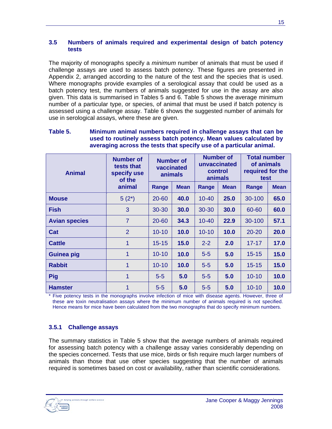#### **3.5 Numbers of animals required and experimental design of batch potency tests**

The majority of monographs specify a *minimum* number of animals that must be used if challenge assays are used to assess batch potency. These figures are presented in Appendix 2, arranged according to the nature of the test and the species that is used. Where monographs provide examples of a serological assay that could be used as a batch potency test, the numbers of animals suggested for use in the assay are also given. This data is summarised in Tables 5 and 6. Table 5 shows the average minimum number of a particular type, or species, of animal that must be used if batch potency is assessed using a challenge assay. Table 6 shows the suggested number of animals for use in serological assays, where these are given.

| <b>Animal</b>        | <b>Number of</b><br>tests that<br>specify use<br>of the<br>animal | <b>Number of</b><br>vaccinated<br>animals |             | <b>Number of</b><br>unvaccinated<br>control<br>animals |             | <b>Total number</b><br>of animals<br>required for the<br>test |             |
|----------------------|-------------------------------------------------------------------|-------------------------------------------|-------------|--------------------------------------------------------|-------------|---------------------------------------------------------------|-------------|
|                      |                                                                   | Range                                     | <b>Mean</b> | Range                                                  | <b>Mean</b> | Range                                                         | <b>Mean</b> |
| <b>Mouse</b>         | $5(2^*)$                                                          | 20-60                                     | 40.0        | $10 - 40$                                              | 25.0        | 30-100                                                        | 65.0        |
| <b>Fish</b>          | 3                                                                 | 30-30                                     | 30.0        | $30 - 30$                                              | 30.0        | 60-60                                                         | 60.0        |
| <b>Avian species</b> | $\overline{7}$                                                    | 20-60                                     | 34.3        | $10 - 40$                                              | 22.9        | 30-100                                                        | 57.1        |
| Cat                  | $\overline{2}$                                                    | $10 - 10$                                 | 10.0        | $10 - 10$                                              | 10.0        | $20 - 20$                                                     | 20.0        |
| <b>Cattle</b>        | 1                                                                 | $15 - 15$                                 | 15.0        | $2 - 2$                                                | 2.0         | $17 - 17$                                                     | 17.0        |
| <b>Guinea pig</b>    | 1                                                                 | $10 - 10$                                 | 10.0        | $5-5$                                                  | 5.0         | $15 - 15$                                                     | 15.0        |
| <b>Rabbit</b>        | 1                                                                 | $10 - 10$                                 | 10.0        | $5 - 5$                                                | 5.0         | $15 - 15$                                                     | 15.0        |
| <b>Pig</b>           | 1                                                                 | $5-5$                                     | 5.0         | $5-5$                                                  | 5.0         | $10 - 10$                                                     | 10.0        |
| <b>Hamster</b>       |                                                                   | $5-5$                                     | 5.0         | $5-5$                                                  | 5.0         | $10 - 10$                                                     | 10.0        |

#### **Table 5. Minimum animal numbers required in challenge assays that can be used to routinely assess batch potency. Mean values calculated by averaging across the tests that specify use of a particular animal.**

Five potency tests in the monographs involve infection of mice with disease agents. However, three of these are toxin neutralisation assays where the minimum number of animals required is not specified. Hence means for mice have been calculated from the two monographs that do specify minimum numbers.

## **3.5.1 Challenge assays**

The summary statistics in Table 5 show that the average numbers of animals required for assessing batch potency with a challenge assay varies considerably depending on the species concerned. Tests that use mice, birds or fish require much larger numbers of animals than those that use other species suggesting that the number of animals required is sometimes based on cost or availability, rather than scientific considerations.

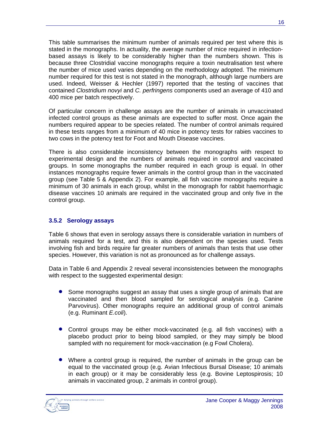This table summarises the minimum number of animals required per test where this is stated in the monographs. In actuality, the average number of mice required in infectionbased assays is likely to be considerably higher than the numbers shown. This is because three Clostridial vaccine monographs require a toxin neutralisation test where the number of mice used varies depending on the methodology adopted. The minimum number required for this test is not stated in the monograph, although large numbers are used. Indeed, Weisser & Hechler (1997) reported that the testing of vaccines that contained *Clostridium novyi* and *C. perfringens* components used an average of 410 and 400 mice per batch respectively.

Of particular concern in challenge assays are the number of animals in unvaccinated infected control groups as these animals are expected to suffer most. Once again the numbers required appear to be species related. The number of control animals required in these tests ranges from a minimum of 40 mice in potency tests for rabies vaccines to two cows in the potency test for Foot and Mouth Disease vaccines.

There is also considerable inconsistency between the monographs with respect to experimental design and the numbers of animals required in control and vaccinated groups. In some monographs the number required in each group is equal. In other instances monographs require fewer animals in the control group than in the vaccinated group (see Table 5 & Appendix 2). For example, all fish vaccine monographs require a minimum of 30 animals in each group, whilst in the monograph for rabbit haemorrhagic disease vaccines 10 animals are required in the vaccinated group and only five in the control group.

## **3.5.2 Serology assays**

Table 6 shows that even in serology assays there is considerable variation in numbers of animals required for a test, and this is also dependent on the species used. Tests involving fish and birds require far greater numbers of animals than tests that use other species. However, this variation is not as pronounced as for challenge assays.

Data in Table 6 and Appendix 2 reveal several inconsistencies between the monographs with respect to the suggested experimental design:

- Some monographs suggest an assay that uses a single group of animals that are vaccinated and then blood sampled for serological analysis (e.g. Canine Parvovirus). Other monographs require an additional group of control animals (e.g. Ruminant *E.coli*).
- Control groups may be either mock-vaccinated (e.g. all fish vaccines) with a placebo product prior to being blood sampled, or they may simply be blood sampled with no requirement for mock-vaccination (e.g Fowl Cholera).
- Where a control group is required, the number of animals in the group can be equal to the vaccinated group (e.g. Avian Infectious Bursal Disease; 10 animals in each group) or it may be considerably less (e.g. Bovine Leptospirosis; 10 animals in vaccinated group, 2 animals in control group).

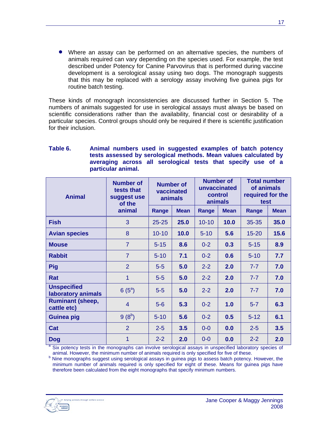• Where an assay can be performed on an alternative species, the numbers of animals required can vary depending on the species used. For example, the test described under Potency for Canine Parvovirus that is performed during vaccine development is a serological assay using two dogs. The monograph suggests that this may be replaced with a serology assay involving five guinea pigs for routine batch testing.

These kinds of monograph inconsistencies are discussed further in Section 5. The numbers of animals suggested for use in serological assays must always be based on scientific considerations rather than the availability, financial cost or desirability of a particular species. Control groups should only be required if there is scientific justification for their inclusion.

| <b>Animal</b>                            | <b>Number of</b><br>tests that<br>suggest use<br>of the<br>animal | <b>Number of</b><br>vaccinated<br>animals |             | <b>Number of</b><br>unvaccinated<br>control<br>animals |             | <b>Total number</b><br>of animals<br>required for the<br>test |             |  |
|------------------------------------------|-------------------------------------------------------------------|-------------------------------------------|-------------|--------------------------------------------------------|-------------|---------------------------------------------------------------|-------------|--|
|                                          |                                                                   | Range                                     | <b>Mean</b> | Range                                                  | <b>Mean</b> | Range                                                         | <b>Mean</b> |  |
| <b>Fish</b>                              | 3                                                                 | $25 - 25$                                 | 25.0        | $10 - 10$                                              | 10.0        | $35 - 35$                                                     | 35.0        |  |
| <b>Avian species</b>                     | 8                                                                 | $10 - 10$                                 | 10.0        | $5 - 10$                                               | 5.6         | $15 - 20$                                                     | 15.6        |  |
| <b>Mouse</b>                             | $\overline{7}$                                                    | $5 - 15$                                  | 8.6         | $0 - 2$                                                | 0.3         | $5 - 15$                                                      | 8.9         |  |
| <b>Rabbit</b>                            | $\overline{7}$                                                    | $5 - 10$                                  | 7.1         | $0 - 2$                                                | 0.6         | $5 - 10$                                                      | 7.7         |  |
| <b>Pig</b>                               | $\overline{2}$                                                    | $5-5$                                     | 5.0         | $2 - 2$                                                | 2.0         | $7 - 7$                                                       | 7.0         |  |
| Rat                                      | 1                                                                 | $5-5$                                     | 5.0         | $2 - 2$                                                | 2.0         | $7 - 7$                                                       | 7.0         |  |
| <b>Unspecified</b><br>laboratory animals | $6(5^{\circ})$                                                    | $5-5$                                     | 5.0         | $2 - 2$                                                | 2.0         | $7 - 7$                                                       | 7.0         |  |
| <b>Ruminant (sheep,</b><br>cattle etc)   | $\overline{4}$                                                    | $5-6$                                     | 5.3         | $0 - 2$                                                | 1.0         | $5 - 7$                                                       | 6.3         |  |
| <b>Guinea pig</b>                        | $9(8^b)$                                                          | $5 - 10$                                  | 5.6         | $0 - 2$                                                | 0.5         | $5 - 12$                                                      | 6.1         |  |
| Cat                                      | $\overline{2}$                                                    | $2 - 5$                                   | 3.5         | $0-0$                                                  | 0.0         | $2 - 5$                                                       | 3.5         |  |
| <b>Dog</b>                               | 1                                                                 | $2 - 2$                                   | 2.0         | $0-0$                                                  | 0.0         | $2 - 2$                                                       | 2.0         |  |

#### **Table 6. Animal numbers used in suggested examples of batch potency tests assessed by serological methods. Mean values calculated by averaging across all serological tests that specify use of a particular animal.**

<sup>a</sup> Six potency tests in the monographs can involve serological assays in unspecified laboratory species of

animal. However, the minimum number of animals required is only specified for five of these.<br><sup>b</sup> Nine monographs suggest using serological assays in guinea pigs to assess batch potency. However, the minimum number of animals required is only specified for eight of these. Means for guinea pigs have therefore been calculated from the eight monographs that specify minimum numbers.

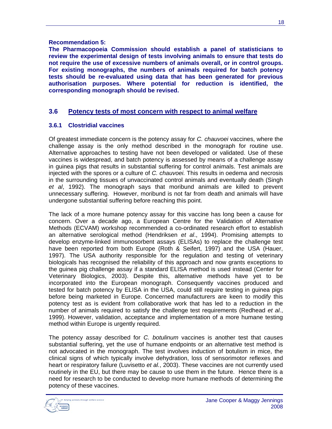#### **Recommendation 5:**

**The Pharmacopoeia Commission should establish a panel of statisticians to review the experimental design of tests involving animals to ensure that tests do not require the use of excessive numbers of animals overall, or in control groups. For existing monographs, the numbers of animals required for batch potency tests should be re-evaluated using data that has been generated for previous authorisation purposes. Where potential for reduction is identified, the corresponding monograph should be revised.**

## **3.6 Potency tests of most concern with respect to animal welfare**

## **3.6.1 Clostridial vaccines**

Of greatest immediate concern is the potency assay for *C. chauvoei* vaccines, where the challenge assay is the only method described in the monograph for routine use. Alternative approaches to testing have not been developed or validated. Use of these vaccines is widespread, and batch potency is assessed by means of a challenge assay in guinea pigs that results in substantial suffering for control animals. Test animals are injected with the spores or a culture of *C. chauvoei.* This results in oedema and necrosis in the surrounding tissues of unvaccinated control animals and eventually death (Singh *et al*, 1992). The monograph says that moribund animals are killed to prevent unnecessary suffering. However, moribund is not far from death and animals will have undergone substantial suffering before reaching this point.

The lack of a more humane potency assay for this vaccine has long been a cause for concern. Over a decade ago, a European Centre for the Validation of Alternative Methods (ECVAM) workshop recommended a co-ordinated research effort to establish an alternative serological method (Hendriksen *et al*., 1994). Promising attempts to develop enzyme-linked immunosorbent assays (ELISAs) to replace the challenge test have been reported from both Europe (Roth & Seifert, 1997) and the USA (Hauer, 1997). The USA authority responsible for the regulation and testing of veterinary biologicals has recognised the reliability of this approach and now grants exceptions to the guinea pig challenge assay if a standard ELISA method is used instead (Center for Veterinary Biologics, 2003). Despite this, alternative methods have yet to be incorporated into the European monograph. Consequently vaccines produced and tested for batch potency by ELISA in the USA, could still require testing in guinea pigs before being marketed in Europe. Concerned manufacturers are keen to modify this potency test as is evident from collaborative work that has led to a reduction in the number of animals required to satisfy the challenge test requirements (Redhead *et al.*, 1999). However, validation, acceptance and implementation of a more humane testing method within Europe is urgently required.

The potency assay described for *C. botulinum* vaccines is another test that causes substantial suffering, yet the use of humane endpoints or an alternative test method is not advocated in the monograph. The test involves induction of botulism in mice, the clinical signs of which typically involve dehydration, loss of sensorimotor reflexes and heart or respiratory failure (Luvisetto *et al.*, 2003). These vaccines are not currently used routinely in the EU, but there may be cause to use them in the future. Hence there is a need for research to be conducted to develop more humane methods of determining the potency of these vaccines.

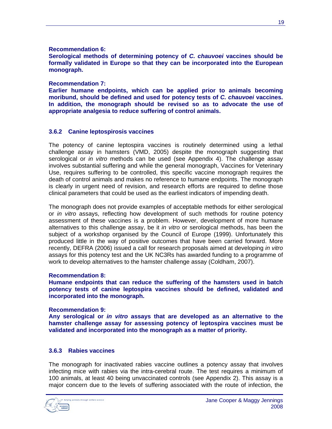#### **Recommendation 6:**

**Serological methods of determining potency of** *C. chauvoei* **vaccines should be formally validated in Europe so that they can be incorporated into the European monograph.**

#### **Recommendation 7:**

**Earlier humane endpoints, which can be applied prior to animals becoming moribund, should be defined and used for potency tests of** *C. chauvoei* **vaccines. In addition, the monograph should be revised so as to advocate the use of appropriate analgesia to reduce suffering of control animals.**

#### **3.6.2 Canine leptospirosis vaccines**

The potency of canine leptospira vaccines is routinely determined using a lethal challenge assay in hamsters (VMD, 2005) despite the monograph suggesting that serological or *in vitro* methods can be used (see Appendix 4). The challenge assay involves substantial suffering and while the general monograph, Vaccines for Veterinary Use, requires suffering to be controlled, this specific vaccine monograph requires the death of control animals and makes no reference to humane endpoints. The monograph is clearly in urgent need of revision, and research efforts are required to define those clinical parameters that could be used as the earliest indicators of impending death.

The monograph does not provide examples of acceptable methods for either serological or *in vitro* assays, reflecting how development of such methods for routine potency assessment of these vaccines is a problem. However, development of more humane alternatives to this challenge assay, be it *in vitro* or serological methods, has been the subject of a workshop organised by the Council of Europe (1999). Unfortunately this produced little in the way of positive outcomes that have been carried forward. More recently, DEFRA (2006) issued a call for research proposals aimed at developing *in vitro* assays for this potency test and the UK NC3Rs has awarded funding to a programme of work to develop alternatives to the hamster challenge assay (Coldham, 2007).

#### **Recommendation 8:**

**Humane endpoints that can reduce the suffering of the hamsters used in batch potency tests of canine leptospira vaccines should be defined, validated and incorporated into the monograph.**

#### **Recommendation 9:**

**Any serological or** *in vitro* **assays that are developed as an alternative to the hamster challenge assay for assessing potency of leptospira vaccines must be validated and incorporated into the monograph as a matter of priority.**

#### **3.6.3 Rabies vaccines**

The monograph for inactivated rabies vaccine outlines a potency assay that involves infecting mice with rabies via the intra-cerebral route. The test requires a minimum of 100 animals, at least 40 being unvaccinated controls (see Appendix 2). This assay is a major concern due to the levels of suffering associated with the route of infection, the

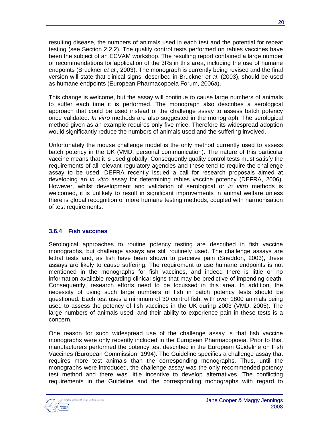resulting disease, the numbers of animals used in each test and the potential for repeat testing (see Section 2.2.2). The quality control tests performed on rabies vaccines have been the subject of an ECVAM workshop. The resulting report contained a large number of recommendations for application of the 3Rs in this area, including the use of humane endpoints (Bruckner *et al*., 2003). The monograph is currently being revised and the final version will state that clinical signs, described in Bruckner *et al*. (2003), should be used as humane endpoints (European Pharmacopoeia Forum, 2006a).

This change is welcome, but the assay will continue to cause large numbers of animals to suffer each time it is performed. The monograph also describes a serological approach that could be used instead of the challenge assay to assess batch potency once validated. *In vitro* methods are also suggested in the monograph. The serological method given as an example requires only five mice. Therefore its widespread adoption would significantly reduce the numbers of animals used and the suffering involved.

Unfortunately the mouse challenge model is the only method currently used to assess batch potency in the UK (VMD, personal communication). The nature of this particular vaccine means that it is used globally. Consequently quality control tests must satisfy the requirements of all relevant regulatory agencies and these tend to require the challenge assay to be used. DEFRA recently issued a call for research proposals aimed at developing an *in vitro* assay for determining rabies vaccine potency (DEFRA, 2006). However, whilst development and validation of serological or *in vitro* methods is welcomed, it is unlikely to result in significant improvements in animal welfare unless there is global recognition of more humane testing methods, coupled with harmonisation of test requirements.

## **3.6.4 Fish vaccines**

Serological approaches to routine potency testing are described in fish vaccine monographs, but challenge assays are still routinely used. The challenge assays are lethal tests and, as fish have been shown to perceive pain (Sneddon, 2003), these assays are likely to cause suffering. The requirement to use humane endpoints is not mentioned in the monographs for fish vaccines, and indeed there is little or no information available regarding clinical signs that may be predictive of impending death. Consequently, research efforts need to be focussed in this area. In addition, the necessity of using such large numbers of fish in batch potency tests should be questioned. Each test uses a minimum of 30 control fish, with over 1800 animals being used to assess the potency of fish vaccines in the UK during 2003 (VMD, 2005). The large numbers of animals used, and their ability to experience pain in these tests is a concern.

One reason for such widespread use of the challenge assay is that fish vaccine monographs were only recently included in the European Pharmacopoeia. Prior to this, manufacturers performed the potency test described in the European Guideline on Fish Vaccines (European Commission, 1994). The Guideline specifies a challenge assay that requires more test animals than the corresponding monographs. Thus, until the monographs were introduced, the challenge assay was the only recommended potency test method and there was little incentive to develop alternatives. The conflicting requirements in the Guideline and the corresponding monographs with regard to

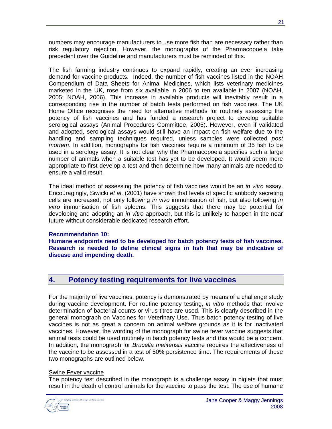numbers may encourage manufacturers to use more fish than are necessary rather than risk regulatory rejection. However, the monographs of the Pharmacopoeia take precedent over the Guideline and manufacturers must be reminded of this.

The fish farming industry continues to expand rapidly, creating an ever increasing demand for vaccine products. Indeed, the number of fish vaccines listed in the NOAH Compendium of Data Sheets for Animal Medicines, which lists veterinary medicines marketed in the UK, rose from six available in 2006 to ten available in 2007 (NOAH, 2005; NOAH, 2006). This increase in available products will inevitably result in a corresponding rise in the number of batch tests performed on fish vaccines. The UK Home Office recognises the need for alternative methods for routinely assessing the potency of fish vaccines and has funded a research project to develop suitable serological assays (Animal Procedures Committee, 2005). However, even if validated and adopted, serological assays would still have an impact on fish welfare due to the handling and sampling techniques required, unless samples were collected *post mortem*. In addition, monographs for fish vaccines require a minimum of 35 fish to be used in a serology assay. It is not clear why the Pharmacopoeia specifies such a large number of animals when a suitable test has yet to be developed. It would seem more appropriate to first develop a test and then determine how many animals are needed to ensure a valid result.

The ideal method of assessing the potency of fish vaccines would be an *in vitro* assay. Encouragingly, Siwicki *et al*. (2001) have shown that levels of specific antibody secreting cells are increased, not only following *in vivo* immunisation of fish, but also following *in vitro* immunisation of fish spleens. This suggests that there may be potential for developing and adopting an *in vitro* approach, but this is unlikely to happen in the near future without considerable dedicated research effort.

#### **Recommendation 10:**

**Humane endpoints need to be developed for batch potency tests of fish vaccines. Research is needed to define clinical signs in fish that may be indicative of disease and impending death.** 

## **4. Potency testing requirements for live vaccines**

For the majority of live vaccines, potency is demonstrated by means of a challenge study during vaccine development. For routine potency testing, *in vitro* methods that involve determination of bacterial counts or virus titres are used. This is clearly described in the general monograph on Vaccines for Veterinary Use. Thus batch potency testing of live vaccines is not as great a concern on animal welfare grounds as it is for inactivated vaccines. However, the wording of the monograph for swine fever vaccine suggests that animal tests could be used routinely in batch potency tests and this would be a concern. In addition, the monograph for *Brucella melitensis* vaccine requires the effectiveness of the vaccine to be assessed in a test of 50% persistence time. The requirements of these two monographs are outlined below.

#### Swine Fever vaccine

The potency test described in the monograph is a challenge assay in piglets that must result in the death of control animals for the vaccine to pass the test. The use of humane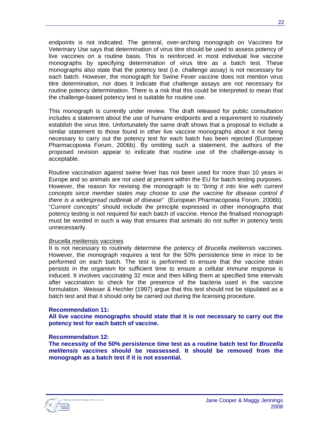endpoints is not indicated. The general, over-arching monograph on Vaccines for Veterinary Use says that determination of virus titre should be used to assess potency of live vaccines on a routine basis. This is reinforced in most individual live vaccine monographs by specifying determination of virus titre as a batch test. These monographs also state that the potency test (i.e. challenge assay) is not necessary for each batch. However, the monograph for Swine Fever vaccine does not mention virus titre determination, nor does it indicate that challenge assays are not necessary for routine potency determination. There is a risk that this could be interpreted to mean that the challenge-based potency test is suitable for routine use.

This monograph is currently under review. The draft released for public consultation includes a statement about the use of humane endpoints and a requirement to routinely establish the virus titre. Unfortunately the same draft shows that a proposal to include a similar statement to those found in other live vaccine monographs about it not being necessary to carry out the potency test for each batch has been rejected (European Pharmacopoeia Forum, 2006b). By omitting such a statement, the authors of the proposed revision appear to indicate that routine use of the challenge-assay is acceptable.

Routine vaccination against swine fever has not been used for more than 10 years in Europe and so animals are not used at present within the EU for batch testing purposes. However, the reason for revising the monograph is to "*bring it into line with current concepts since member states may choose to use the vaccine for disease control if there is a widespread outbreak of disease*" (European Pharmacopoeia Forum, 2006b). "*Current concepts*" should include the principle expressed in other monographs that potency testing is not required for each batch of vaccine. Hence the finalised monograph must be worded in such a way that ensures that animals do not suffer in potency tests unnecessarily.

#### *Brucella melitensis* vaccines

It is not necessary to routinely determine the potency of *Brucella melitensis* vaccines. However, the monograph requires a test for the 50% persistence time in mice to be performed on each batch. The test is performed to ensure that the vaccine strain persists in the organism for sufficient time to ensure a cellular immune response is induced. It involves vaccinating 32 mice and then killing them at specified time intervals after vaccination to check for the presence of the bacteria used in the vaccine formulation. Weisser & Hechler (1997) argue that this test should not be stipulated as a batch test and that it should only be carried out during the licensing procedure.

#### **Recommendation 11:**

**All live vaccine monographs should state that it is not necessary to carry out the potency test for each batch of vaccine.**

#### **Recommendation 12:**

**The necessity of the 50% persistence time test as a routine batch test for** *Brucella melitensis* **vaccines should be reassessed. It should be removed from the monograph as a batch test if it is not essential.**

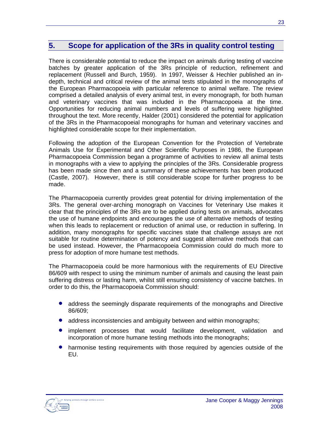## **5. Scope for application of the 3Rs in quality control testing**

There is considerable potential to reduce the impact on animals during testing of vaccine batches by greater application of the 3Rs principle of reduction, refinement and replacement (Russell and Burch, 1959). In 1997, Weisser & Hechler published an indepth, technical and critical review of the animal tests stipulated in the monographs of the European Pharmacopoeia with particular reference to animal welfare. The review comprised a detailed analysis of every animal test, in every monograph, for both human and veterinary vaccines that was included in the Pharmacopoeia at the time. Opportunities for reducing animal numbers and levels of suffering were highlighted throughout the text. More recently, Halder (2001) considered the potential for application of the 3Rs in the Pharmacopoeial monographs for human and veterinary vaccines and highlighted considerable scope for their implementation.

Following the adoption of the European Convention for the Protection of Vertebrate Animals Use for Experimental and Other Scientific Purposes in 1986, the European Pharmacopoeia Commission began a programme of activities to review all animal tests in monographs with a view to applying the principles of the 3Rs. Considerable progress has been made since then and a summary of these achievements has been produced (Castle, 2007). However, there is still considerable scope for further progress to be made.

The Pharmacopoeia currently provides great potential for driving implementation of the 3Rs. The general over-arching monograph on Vaccines for Veterinary Use makes it clear that the principles of the 3Rs are to be applied during tests on animals, advocates the use of humane endpoints and encourages the use of alternative methods of testing when this leads to replacement or reduction of animal use, or reduction in suffering. In addition, many monographs for specific vaccines state that challenge assays are not suitable for routine determination of potency and suggest alternative methods that can be used instead. However, the Pharmacopoeia Commission could do much more to press for adoption of more humane test methods.

The Pharmacopoeia could be more harmonious with the requirements of EU Directive 86/609 with respect to using the minimum number of animals and causing the least pain suffering distress or lasting harm, whilst still ensuring consistency of vaccine batches. In order to do this, the Pharmacopoeia Commission should:

- address the seemingly disparate requirements of the monographs and Directive 86/609;
- address inconsistencies and ambiguity between and within monographs;
- implement processes that would facilitate development, validation and incorporation of more humane testing methods into the monographs;
- harmonise testing requirements with those required by agencies outside of the EU.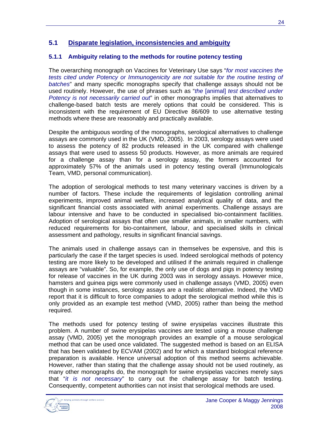## **5.1 Disparate legislation, inconsistencies and ambiguity**

## **5.1.1 Ambiguity relating to the methods for routine potency testing**

The overarching monograph on Vaccines for Veterinary Use says "*for most vaccines the tests cited under Potency or Immunogenicity are not suitable for the routine testing of batches*" and many specific monographs specify that challenge assays should not be used routinely. However, the use of phrases such as "*the* [animal] *test described under Potency is not necessarily carried out*" in other monographs implies that alternatives to challenge-based batch tests are merely options that could be considered. This is inconsistent with the requirement of EU Directive 86/609 to use alternative testing methods where these are reasonably and practically available.

Despite the ambiguous wording of the monographs, serological alternatives to challenge assays are commonly used in the UK (VMD, 2005). In 2003, serology assays were used to assess the potency of 82 products released in the UK compared with challenge assays that were used to assess 50 products. However, as more animals are required for a challenge assay than for a serology assay, the formers accounted for approximately 57% of the animals used in potency testing overall (Immunologicals Team, VMD, personal communication).

The adoption of serological methods to test many veterinary vaccines is driven by a number of factors. These include the requirements of legislation controlling animal experiments, improved animal welfare, increased analytical quality of data, and the significant financial costs associated with animal experiments. Challenge assays are labour intensive and have to be conducted in specialised bio-containment facilities. Adoption of serological assays that often use smaller animals, in smaller numbers, with reduced requirements for bio-containment, labour, and specialised skills in clinical assessment and pathology, results in significant financial savings.

The animals used in challenge assays can in themselves be expensive, and this is particularly the case if the target species is used. Indeed serological methods of potency testing are more likely to be developed and utilised if the animals required in challenge assays are "valuable". So, for example, the only use of dogs and pigs in potency testing for release of vaccines in the UK during 2003 was in serology assays. However mice, hamsters and guinea pigs were commonly used in challenge assays (VMD, 2005) even though in some instances, serology assays are a realistic alternative. Indeed, the VMD report that it is difficult to force companies to adopt the serological method while this is only provided as an example test method (VMD, 2005) rather than being the method required.

The methods used for potency testing of swine erysipelas vaccines illustrate this problem. A number of swine erysipelas vaccines are tested using a mouse challenge assay (VMD, 2005) yet the monograph provides an example of a mouse serological method that can be used once validated. The suggested method is based on an ELISA that has been validated by ECVAM (2002) and for which a standard biological reference preparation is available. Hence universal adoption of this method seems achievable. However, rather than stating that the challenge assay should not be used routinely, as many other monographs do, the monograph for swine erysipelas vaccines merely says that "*it is not necessary*" to carry out the challenge assay for batch testing. Consequently, competent authorities can not insist that serological methods are used.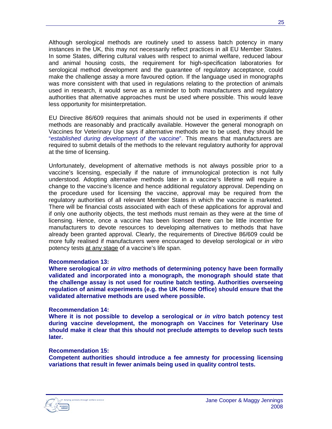Although serological methods are routinely used to assess batch potency in many instances in the UK, this may not necessarily reflect practices in all EU Member States. In some States, differing cultural values with respect to animal welfare, reduced labour and animal housing costs, the requirement for high-specification laboratories for serological method development and the guarantee of regulatory acceptance, could make the challenge assay a more favoured option. If the language used in monographs was more consistent with that used in regulations relating to the protection of animals used in research, it would serve as a reminder to both manufacturers and regulatory authorities that alternative approaches must be used where possible. This would leave less opportunity for misinterpretation.

EU Directive 86/609 requires that animals should not be used in experiments if other methods are reasonably and practically available. However the general monograph on Vaccines for Veterinary Use says if alternative methods are to be used, they should be "*established during development of the vaccine*". This means that manufacturers are required to submit details of the methods to the relevant regulatory authority for approval at the time of licensing.

Unfortunately, development of alternative methods is not always possible prior to a vaccine's licensing, especially if the nature of immunological protection is not fully understood. Adopting alternative methods later in a vaccine's lifetime will require a change to the vaccine's licence and hence additional regulatory approval. Depending on the procedure used for licensing the vaccine, approval may be required from the regulatory authorities of all relevant Member States in which the vaccine is marketed. There will be financial costs associated with each of these applications for approval and if only one authority objects, the test methods must remain as they were at the time of licensing. Hence, once a vaccine has been licensed there can be little incentive for manufacturers to devote resources to developing alternatives to methods that have already been granted approval. Clearly, the requirements of Directive 86/609 could be more fully realised if manufacturers were encouraged to develop serological or *in vitro* potency tests at any stage of a vaccine's life span.

#### **Recommendation 13:**

**Where serological or** *in vitro* **methods of determining potency have been formally validated and incorporated into a monograph, the monograph should state that the challenge assay is not used for routine batch testing. Authorities overseeing regulation of animal experiments (e.g. the UK Home Office) should ensure that the validated alternative methods are used where possible.**

#### **Recommendation 14:**

**Where it is not possible to develop a serological or** *in vitro* **batch potency test during vaccine development, the monograph on Vaccines for Veterinary Use should make it clear that this should not preclude attempts to develop such tests later.** 

#### **Recommendation 15:**

**Competent authorities should introduce a fee amnesty for processing licensing variations that result in fewer animals being used in quality control tests.**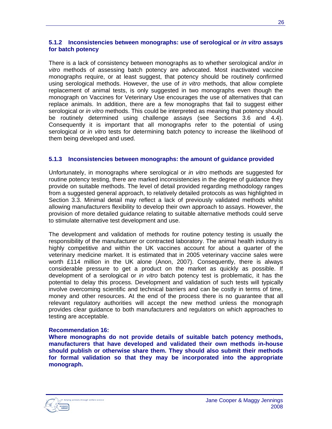#### **5.1.2 Inconsistencies between monographs: use of serological or** *in vitro* **assays for batch potency**

There is a lack of consistency between monographs as to whether serological and/or *in vitro* methods of assessing batch potency are advocated. Most inactivated vaccine monographs require, or at least suggest, that potency should be routinely confirmed using serological methods. However, the use of *in vitro* methods, that allow complete replacement of animal tests, is only suggested in two monographs even though the monograph on Vaccines for Veterinary Use encourages the use of alternatives that can replace animals. In addition, there are a few monographs that fail to suggest either serological or *in vitro* methods. This could be interpreted as meaning that potency should be routinely determined using challenge assays (see Sections 3.6 and 4.4). Consequently it is important that all monographs refer to the potential of using serological or *in vitro* tests for determining batch potency to increase the likelihood of them being developed and used.

#### **5.1.3 Inconsistencies between monographs: the amount of guidance provided**

Unfortunately, in monographs where serological or *in vitro* methods are suggested for routine potency testing, there are marked inconsistencies in the degree of guidance they provide on suitable methods. The level of detail provided regarding methodology ranges from a suggested general approach, to relatively detailed protocols as was highlighted in Section 3.3. Minimal detail may reflect a lack of previously validated methods whilst allowing manufacturers flexibility to develop their own approach to assays. However, the provision of more detailed guidance relating to suitable alternative methods could serve to stimulate alternative test development and use.

The development and validation of methods for routine potency testing is usually the responsibility of the manufacturer or contracted laboratory. The animal health industry is highly competitive and within the UK vaccines account for about a quarter of the veterinary medicine market. It is estimated that in 2005 veterinary vaccine sales were worth £114 million in the UK alone (Anon, 2007). Consequently, there is always considerable pressure to get a product on the market as quickly as possible. If development of a serological or *in vitro* batch potency test is problematic, it has the potential to delay this process. Development and validation of such tests will typically involve overcoming scientific and technical barriers and can be costly in terms of time, money and other resources. At the end of the process there is no guarantee that all relevant regulatory authorities will accept the new method unless the monograph provides clear guidance to both manufacturers and regulators on which approaches to testing are acceptable.

#### **Recommendation 16:**

**Where monographs do not provide details of suitable batch potency methods, manufacturers that have developed and validated their own methods in-house should publish or otherwise share them. They should also submit their methods for formal validation so that they may be incorporated into the appropriate monograph.**

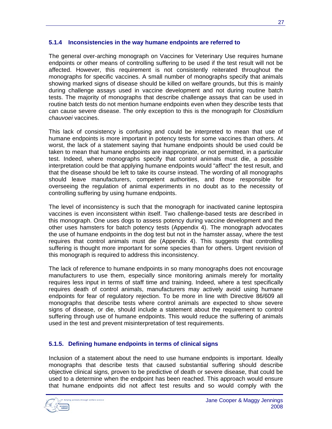### **5.1.4 Inconsistencies in the way humane endpoints are referred to**

The general over-arching monograph on Vaccines for Veterinary Use requires humane endpoints or other means of controlling suffering to be used if the test result will not be affected. However, this requirement is not consistently reiterated throughout the monographs for specific vaccines. A small number of monographs specify that animals showing marked signs of disease should be killed on welfare grounds, but this is mainly during challenge assays used in vaccine development and not during routine batch tests. The majority of monographs that describe challenge assays that can be used in routine batch tests do not mention humane endpoints even when they describe tests that can cause severe disease. The only exception to this is the monograph for *Clostridium chauvoei* vaccines.

This lack of consistency is confusing and could be interpreted to mean that use of humane endpoints is more important in potency tests for some vaccines than others. At worst, the lack of a statement saying that humane endpoints should be used could be taken to mean that humane endpoints are inappropriate, or not permitted, in a particular test. Indeed, where monographs specify that control animals must die, a possible interpretation could be that applying humane endpoints would "affect" the test result, and that the disease should be left to take its course instead. The wording of all monographs should leave manufacturers, competent authorities, and those responsible for overseeing the regulation of animal experiments in no doubt as to the necessity of controlling suffering by using humane endpoints.

The level of inconsistency is such that the monograph for inactivated canine leptospira vaccines is even inconsistent within itself. Two challenge-based tests are described in this monograph. One uses dogs to assess potency during vaccine development and the other uses hamsters for batch potency tests (Appendix 4). The monograph advocates the use of humane endpoints in the dog test but not in the hamster assay, where the test requires that control animals must die (Appendix 4). This suggests that controlling suffering is thought more important for some species than for others. Urgent revision of this monograph is required to address this inconsistency.

The lack of reference to humane endpoints in so many monographs does not encourage manufacturers to use them, especially since monitoring animals merely for mortality requires less input in terms of staff time and training. Indeed, where a test specifically requires death of control animals, manufacturers may actively avoid using humane endpoints for fear of regulatory rejection. To be more in line with Directive 86/609 all monographs that describe tests where control animals are expected to show severe signs of disease, or die, should include a statement about the requirement to control suffering through use of humane endpoints. This would reduce the suffering of animals used in the test and prevent misinterpretation of test requirements.

### **5.1.5. Defining humane endpoints in terms of clinical signs**

Inclusion of a statement about the need to use humane endpoints is important. Ideally monographs that describe tests that caused substantial suffering should describe objective clinical signs, proven to be predictive of death or severe disease, that could be used to a determine when the endpoint has been reached. This approach would ensure that humane endpoints did not affect test results and so would comply with the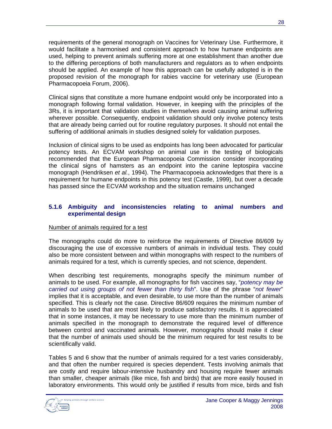requirements of the general monograph on Vaccines for Veterinary Use. Furthermore, it would facilitate a harmonised and consistent approach to how humane endpoints are used, helping to prevent animals suffering more at one establishment than another due to the differing perceptions of both manufacturers and regulators as to when endpoints should be applied. An example of how this approach can be usefully adopted is in the proposed revision of the monograph for rabies vaccine for veterinary use (European Pharmacopoeia Forum, 2006).

Clinical signs that constitute a more humane endpoint would only be incorporated into a monograph following formal validation. However, in keeping with the principles of the 3Rs, it is important that validation studies in themselves avoid causing animal suffering wherever possible. Consequently, endpoint validation should only involve potency tests that are already being carried out for routine regulatory purposes. It should not entail the suffering of additional animals in studies designed solely for validation purposes.

Inclusion of clinical signs to be used as endpoints has long been advocated for particular potency tests. An ECVAM workshop on animal use in the testing of biologicals recommended that the European Pharmacopoeia Commission consider incorporating the clinical signs of hamsters as an endpoint into the canine leptospira vaccine monograph (Hendriksen *et al.*, 1994). The Pharmacopoeia acknowledges that there is a requirement for humane endpoints in this potency test (Castle, 1999), but over a decade has passed since the ECVAM workshop and the situation remains unchanged

### **5.1.6 Ambiguity and inconsistencies relating to animal numbers and experimental design**

### Number of animals required for a test

The monographs could do more to reinforce the requirements of Directive 86/609 by discouraging the use of excessive numbers of animals in individual tests. They could also be more consistent between and within monographs with respect to the numbers of animals required for a test, which is currently species, and not science, dependent.

When describing test requirements, monographs specify the minimum number of animals to be used. For example, all monographs for fish vaccines say, "*potency may be carried out using groups of not fewer than thirty fish*". Use of the phrase "*not fewer*" implies that it is acceptable, and even desirable, to use more than the number of animals specified. This is clearly not the case. Directive 86/609 requires the minimum number of animals to be used that are most likely to produce satisfactory results. It is appreciated that in some instances, it may be necessary to use more than the minimum number of animals specified in the monograph to demonstrate the required level of difference between control and vaccinated animals. However, monographs should make it clear that the number of animals used should be the minimum required for test results to be scientifically valid.

Tables 5 and 6 show that the number of animals required for a test varies considerably, and that often the number required is species dependent. Tests involving animals that are costly and require labour-intensive husbandry and housing require fewer animals than smaller, cheaper animals (like mice, fish and birds) that are more easily housed in laboratory environments. This would only be justified if results from mice, birds and fish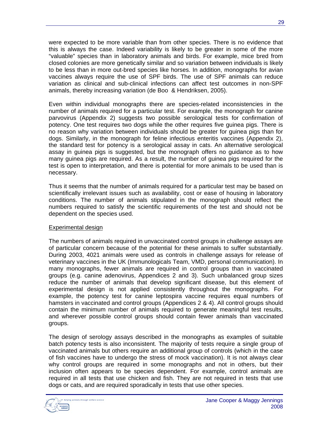were expected to be more variable than from other species. There is no evidence that this is always the case. Indeed variability is likely to be greater in some of the more "valuable" species than in laboratory animals and birds. For example, mice bred from closed colonies are more genetically similar and so variation between individuals is likely to be less than in more out-bred species like horses. In addition, monographs for avian vaccines always require the use of SPF birds. The use of SPF animals can reduce variation as clinical and sub-clinical infections can affect test outcomes in non-SPF animals, thereby increasing variation (de Boo & Hendriksen, 2005).

Even within individual monographs there are species-related inconsistencies in the number of animals required for a particular test. For example, the monograph for canine parvovirus (Appendix 2) suggests two possible serological tests for confirmation of potency. One test requires two dogs while the other requires five guinea pigs. There is no reason why variation between individuals should be greater for guinea pigs than for dogs. Similarly, in the monograph for feline infectious enteritis vaccines (Appendix 2), the standard test for potency is a serological assay in cats. An alternative serological assay in guinea pigs is suggested, but the monograph offers no guidance as to how many guinea pigs are required. As a result, the number of guinea pigs required for the test is open to interpretation, and there is potential for more animals to be used than is necessary.

Thus it seems that the number of animals required for a particular test may be based on scientifically irrelevant issues such as availability, cost or ease of housing in laboratory conditions. The number of animals stipulated in the monograph should reflect the numbers required to satisfy the scientific requirements of the test and should not be dependent on the species used.

#### Experimental design

The numbers of animals required in unvaccinated control groups in challenge assays are of particular concern because of the potential for these animals to suffer substantially. During 2003, 4021 animals were used as controls in challenge assays for release of veterinary vaccines in the UK (Immunologicals Team, VMD, personal communication). In many monographs, fewer animals are required in control groups than in vaccinated groups (e.g. canine adenovirus, Appendices 2 and 3). Such unbalanced group sizes reduce the number of animals that develop significant disease, but this element of experimental design is not applied consistently throughout the monographs. For example, the potency test for canine leptospira vaccine requires equal numbers of hamsters in vaccinated and control groups (Appendices 2 & 4). All control groups should contain the minimum number of animals required to generate meaningful test results, and wherever possible control groups should contain fewer animals than vaccinated groups.

The design of serology assays described in the monographs as examples of suitable batch potency tests is also inconsistent. The majority of tests require a single group of vaccinated animals but others require an additional group of controls (which in the case of fish vaccines have to undergo the stress of mock vaccination). It is not always clear why control groups are required in some monographs and not in others, but their inclusion often appears to be species dependent. For example, control animals are required in all tests that use chicken and fish. They are not required in tests that use dogs or cats, and are required sporadically in tests that use other species.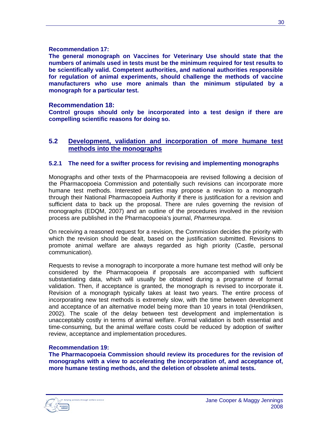#### **Recommendation 17:**

**The general monograph on Vaccines for Veterinary Use should state that the numbers of animals used in tests must be the minimum required for test results to be scientifically valid. Competent authorities, and national authorities responsible for regulation of animal experiments, should challenge the methods of vaccine manufacturers who use more animals than the minimum stipulated by a monograph for a particular test.** 

### **Recommendation 18:**

**Control groups should only be incorporated into a test design if there are compelling scientific reasons for doing so.**

### **5.2 Development, validation and incorporation of more humane test methods into the monographs**

#### **5.2.1 The need for a swifter process for revising and implementing monographs**

Monographs and other texts of the Pharmacopoeia are revised following a decision of the Pharmacopoeia Commission and potentially such revisions can incorporate more humane test methods. Interested parties may propose a revision to a monograph through their National Pharmacopoeia Authority if there is justification for a revision and sufficient data to back up the proposal. There are rules governing the revision of monographs (EDQM, 2007) and an outline of the procedures involved in the revision process are published in the Pharmacopoeia's journal, *Pharmeuropa*.

On receiving a reasoned request for a revision, the Commission decides the priority with which the revision should be dealt, based on the justification submitted. Revisions to promote animal welfare are always regarded as high priority (Castle, personal communication).

Requests to revise a monograph to incorporate a more humane test method will only be considered by the Pharmacopoeia if proposals are accompanied with sufficient substantiating data, which will usually be obtained during a programme of formal validation. Then, if acceptance is granted, the monograph is revised to incorporate it. Revision of a monograph typically takes at least two years. The entire process of incorporating new test methods is extremely slow, with the time between development and acceptance of an alternative model being more than 10 years in total (Hendriksen, 2002). The scale of the delay between test development and implementation is unacceptably costly in terms of animal welfare. Formal validation is both essential and time-consuming, but the animal welfare costs could be reduced by adoption of swifter review, acceptance and implementation procedures.

#### **Recommendation 19:**

**The Pharmacopoeia Commission should review its procedures for the revision of monographs with a view to accelerating the incorporation of, and acceptance of, more humane testing methods, and the deletion of obsolete animal tests.**

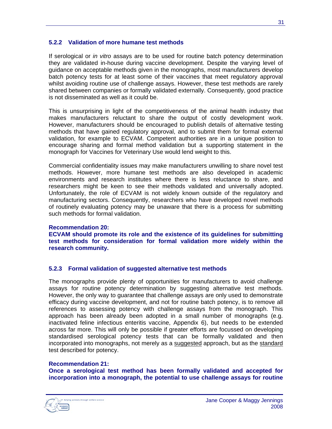### **5.2.2 Validation of more humane test methods**

If serological or *in vitro* assays are to be used for routine batch potency determination they are validated in-house during vaccine development. Despite the varying level of guidance on acceptable methods given in the monographs, most manufacturers develop batch potency tests for at least some of their vaccines that meet regulatory approval whilst avoiding routine use of challenge assays. However, these test methods are rarely shared between companies or formally validated externally. Consequently, good practice is not disseminated as well as it could be.

This is unsurprising in light of the competitiveness of the animal health industry that makes manufacturers reluctant to share the output of costly development work. However, manufacturers should be encouraged to publish details of alternative testing methods that have gained regulatory approval, and to submit them for formal external validation, for example to ECVAM. Competent authorities are in a unique position to encourage sharing and formal method validation but a supporting statement in the monograph for Vaccines for Veterinary Use would lend weight to this.

Commercial confidentiality issues may make manufacturers unwilling to share novel test methods. However, more humane test methods are also developed in academic environments and research institutes where there is less reluctance to share, and researchers might be keen to see their methods validated and universally adopted. Unfortunately, the role of ECVAM is not widely known outside of the regulatory and manufacturing sectors. Consequently, researchers who have developed novel methods of routinely evaluating potency may be unaware that there is a process for submitting such methods for formal validation.

#### **Recommendation 20:**

**ECVAM should promote its role and the existence of its guidelines for submitting test methods for consideration for formal validation more widely within the research community.**

#### **5.2.3 Formal validation of suggested alternative test methods**

The monographs provide plenty of opportunities for manufacturers to avoid challenge assays for routine potency determination by suggesting alternative test methods. However, the only way to guarantee that challenge assays are only used to demonstrate efficacy during vaccine development, and not for routine batch potency, is to remove all references to assessing potency with challenge assays from the monograph. This approach has been already been adopted in a small number of monographs (e.g. inactivated feline infectious enteritis vaccine, Appendix 6), but needs to be extended across far more. This will only be possible if greater efforts are focussed on developing standardised serological potency tests that can be formally validated and then incorporated into monographs, not merely as a suggested approach, but as the standard test described for potency.

#### **Recommendation 21:**

**Once a serological test method has been formally validated and accepted for incorporation into a monograph, the potential to use challenge assays for routine**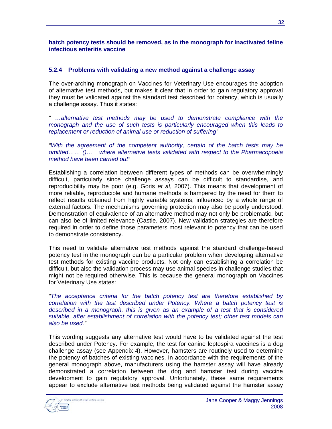### **batch potency tests should be removed, as in the monograph for inactivated feline infectious enteritis vaccine**

### **5.2.4 Problems with validating a new method against a challenge assay**

The over-arching monograph on Vaccines for Veterinary Use encourages the adoption of alternative test methods, but makes it clear that in order to gain regulatory approval they must be validated against the standard test described for potency, which is usually a challenge assay. Thus it states:

*" …alternative test methods may be used to demonstrate compliance with the monograph and the use of such tests is particularly encouraged when this leads to replacement or reduction of animal use or reduction of suffering"*

*"With the agreement of the competent authority, certain of the batch tests may be omitted…… ()… where alternative tests validated with respect to the Pharmacopoeia method have been carried out"*

Establishing a correlation between different types of methods can be overwhelmingly difficult, particularly since challenge assays can be difficult to standardise, and reproducibility may be poor (e.g. Goris *et al*, 2007). This means that development of more reliable, reproducible and humane methods is hampered by the need for them to reflect results obtained from highly variable systems, influenced by a whole range of external factors. The mechanisms governing protection may also be poorly understood. Demonstration of equivalence of an alternative method may not only be problematic, but can also be of limited relevance (Castle, 2007). New validation strategies are therefore required in order to define those parameters most relevant to potency that can be used to demonstrate consistency.

This need to validate alternative test methods against the standard challenge-based potency test in the monograph can be a particular problem when developing alternative test methods for existing vaccine products. Not only can establishing a correlation be difficult, but also the validation process may use animal species in challenge studies that might not be required otherwise. This is because the general monograph on Vaccines for Veterinary Use states:

*"The acceptance criteria for the batch potency test are therefore established by correlation with the test described under Potency. Where a batch potency test is described in a monograph, this is given as an example of a test that is considered suitable, after establishment of correlation with the potency test; other test models can also be used."*

This wording suggests any alternative test would have to be validated against the test described under Potency. For example, the test for canine leptospira vaccines is a dog challenge assay (see Appendix 4). However, hamsters are routinely used to determine the potency of batches of existing vaccines. In accordance with the requirements of the general monograph above, manufacturers using the hamster assay will have already demonstrated a correlation between the dog and hamster test during vaccine development to gain regulatory approval. Unfortunately, these same requirements appear to exclude alternative test methods being validated against the hamster assay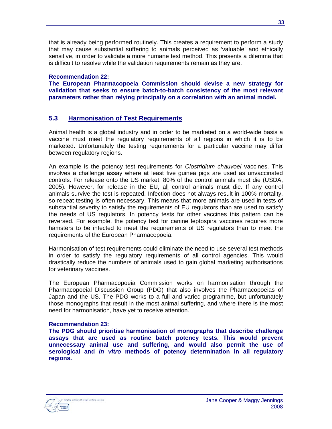that is already being performed routinely. This creates a requirement to perform a study that may cause substantial suffering to animals perceived as 'valuable' and ethically sensitive, in order to validate a more humane test method. This presents a dilemma that is difficult to resolve while the validation requirements remain as they are.

### **Recommendation 22:**

**The European Pharmacopoeia Commission should devise a new strategy for validation that seeks to ensure batch-to-batch consistency of the most relevant parameters rather than relying principally on a correlation with an animal model.**

### **5.3 Harmonisation of Test Requirements**

Animal health is a global industry and in order to be marketed on a world-wide basis a vaccine must meet the regulatory requirements of all regions in which it is to be marketed. Unfortunately the testing requirements for a particular vaccine may differ between regulatory regions.

An example is the potency test requirements for *Clostridium chauvoei* vaccines. This involves a challenge assay where at least five guinea pigs are used as unvaccinated controls. For release onto the US market, 80% of the control animals must die (USDA, 2005). However, for release in the EU, all control animals must die. If any control animals survive the test is repeated. Infection does not always result in 100% mortality, so repeat testing is often necessary. This means that more animals are used in tests of substantial severity to satisfy the requirements of EU regulators than are used to satisfy the needs of US regulators. In potency tests for other vaccines this pattern can be reversed. For example, the potency test for canine leptospira vaccines requires more hamsters to be infected to meet the requirements of US regulators than to meet the requirements of the European Pharmacopoeia.

Harmonisation of test requirements could eliminate the need to use several test methods in order to satisfy the regulatory requirements of all control agencies. This would drastically reduce the numbers of animals used to gain global marketing authorisations for veterinary vaccines.

The European Pharmacopoeia Commission works on harmonisation through the Pharmacopoeial Discussion Group (PDG) that also involves the Pharmacopoeias of Japan and the US. The PDG works to a full and varied programme, but unfortunately those monographs that result in the most animal suffering, and where there is the most need for harmonisation, have yet to receive attention.

### **Recommendation 23:**

**The PDG should prioritise harmonisation of monographs that describe challenge assays that are used as routine batch potency tests. This would prevent unnecessary animal use and suffering, and would also permit the use of serological and** *in vitro* **methods of potency determination in all regulatory regions.**

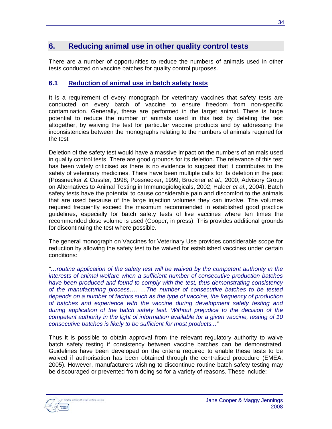### **6. Reducing animal use in other quality control tests**

There are a number of opportunities to reduce the numbers of animals used in other tests conducted on vaccine batches for quality control purposes.

### **6.1 Reduction of animal use in batch safety tests**

It is a requirement of every monograph for veterinary vaccines that safety tests are conducted on every batch of vaccine to ensure freedom from non-specific contamination. Generally, these are performed in the target animal. There is huge potential to reduce the number of animals used in this test by deleting the test altogether, by waiving the test for particular vaccine products and by addressing the inconsistencies between the monographs relating to the numbers of animals required for the test

Deletion of the safety test would have a massive impact on the numbers of animals used in quality control tests. There are good grounds for its deletion. The relevance of this test has been widely criticised as there is no evidence to suggest that it contributes to the safety of veterinary medicines. There have been multiple calls for its deletion in the past (Possnecker & Cussler, 1998; Possnecker, 1999; Bruckner *et al*., 2000; Advisory Group on Alternatives to Animal Testing in Immunogiologicals, 2002; Halder *et al*., 2004). Batch safety tests have the potential to cause considerable pain and discomfort to the animals that are used because of the large injection volumes they can involve. The volumes required frequently exceed the maximum recommended in established good practice guidelines, especially for batch safety tests of live vaccines where ten times the recommended dose volume is used (Cooper, in press). This provides additional grounds for discontinuing the test where possible.

The general monograph on Vaccines for Veterinary Use provides considerable scope for reduction by allowing the safety test to be waived for established vaccines under certain conditions:

*"…routine application of the safety test will be waived by the competent authority in the interests of animal welfare when a sufficient number of consecutive production batches have been produced and found to comply with the test, thus demonstrating consistency of the manufacturing process…. …The number of consecutive batches to be tested depends on a number of factors such as the type of vaccine, the frequency of production of batches and experience with the vaccine during development safety testing and during application of the batch safety test. Without prejudice to the decision of the competent authority in the light of information available for a given vaccine, testing of 10 consecutive batches is likely to be sufficient for most products..."*

Thus it is possible to obtain approval from the relevant regulatory authority to waive batch safety testing if consistency between vaccine batches can be demonstrated. Guidelines have been developed on the criteria required to enable these tests to be waived if authorisation has been obtained through the centralised procedure (EMEA, 2005). However, manufacturers wishing to discontinue routine batch safety testing may be discouraged or prevented from doing so for a variety of reasons. These include: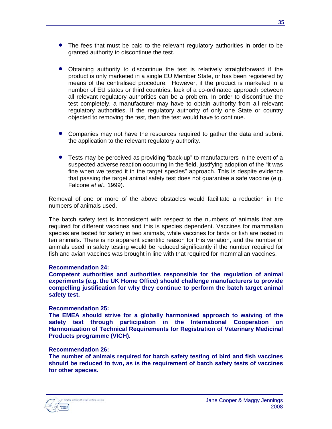- The fees that must be paid to the relevant regulatory authorities in order to be granted authority to discontinue the test.
- Obtaining authority to discontinue the test is relatively straightforward if the product is only marketed in a single EU Member State, or has been registered by means of the centralised procedure. However, if the product is marketed in a number of EU states or third countries, lack of a co-ordinated approach between all relevant regulatory authorities can be a problem. In order to discontinue the test completely, a manufacturer may have to obtain authority from all relevant regulatory authorities. If the regulatory authority of only one State or country objected to removing the test, then the test would have to continue.
- Companies may not have the resources required to gather the data and submit the application to the relevant regulatory authority.
- Tests may be perceived as providing "back-up" to manufacturers in the event of a suspected adverse reaction occurring in the field, justifying adoption of the "it was fine when we tested it in the target species" approach. This is despite evidence that passing the target animal safety test does not guarantee a safe vaccine (e.g. Falcone *et al*., 1999).

Removal of one or more of the above obstacles would facilitate a reduction in the numbers of animals used.

The batch safety test is inconsistent with respect to the numbers of animals that are required for different vaccines and this is species dependent. Vaccines for mammalian species are tested for safety in two animals, while vaccines for birds or fish are tested in ten animals. There is no apparent scientific reason for this variation, and the number of animals used in safety testing would be reduced significantly if the number required for fish and avian vaccines was brought in line with that required for mammalian vaccines.

#### **Recommendation 24:**

**Competent authorities and authorities responsible for the regulation of animal experiments (e.g. the UK Home Office) should challenge manufacturers to provide compelling justification for why they continue to perform the batch target animal safety test.** 

#### **Recommendation 25:**

**The EMEA should strive for a globally harmonised approach to waiving of the safety test through participation in the International Cooperation on Harmonization of Technical Requirements for Registration of Veterinary Medicinal Products programme (VICH).**

#### **Recommendation 26:**

**The number of animals required for batch safety testing of bird and fish vaccines should be reduced to two, as is the requirement of batch safety tests of vaccines for other species.**

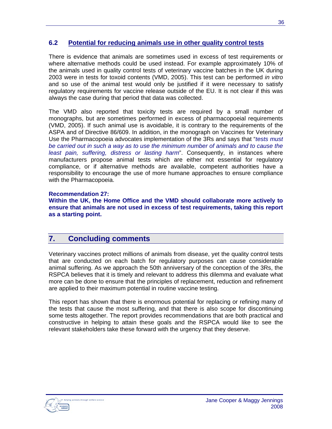### **6.2 Potential for reducing animals use in other quality control tests**

There is evidence that animals are sometimes used in excess of test requirements or where alternative methods could be used instead. For example approximately 10% of the animals used in quality control tests of veterinary vaccine batches in the UK during 2003 were in tests for toxoid contents (VMD, 2005). This test can be performed *in vitro* and so use of the animal test would only be justified if it were necessary to satisfy regulatory requirements for vaccine release outside of the EU. It is not clear if this was always the case during that period that data was collected.

The VMD also reported that toxicity tests are required by a small number of monographs, but are sometimes performed in excess of pharmacopoeial requirements (VMD, 2005). If such animal use is avoidable, it is contrary to the requirements of the ASPA and of Directive 86/609. In addition, in the monograph on Vaccines for Veterinary Use the Pharmacopoeia advocates implementation of the 3Rs and says that "*tests must be carried out in such a way as to use the minimum number of animals and to cause the least pain, suffering, distress or lasting harm*". Consequently, in instances where manufacturers propose animal tests which are either not essential for regulatory compliance, or if alternative methods are available, competent authorities have a responsibility to encourage the use of more humane approaches to ensure compliance with the Pharmacopoeia.

### **Recommendation 27:**

**Within the UK, the Home Office and the VMD should collaborate more actively to ensure that animals are not used in excess of test requirements, taking this report as a starting point.**

## **7. Concluding comments**

Veterinary vaccines protect millions of animals from disease, yet the quality control tests that are conducted on each batch for regulatory purposes can cause considerable animal suffering. As we approach the 50th anniversary of the conception of the 3Rs, the RSPCA believes that it is timely and relevant to address this dilemma and evaluate what more can be done to ensure that the principles of replacement, reduction and refinement are applied to their maximum potential in routine vaccine testing.

This report has shown that there is enormous potential for replacing or refining many of the tests that cause the most suffering, and that there is also scope for discontinuing some tests altogether. The report provides recommendations that are both practical and constructive in helping to attain these goals and the RSPCA would like to see the relevant stakeholders take these forward with the urgency that they deserve.

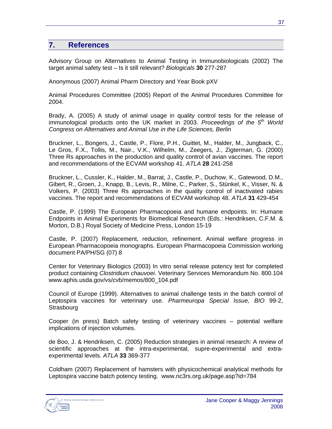### **7. References**

Advisory Group on Alternatives to Animal Testing in Immunobiologicals (2002) The target animal safety test – Is it still relevant? *Biologicals* **30** 277-287

Anonymous (2007) Animal Pharm Directory and Year Book pXV

Animal Procedures Committee (2005) Report of the Animal Procedures Committee for 2004.

Brady, A. (2005) A study of animal usage in quality control tests for the release of immunological products onto the UK market in 2003. *Proceedings of the 5th World Congress on Alternatives and Animal Use in the Life Sciences, Berlin*

Bruckner, L., Bongers, J., Castle, P., Flore, P.H., Guittet, M., Halder, M., Jungback, C., Le Gros, F.X., Tollis, M., Nair., V.K., Wilhelm, M., Zeegers, J., Zigterman, G. (2000) Three Rs approaches in the production and quality control of avian vaccines. The report and recommendations of the ECVAM workshop 41. *ATLA* **28** 241-258

Bruckner, L., Cussler, K., Halder, M., Barrat, J., Castle, P., Duchow, K., Gatewood, D.M., Gibert, R., Groen, J., Knapp, B., Levis, R., Milne, C., Parker, S., Stünkel, K., Visser, N. & Volkers, P. (2003) Three Rs approaches in the quality control of inactivated rabies vaccines. The report and recommendations of ECVAM workshop 48. *ATLA* **31** 429-454

Castle, P. (1999) The European Pharmacopoeia and humane endpoints. In: Humane Endpoints in Animal Experiments for Biomedical Research (Eds.: Hendriksen, C.F.M. & Morton, D.B.) Royal Society of Medicine Press, London 15-19

Castle, P. (2007) Replacement, reduction, refinement. Animal welfare progress in European Pharmacopoeia monographs. European Pharmacopoeia Commission working document PA/PH/SG (07) 8

Center for Veterinary Biologics (2003) In vitro serial release potency test for completed product containing *Clostridium chauvoei*. Veterinary Services Memorandum No. 800.104 www.aphis.usda.gov/vs/cvb/memos/800\_104.pdf

Council of Europe (1999). Alternatives to animal challenge tests in the batch control of Leptospira vaccines for veterinary use. *Pharmeuropa Special Issue, BIO* 99-2, Strasbourg

Cooper (in press) Batch safety testing of veterinary vaccines – potential welfare implications of injection volumes.

de Boo, J. & Hendriksen, C. (2005) Reduction strategies in animal research: A review of scientific approaches at the intra-experimental, supre-experimental and extraexperimental levels. *ATLA* **33** 369-377

Coldham (2007) Replacement of hamsters with physicochemical analytical methods for Leptospira vaccine batch potency testing. www.nc3rs.org.uk/page.asp?id=784

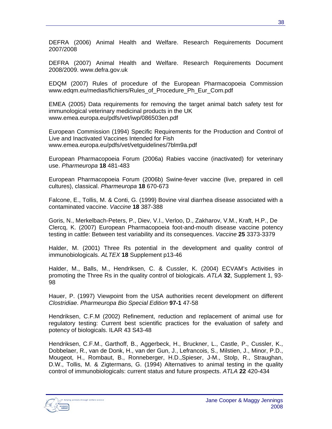DEFRA (2006) Animal Health and Welfare. Research Requirements Document 2007/2008

DEFRA (2007) Animal Health and Welfare. Research Requirements Document 2008/2009. www.defra.gov.uk

EDQM (2007) Rules of procedure of the European Pharmacopoeia Commission www.edqm.eu/medias/fichiers/Rules\_of\_Procedure\_Ph\_Eur\_Com.pdf

EMEA (2005) Data requirements for removing the target animal batch safety test for immunological veterinary medicinal products in the UK www.emea.europa.eu/pdfs/vet/iwp/086503en.pdf

European Commission (1994) Specific Requirements for the Production and Control of Live and Inactivated Vaccines Intended for Fish www.emea.europa.eu/pdfs/vet/vetguidelines/7blm9a.pdf

European Pharmacopoeia Forum (2006a) Rabies vaccine (inactivated) for veterinary use. *Pharmeuropa* **18** 481-483

European Pharmacopoeia Forum (2006b) Swine-fever vaccine (live, prepared in cell cultures), classical. *Pharmeuropa* **18** 670-673

Falcone, E., Tollis, M. & Conti, G. (1999) Bovine viral diarrhea disease associated with a contaminated vaccine. *Vaccine* **18** 387-388

Goris, N., Merkelbach-Peters, P., Diev, V.I., Verloo, D., Zakharov, V.M., Kraft, H.P., De Clercq, K. (2007) European Pharmacopoeia foot-and-mouth disease vaccine potency testing in cattle: Between test variability and its consequences. *Vaccine* **25** 3373-3379

Halder, M. (2001) Three Rs potential in the development and quality control of immunobiologicals. *ALTEX* **18** Supplement p13-46

Halder, M., Balls, M., Hendriksen, C. & Cussler, K. (2004) ECVAM's Activities in promoting the Three Rs in the quality control of biologicals. *ATLA* **32**, Supplement 1, 93- 98

Hauer, P. (1997) Viewpoint from the USA authorities recent development on different *Clostridiae*. *Pharmeuropa Bio Special Edition* **97-1** 47-58

Hendriksen, C.F.M (2002) Refinement, reduction and replacement of animal use for regulatory testing: Current best scientific practices for the evaluation of safety and potency of biologicals. ILAR 43 S43-48

Hendriksen, C.F.M., Garthoff, B., Aggerbeck, H., Bruckner, L., Castle, P., Cussler, K., Dobbelaer, R., van de Donk, H., van der Gun, J., Lefrancois, S., Milstien, J., Minor, P.D., Mougeot, H., Rombaut, B., Ronneberger, H.D.,Spieser, J-M., Stolp, R., Straughan, D.W., Tollis, M. & Zigtermans, G. (1994) Alternatives to animal testing in the quality control of immunobiologicals: current status and future prospects. *ATLA* **22** 420-434

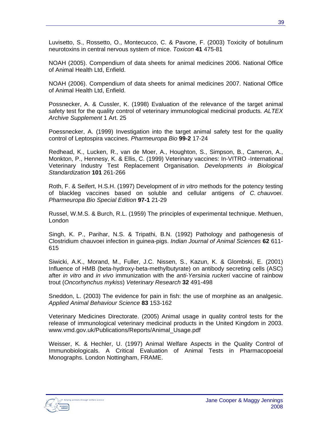Luvisetto, S., Rossetto, O., Montecucco, C. & Pavone, F. (2003) Toxicity of botulinum neurotoxins in central nervous system of mice. *Toxicon* **41** 475-81

NOAH (2005). Compendium of data sheets for animal medicines 2006. National Office of Animal Health Ltd, Enfield.

NOAH (2006). Compendium of data sheets for animal medicines 2007. National Office of Animal Health Ltd, Enfield.

Possnecker, A. & Cussler, K. (1998) Evaluation of the relevance of the target animal safety test for the quality control of veterinary immunological medicinal products*. ALTEX Archive Supplement* 1 Art. 25

Poessnecker, A. (1999) Investigation into the target animal safety test for the quality control of Leptospira vaccines. *Pharmeuropa Bio* **99-2** 17-24

Redhead, K., Lucken, R., van de Moer, A., Houghton, S., Simpson, B., Cameron, A., Monkton, P., Hennesy, K. & Ellis, C. (1999) Veterinary vaccines: In-VITRO -International Veterinary Industry Test Replacement Organisation. *Developments in Biological Standardization* **101** 261-266

Roth, F. & Seifert, H.S.H. (1997) Development of *in vitro* methods for the potency testing of blackleg vaccines based on soluble and cellular antigens *of C. chauvoei*. *Pharmeuropa Bio Special Edition* **97-1** 21-29

Russel, W.M.S. & Burch, R.L. (1959) The principles of experimental technique. Methuen, London

Singh, K. P., Parihar, N.S. & Tripathi, B.N. (1992) Pathology and pathogenesis of Clostridium chauvoei infection in guinea-pigs. *Indian Journal of Animal Sciences* **62** 611- 615

Siwicki, A.K., Morand, M., Fuller, J.C. Nissen, S., Kazun, K. & Glombski, E. (2001) Influence of HMB (beta-hydroxy-beta-methylbutyrate) on antibody secreting cells (ASC) after *in vitro* and *in vivo* immunization with the *anti-Yersinia ruckeri* vaccine of rainbow trout (*Oncorhynchus mykiss*) *Veterinary Research* **32** 491-498

Sneddon, L. (2003) The evidence for pain in fish: the use of morphine as an analgesic. *Applied Animal Behaviour Science* **83** 153-162

Veterinary Medicines Directorate. (2005) Animal usage in quality control tests for the release of immunological veterinary medicinal products in the United Kingdom in 2003. www.vmd.gov.uk/Publications/Reports/Animal\_Usage.pdf

Weisser, K. & Hechler, U. (1997) Animal Welfare Aspects in the Quality Control of Immunobiologicals. A Critical Evaluation of Animal Tests in Pharmacopoeial Monographs. London Nottingham, FRAME.

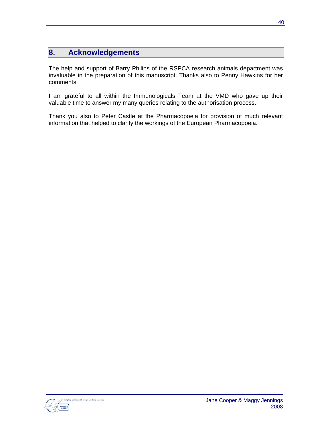## **8. Acknowledgements**

The help and support of Barry Philips of the RSPCA research animals department was invaluable in the preparation of this manuscript. Thanks also to Penny Hawkins for her comments.

I am grateful to all within the Immunologicals Team at the VMD who gave up their valuable time to answer my many queries relating to the authorisation process.

Thank you also to Peter Castle at the Pharmacopoeia for provision of much relevant information that helped to clarify the workings of the European Pharmacopoeia.

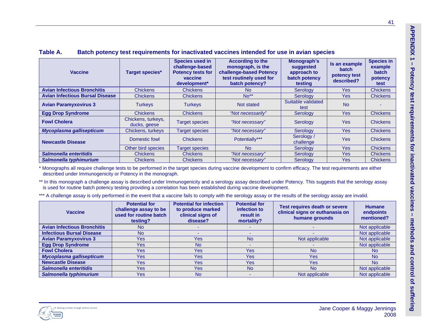| <b>Vaccine</b>                         | <b>Target species*</b>             | <b>Species used in</b><br>challenge-based<br><b>Potency tests for</b><br>vaccine<br>development* | <b>According to the</b><br>monograph, is the<br>challenge-based Potency<br>test routinely used for<br>batch potency? | Monograph's<br>suggested<br>approach to<br>batch potency<br>testing | Is an example<br><b>batch</b><br>potency test<br>described? | <b>Species in</b><br>example<br><b>batch</b><br>potency<br>test |
|----------------------------------------|------------------------------------|--------------------------------------------------------------------------------------------------|----------------------------------------------------------------------------------------------------------------------|---------------------------------------------------------------------|-------------------------------------------------------------|-----------------------------------------------------------------|
| <b>Avian Infectious Bronchitis</b>     | <b>Chickens</b>                    | <b>Chickens</b>                                                                                  | N <sub>o</sub>                                                                                                       | Serology                                                            | <b>Yes</b>                                                  | <b>Chickens</b>                                                 |
| <b>Avian Infectious Bursal Disease</b> | <b>Chickens</b>                    | <b>Chickens</b>                                                                                  | $No**$                                                                                                               | Serology                                                            | <b>Yes</b>                                                  | <b>Chickens</b>                                                 |
| <b>Avian Paramyxovirus 3</b>           | <b>Turkeys</b>                     | <b>Turkeys</b>                                                                                   | Not stated                                                                                                           | Suitable validated<br>test                                          | <b>No</b>                                                   |                                                                 |
| <b>Egg Drop Syndrome</b>               | <b>Chickens</b>                    | <b>Chickens</b>                                                                                  | "Not necessarily"                                                                                                    | Serology                                                            | <b>Yes</b>                                                  | <b>Chickens</b>                                                 |
| <b>Fowl Cholera</b>                    | Chickens, turkeys,<br>ducks, geese | <b>Target species</b>                                                                            | "Not necessary"                                                                                                      | Serology                                                            | <b>Yes</b>                                                  | <b>Chickens</b>                                                 |
| Mycoplasma gallisepticum               | Chickens, turkeys                  | Target species                                                                                   | "Not necessary"                                                                                                      | Serology                                                            | <b>Yes</b>                                                  | <b>Chickens</b>                                                 |
| <b>Newcastle Disease</b>               | Domestic fowl                      | <b>Chickens</b>                                                                                  | Potentially***                                                                                                       | Serology /<br>challenge                                             | <b>Yes</b>                                                  | <b>Chickens</b>                                                 |
|                                        | Other bird species                 | Target species                                                                                   | <b>No</b>                                                                                                            | Serology                                                            | <b>Yes</b>                                                  | <b>Chickens</b>                                                 |
| Salmonella enteritidis                 | <b>Chickens</b>                    | <b>Chickens</b>                                                                                  | "Not necessary"                                                                                                      | Serology                                                            | Yes                                                         | <b>Chickens</b>                                                 |
| Salmonella typhimurium                 | <b>Chickens</b>                    | <b>Chickens</b>                                                                                  | "Not necessary"                                                                                                      | Serology                                                            | <b>Yes</b>                                                  | <b>Chickens</b>                                                 |

### **Table A. Batch potency test requirements for inactivated vaccines intended for use in avian species**

\* Monographs all require challenge tests to be performed in the target species during vaccine development to confirm efficacy. The test requirements are either described under Immunogenicity or Potency in the monograph.

\*\* In this monograph a challenge assay is described under Immunogenicity and a serology assay described under Potency. This suggests that the serology assay is used for routine batch potency testing providing a correlation has been established during vaccine development.

\*\*\* A challenge assay is only performed in the event that a vaccine fails to comply with the serology assay or the results of the serology assay are invalid.

| <b>Vaccine</b>                     | <b>Potential for</b><br>challenge assay to be<br>used for routine batch<br>testing? | <b>Potential for infection</b><br>to produce marked<br>clinical signs of<br>disease? | <b>Potential for</b><br>infection to<br>result in<br>mortality? | <b>Test requires death or severe</b><br>clinical signs or euthanasia on<br>humane grounds | <b>Humane</b><br>endpoints<br>mentioned? |
|------------------------------------|-------------------------------------------------------------------------------------|--------------------------------------------------------------------------------------|-----------------------------------------------------------------|-------------------------------------------------------------------------------------------|------------------------------------------|
| <b>Avian Infectious Bronchitis</b> | <b>No</b>                                                                           |                                                                                      |                                                                 |                                                                                           | Not applicable                           |
| <b>Infectious Bursal Disease</b>   | <b>No</b>                                                                           |                                                                                      |                                                                 |                                                                                           | Not applicable                           |
| <b>Avian Paramyxovirus 3</b>       | Yes                                                                                 | Yes                                                                                  | <b>No</b>                                                       | Not applicable                                                                            | Not applicable                           |
| <b>Egg Drop Syndrome</b>           | Yes                                                                                 | <b>No</b>                                                                            |                                                                 |                                                                                           | Not applicable                           |
| <b>Fowl Cholera</b>                | Yes                                                                                 | Yes                                                                                  | Yes:                                                            | <b>No</b>                                                                                 | <b>No</b>                                |
| Mycoplasma gallisepticum           | Yes                                                                                 | Yes                                                                                  | Yes:                                                            | Yes                                                                                       | <b>No</b>                                |
| <b>Newcastle Disease</b>           | Yes                                                                                 | Yes                                                                                  | Yes:                                                            | Yes                                                                                       | <b>No</b>                                |
| Salmonella enteritidis             | Yes                                                                                 | Yes                                                                                  | <b>No</b>                                                       | <b>No</b>                                                                                 | Not applicable                           |
| Salmonella typhimurium             | Yes                                                                                 | <b>No</b>                                                                            |                                                                 | Not applicable                                                                            | Not applicable                           |



**g**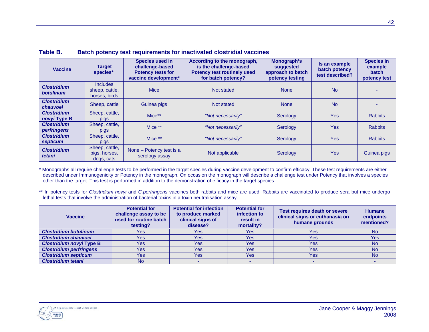| <b>Vaccine</b>                         | <b>Target</b><br>species*                          | <b>Species used in</b><br>challenge-based<br><b>Potency tests for</b><br>vaccine development* | According to the monograph,<br>is the challenge-based<br><b>Potency test routinely used</b><br>approach to batch<br>for batch potency? |             | Is an example<br>batch potency<br>test described? | <b>Species in</b><br>example<br><b>batch</b><br>potency test |
|----------------------------------------|----------------------------------------------------|-----------------------------------------------------------------------------------------------|----------------------------------------------------------------------------------------------------------------------------------------|-------------|---------------------------------------------------|--------------------------------------------------------------|
| <b>Clostridium</b><br><b>botulinum</b> | <b>Includes</b><br>sheep, cattle,<br>horses, birds | <b>Mice</b>                                                                                   | Not stated                                                                                                                             | <b>None</b> | <b>No</b>                                         |                                                              |
| <b>Clostridium</b><br>chauvoei         | Sheep, cattle                                      | Guinea pigs                                                                                   | Not stated                                                                                                                             | <b>None</b> | <b>No</b>                                         |                                                              |
| <b>Clostridium</b><br>novyi Type B     | Sheep, cattle,<br>pigs                             | Mice**                                                                                        | "Not necessarily"                                                                                                                      | Serology    | <b>Yes</b>                                        | <b>Rabbits</b>                                               |
| <b>Clostridium</b><br>perfringens      | Sheep, cattle,<br><b>pigs</b>                      | Mice **                                                                                       | "Not necessarily"                                                                                                                      | Serology    | <b>Yes</b>                                        | <b>Rabbits</b>                                               |
| <b>Clostridium</b><br>septicum         | Sheep, cattle,<br>pigs                             | Mice **                                                                                       | "Not necessarily"                                                                                                                      | Serology    | <b>Yes</b>                                        | <b>Rabbits</b>                                               |
| <b>Clostridium</b><br>tetani           | Sheep, cattle,<br>pigs, horses,<br>dogs, cats      | None – Potency test is a<br>serology assay                                                    | Not applicable                                                                                                                         | Serology    | <b>Yes</b>                                        | Guinea pigs                                                  |

#### **Table B. Batch potency test requirements for inactivated clostridial vaccines**

\* Monographs all require challenge tests to be performed in the target species during vaccine development to confirm efficacy. These test requirements are either described under Immunogenicity or Potency in the monograph. On occasion the monograph will describe a challenge test under Potency that involves a species other than the target. This test is performed in addition to the demonstration of efficacy in the target species.

\*\* In potency tests for *Clostridium novyi* and *C.perfringens* vaccines both rabbits and mice are used. Rabbits are vaccinated to produce sera but mice undergo lethal tests that involve the administration of bacterial toxins in a toxin neutralisation assay.

| <b>Vaccine</b>                  | <b>Potential for</b><br>challenge assay to be<br>used for routine batch<br>testing? | <b>Potential for infection</b><br>to produce marked<br>clinical signs of<br>disease? | <b>Potential for</b><br>infection to<br>result in<br>mortality? | Test requires death or severe<br>clinical signs or euthanasia on<br>humane grounds | <b>Humane</b><br>endpoints<br>mentioned? |
|---------------------------------|-------------------------------------------------------------------------------------|--------------------------------------------------------------------------------------|-----------------------------------------------------------------|------------------------------------------------------------------------------------|------------------------------------------|
| <b>Clostridium botulinum</b>    | Yes:                                                                                | Yes:                                                                                 | Yes                                                             | Yes                                                                                | <b>No</b>                                |
| <b>Clostridium chauvoei</b>     | <b>Yes</b>                                                                          | <b>Yes</b>                                                                           | Yes                                                             | <b>Yes</b>                                                                         | Yes                                      |
| <b>Clostridium novyi Type B</b> | <b>Yes</b>                                                                          | Yes                                                                                  | Yes                                                             | <b>Yes</b>                                                                         | <b>No</b>                                |
| <b>Clostridium perfringens</b>  | <b>Yes</b>                                                                          | <b>Yes</b>                                                                           | <b>Yes</b>                                                      | <b>Yes</b>                                                                         | <b>No</b>                                |
| <b>Clostridium septicum</b>     | <b>Yes</b>                                                                          | <b>Yes</b>                                                                           | <b>Yes</b>                                                      | <b>Yes</b>                                                                         | <b>No</b>                                |
| <b>Clostridium tetani</b>       | No                                                                                  |                                                                                      |                                                                 |                                                                                    |                                          |

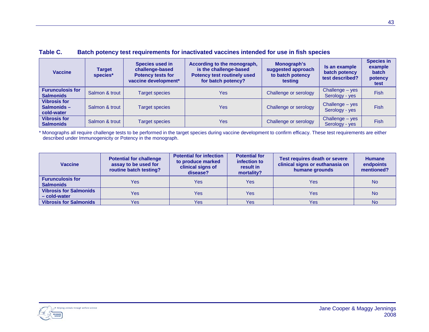| <b>Vaccine</b>                                  | <b>Target</b><br>species* | <b>Species used in</b><br>challenge-based<br><b>Potency tests for</b><br>vaccine development* | According to the monograph,<br>is the challenge-based<br><b>Potency test routinely used</b><br>for batch potency? | Monograph's<br>suggested approach<br>to batch potency<br>testing | Is an example<br>batch potency<br>test described? | <b>Species in</b><br>example<br>batch<br>potency<br>test |
|-------------------------------------------------|---------------------------|-----------------------------------------------------------------------------------------------|-------------------------------------------------------------------------------------------------------------------|------------------------------------------------------------------|---------------------------------------------------|----------------------------------------------------------|
| <b>Furunculosis for</b><br><b>Salmonids</b>     | Salmon & trout            | <b>Target species</b>                                                                         | <b>Yes</b>                                                                                                        | Challenge or serology                                            | Challenge - yes<br>Serology - yes                 | <b>Fish</b>                                              |
| <b>Vibrosis for</b><br>Salmonids-<br>cold-water | Salmon & trout            | <b>Target species</b>                                                                         | <b>Yes</b>                                                                                                        | Challenge or serology                                            | Challenge - yes<br>Serology - yes                 | <b>Fish</b>                                              |
| <b>Vibrosis for</b><br><b>Salmonids</b>         | Salmon & trout            | <b>Target species</b>                                                                         | <b>Yes</b>                                                                                                        | Challenge or serology                                            | Challenge - yes<br>Serology - yes                 | <b>Fish</b>                                              |

### **Table C. Batch potency test requirements for inactivated vaccines intended for use in fish species**

\* Monographs all require challenge tests to be performed in the target species during vaccine development to confirm efficacy. These test requirements are either described under Immunogenicity or Potency in the monograph.

| <b>Vaccine</b>                                | <b>Potential for challenge</b><br>assay to be used for<br>routine batch testing? | <b>Potential for infection</b><br>to produce marked<br>clinical signs of<br>disease? | <b>Potential for</b><br>infection to<br>result in<br>mortality? | <b>Test requires death or severe</b><br>clinical signs or euthanasia on<br>humane grounds | <b>Humane</b><br>endpoints<br>mentioned? |
|-----------------------------------------------|----------------------------------------------------------------------------------|--------------------------------------------------------------------------------------|-----------------------------------------------------------------|-------------------------------------------------------------------------------------------|------------------------------------------|
| <b>Furunculosis for</b><br><b>Salmonids</b>   | Yes                                                                              | Yes                                                                                  | Yes                                                             | Yes                                                                                       | <b>No</b>                                |
| <b>Vibrosis for Salmonids</b><br>- cold-water | Yes                                                                              | Yes                                                                                  | Yes                                                             | Yes                                                                                       | <b>No</b>                                |
| <b>Vibrosis for Salmonids</b>                 | Yes                                                                              | <b>Yes</b>                                                                           | <b>Yes</b>                                                      | Yes                                                                                       | <b>No</b>                                |

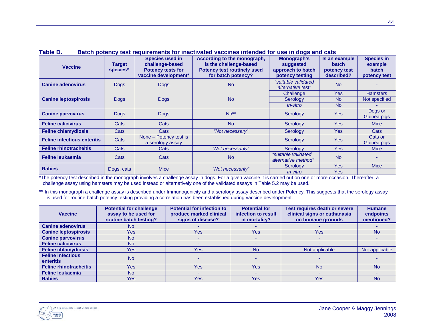| <b>Target</b><br><b>Vaccine</b><br>species* |              | <b>Species used in</b><br>challenge-based<br><b>Potency tests for</b><br>vaccine development* | According to the monograph,<br>is the challenge-based<br><b>Potency test routinely used</b><br>for batch potency? | Monograph's<br>suggested<br>approach to batch<br>potency testing | Is an example<br><b>batch</b><br>potency test<br>described? | <b>Species in</b><br>example<br><b>batch</b><br>potency test |
|---------------------------------------------|--------------|-----------------------------------------------------------------------------------------------|-------------------------------------------------------------------------------------------------------------------|------------------------------------------------------------------|-------------------------------------------------------------|--------------------------------------------------------------|
| <b>Canine adenovirus</b>                    | <b>Dogs</b>  | <b>Dogs</b>                                                                                   | <b>No</b>                                                                                                         | "suitable validated<br>alternative test"                         | <b>No</b>                                                   |                                                              |
|                                             |              |                                                                                               |                                                                                                                   | Challenge                                                        | Yes                                                         | <b>Hamsters</b>                                              |
| <b>Canine leptospirosis</b>                 | <b>Dogs</b>  | <b>Dogs</b>                                                                                   | <b>No</b>                                                                                                         | Serology                                                         | <b>No</b>                                                   | Not specified                                                |
|                                             |              |                                                                                               |                                                                                                                   | <i>In-vitro</i>                                                  | <b>No</b>                                                   |                                                              |
| <b>Canine parvovirus</b>                    | <b>Dogs</b>  | <b>Dogs</b>                                                                                   | $No**$                                                                                                            | Serology                                                         | <b>Yes</b>                                                  | Dogs or<br>Guinea pigs                                       |
| <b>Feline calicivirus</b>                   | Cats         | Cats                                                                                          | <b>No</b>                                                                                                         | Serology                                                         | <b>Yes</b>                                                  | <b>Mice</b>                                                  |
| <b>Feline chlamydiosis</b>                  | Cats         | Cats                                                                                          | "Not necessary"                                                                                                   | Serology                                                         | <b>Yes</b>                                                  | Cats                                                         |
| <b>Feline infectious enteritis</b>          | Cats         | None – Potency test is<br>a serology assay                                                    |                                                                                                                   | Serology                                                         | <b>Yes</b>                                                  | Cats or<br>Guinea pigs                                       |
| <b>Feline rhinotracheitis</b>               | Cats         | Cats                                                                                          | "Not necessarily"                                                                                                 | Serology                                                         | Yes                                                         | <b>Mice</b>                                                  |
| Feline leukaemia                            | Cats<br>Cats |                                                                                               | <b>No</b>                                                                                                         | "suitable validated<br>alternative method"                       | <b>No</b>                                                   |                                                              |
| <b>Rabies</b>                               |              | <b>Mice</b>                                                                                   | "Not necessarily"                                                                                                 | Serology                                                         | Yes                                                         | <b>Mice</b>                                                  |
|                                             | Dogs, cats   |                                                                                               |                                                                                                                   | <i>In vitro</i>                                                  | <b>Yes</b>                                                  |                                                              |

#### **Table D.Batch potency test requirements for inactivated vaccines intended for use in dogs and cats**

\*The potency test described in the monograph involves a challenge assay in dogs. For a given vaccine it is carried out on one or more occasion. Thereafter, a challenge assay using hamsters may be used instead or alternatively one of the validated assays in Table 5.2 may be used.

\*\* In this monograph a challenge assay is described under Immunogenicity and a serology assay described under Potency. This suggests that the serology assay is used for routine batch potency testing providing a correlation has been established during vaccine development.

| <b>Vaccine</b>                               | <b>Potential for challenge</b><br>assay to be used for<br>routine batch testing? | <b>Potential for infection to</b><br>produce marked clinical<br>signs of disease? | <b>Potential for</b><br>infection to result<br>in mortality? | Test requires death or severe<br>clinical signs or euthanasia<br>on humane grounds | <b>Humane</b><br>endpoints<br>mentioned? |
|----------------------------------------------|----------------------------------------------------------------------------------|-----------------------------------------------------------------------------------|--------------------------------------------------------------|------------------------------------------------------------------------------------|------------------------------------------|
| <b>Canine adenovirus</b>                     | No                                                                               |                                                                                   |                                                              |                                                                                    |                                          |
| <b>Canine leptospirosis</b>                  | Yes                                                                              | Yes                                                                               | Yes:                                                         | Yes                                                                                | <b>No</b>                                |
| <b>Canine parvovirus</b>                     | <b>No</b>                                                                        |                                                                                   |                                                              |                                                                                    |                                          |
| <b>Feline calicivirus</b>                    | <b>No</b>                                                                        |                                                                                   |                                                              |                                                                                    |                                          |
| <b>Feline chlamydiosis</b>                   | Yes                                                                              | Yes                                                                               | <b>No</b>                                                    | Not applicable                                                                     | Not applicable                           |
| <b>Feline infectious</b><br><b>enteritis</b> | <b>No</b>                                                                        |                                                                                   |                                                              |                                                                                    |                                          |
| <b>Feline rhinotracheitis</b>                | Yes                                                                              | <b>Yes</b>                                                                        | <b>Yes</b>                                                   | <b>No</b>                                                                          | <b>No</b>                                |
| <b>Feline leukaemia</b>                      | <b>No</b>                                                                        |                                                                                   |                                                              |                                                                                    |                                          |
| <b>Rabies</b>                                | Yes                                                                              | Yes                                                                               | Yes                                                          | Yes                                                                                | <b>No</b>                                |

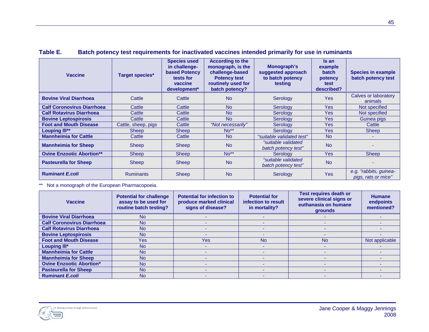| <b>Vaccine</b>                    | <b>Target species*</b> | <b>Species used</b><br>in challenge-<br><b>based Potency</b><br>tests for<br>vaccine<br>development* | <b>According to the</b><br>monograph, is the<br>challenge-based<br><b>Potency test</b><br>routinely used for<br>batch potency? | Monograph's<br>suggested approach<br>to batch potency<br>testing | Is an<br>example<br><b>batch</b><br>potency<br>test<br>described? | <b>Species in example</b><br>batch potency test |
|-----------------------------------|------------------------|------------------------------------------------------------------------------------------------------|--------------------------------------------------------------------------------------------------------------------------------|------------------------------------------------------------------|-------------------------------------------------------------------|-------------------------------------------------|
| <b>Bovine Viral Diarrhoea</b>     | Cattle                 | Cattle                                                                                               | <b>No</b>                                                                                                                      | Serology                                                         | <b>Yes</b>                                                        | Calves or laboratory<br>animals                 |
| <b>Calf Coronovirus Diarrhoea</b> | Cattle                 | Cattle                                                                                               | N <sub>o</sub>                                                                                                                 | Serology                                                         | <b>Yes</b>                                                        | Not specified                                   |
| <b>Calf Rotavirus Diarrhoea</b>   | Cattle                 | Cattle                                                                                               | <b>No</b>                                                                                                                      | Serology                                                         | <b>Yes</b>                                                        | Not specified                                   |
| <b>Bovine Leptospirosis</b>       | Cattle                 | Cattle                                                                                               | <b>No</b>                                                                                                                      | Serology                                                         | <b>Yes</b>                                                        | Guinea pigs                                     |
| <b>Foot and Mouth Disease</b>     | Cattle, sheep, pigs    | Cattle                                                                                               | "Not necessarily"                                                                                                              | Serology                                                         | <b>Yes</b>                                                        | Cattle                                          |
| Louping III**                     | Sheep                  | <b>Sheep</b>                                                                                         | $No**$                                                                                                                         | Serology                                                         | <b>Yes</b>                                                        | <b>Sheep</b>                                    |
| <b>Mannheimia for Cattle</b>      | Cattle                 | Cattle                                                                                               | <b>No</b>                                                                                                                      | "suitable validated test"                                        | <b>No</b>                                                         | $\overline{\phantom{a}}$                        |
| <b>Mannheimia for Sheep</b>       | <b>Sheep</b>           | <b>Sheep</b>                                                                                         | <b>No</b>                                                                                                                      | "suitable validated<br>batch potency test"                       | <b>No</b>                                                         |                                                 |
| <b>Ovine Enzootic Abortion**</b>  | <b>Sheep</b>           | <b>Sheep</b>                                                                                         | $No**$                                                                                                                         | Serology                                                         | <b>Yes</b>                                                        | Sheep                                           |
| <b>Pasteurella for Sheep</b>      | <b>Sheep</b>           | <b>Sheep</b>                                                                                         | <b>No</b>                                                                                                                      | "suitable validated<br>batch potency test"                       | <b>No</b>                                                         |                                                 |
| <b>Ruminant E.coli</b>            | <b>Ruminants</b>       | <b>Sheep</b>                                                                                         | <b>No</b>                                                                                                                      | Serology                                                         | <b>Yes</b>                                                        | e.g. "rabbits, guinea-<br>pigs, rats or mice"   |

### **Table E. Batch potency test requirements for inactivated vaccines intended primarily for use in ruminants**

\*\* Not a monograph of the European Pharmacopoeia.

| <b>Vaccine</b>                    | <b>Potential for challenge</b><br>assay to be used for<br>routine batch testing? | <b>Potential for infection to</b><br>produce marked clinical<br>signs of disease? | <b>Potential for</b><br>infection to result<br>in mortality? | <b>Test requires death or</b><br>severe clinical signs or<br>euthanasia on humane<br>grounds | <b>Humane</b><br>endpoints<br>mentioned? |
|-----------------------------------|----------------------------------------------------------------------------------|-----------------------------------------------------------------------------------|--------------------------------------------------------------|----------------------------------------------------------------------------------------------|------------------------------------------|
| <b>Bovine Viral Diarrhoea</b>     | <b>No</b>                                                                        |                                                                                   |                                                              |                                                                                              |                                          |
| <b>Calf Coronovirus Diarrhoea</b> | <b>No</b>                                                                        |                                                                                   |                                                              |                                                                                              |                                          |
| <b>Calf Rotavirus Diarrhoea</b>   | <b>No</b>                                                                        |                                                                                   |                                                              |                                                                                              |                                          |
| <b>Bovine Leptospirosis</b>       | <b>No</b>                                                                        |                                                                                   |                                                              |                                                                                              |                                          |
| <b>Foot and Mouth Disease</b>     | Yes                                                                              | Yes                                                                               | <b>No</b>                                                    | <b>No</b>                                                                                    | Not applicable                           |
| Louping III*                      | <b>No</b>                                                                        |                                                                                   |                                                              |                                                                                              |                                          |
| <b>Mannheimia for Cattle</b>      | <b>No</b>                                                                        |                                                                                   |                                                              |                                                                                              |                                          |
| <b>Mannheimia for Sheep</b>       | <b>No</b>                                                                        |                                                                                   |                                                              |                                                                                              |                                          |
| <b>Ovine Enzootic Abortion*</b>   | <b>No</b>                                                                        |                                                                                   |                                                              |                                                                                              |                                          |
| <b>Pasteurella for Sheep</b>      | <b>No</b>                                                                        |                                                                                   |                                                              |                                                                                              |                                          |
| <b>Ruminant E.coli</b>            | <b>No</b>                                                                        |                                                                                   |                                                              |                                                                                              |                                          |

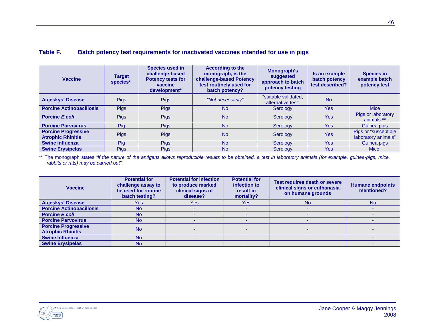### **Table F. Batch potency test requirements for inactivated vaccines intended for use in pigs**

| <b>Vaccine</b>                                         | <b>Target</b><br>species* | <b>Species used in</b><br>challenge-based<br><b>Potency tests for</b><br>vaccine<br>development* | <b>According to the</b><br>monograph, is the<br>challenge-based Potency<br>test routinely used for<br>batch potency? | Monograph's<br>suggested<br>approach to batch<br>potency testing | Is an example<br>batch potency<br>test described? | <b>Species in</b><br>example batch<br>potency test |
|--------------------------------------------------------|---------------------------|--------------------------------------------------------------------------------------------------|----------------------------------------------------------------------------------------------------------------------|------------------------------------------------------------------|---------------------------------------------------|----------------------------------------------------|
| <b>Aujeskys' Disease</b>                               | <b>Pigs</b>               | <b>Pigs</b>                                                                                      | "Not necessarily"                                                                                                    | "suitable validated,<br>alternative test"                        | <b>No</b>                                         |                                                    |
| <b>Porcine Actinobacillosis</b>                        | <b>Pigs</b>               | <b>Pigs</b>                                                                                      | <b>No</b>                                                                                                            | Serology                                                         | <b>Yes</b>                                        | <b>Mice</b>                                        |
| <b>Porcine E.coli</b>                                  | <b>Pigs</b>               | <b>Pigs</b>                                                                                      | <b>No</b>                                                                                                            | Serology                                                         | Yes                                               | Pigs or laboratory<br>animals **                   |
| <b>Porcine Parvovirus</b>                              | Pig                       | <b>Pigs</b>                                                                                      | <b>No</b>                                                                                                            | Serology                                                         | <b>Yes</b>                                        | Guinea pigs                                        |
| <b>Porcine Progressive</b><br><b>Atrophic Rhinitis</b> | <b>Pigs</b>               | <b>Pigs</b>                                                                                      | <b>No</b>                                                                                                            | Serology                                                         | Yes                                               | Pigs or "susceptible<br>laboratory animals"        |
| <b>Swine Influenza</b>                                 | Pig                       | <b>Pigs</b>                                                                                      | <b>No</b>                                                                                                            | Serology                                                         | Yes                                               | Guinea pigs                                        |
| <b>Swine Erysipelas</b>                                | <b>Pigs</b>               | <b>Pigs</b>                                                                                      | <b>No</b>                                                                                                            | Serology                                                         | Yes                                               | <b>Mice</b>                                        |

\*\* The monograph states *"if the nature of the antigens allows reproducible results to be obtained, a test in laboratory animals (for example, guinea-pigs, mice, rabbits or rats) may be carried out"*.

| <b>Vaccine</b>                                         | <b>Potential for</b><br>challenge assay to<br>be used for routine<br>batch testing? | <b>Potential for infection</b><br>to produce marked<br>clinical signs of<br>disease? | <b>Potential for</b><br>infection to<br>result in<br>mortality? | Test requires death or severe<br>clinical signs or euthanasia<br>on humane grounds | <b>Humane endpoints</b><br>mentioned? |
|--------------------------------------------------------|-------------------------------------------------------------------------------------|--------------------------------------------------------------------------------------|-----------------------------------------------------------------|------------------------------------------------------------------------------------|---------------------------------------|
| <b>Aujeskys' Disease</b>                               | <b>Yes</b>                                                                          | Yes                                                                                  | <b>Yes</b>                                                      | <b>No</b>                                                                          | <b>No</b>                             |
| <b>Porcine Actinobacillosis</b>                        | <b>No</b>                                                                           |                                                                                      |                                                                 |                                                                                    |                                       |
| <b>Porcine E.coli</b>                                  | <b>No</b>                                                                           |                                                                                      |                                                                 |                                                                                    |                                       |
| <b>Porcine Parvovirus</b>                              | <b>No</b>                                                                           |                                                                                      |                                                                 |                                                                                    |                                       |
| <b>Porcine Progressive</b><br><b>Atrophic Rhinitis</b> | <b>No</b>                                                                           |                                                                                      |                                                                 |                                                                                    |                                       |
| <b>Swine Influenza</b>                                 | <b>No</b>                                                                           |                                                                                      |                                                                 |                                                                                    |                                       |
| <b>Swine Erysipelas</b>                                | <b>No</b>                                                                           |                                                                                      |                                                                 |                                                                                    |                                       |

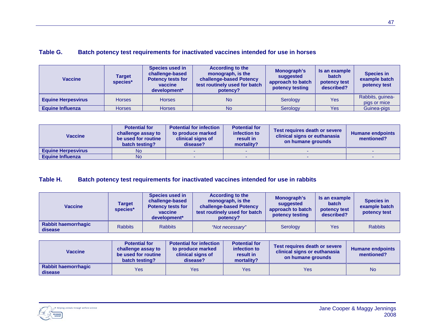| <b>Table G.</b> |  | Batch potency test requirements for inactivated vaccines intended for use in horses |
|-----------------|--|-------------------------------------------------------------------------------------|
|                 |  |                                                                                     |

| <b>Vaccine</b>            | Target<br>species* | Species used in<br>challenge-based<br><b>Potency tests for</b><br>vaccine<br>development* | <b>According to the</b><br>monograph, is the<br>challenge-based Potency<br>test routinely used for batch<br>potency? | Monograph's<br>suggested<br>approach to batch<br>potency testing | Is an example<br><b>batch</b><br>potency test<br>described? | <b>Species in</b><br>example batch<br>potency test |
|---------------------------|--------------------|-------------------------------------------------------------------------------------------|----------------------------------------------------------------------------------------------------------------------|------------------------------------------------------------------|-------------------------------------------------------------|----------------------------------------------------|
| <b>Equine Herpesvirus</b> | <b>Horses</b>      | <b>Horses</b>                                                                             | <b>No</b>                                                                                                            | Serology                                                         | Yes                                                         | Rabbits, guinea-<br>pigs or mice                   |
| <b>Equine Influenza</b>   | <b>Horses</b>      | <b>Horses</b>                                                                             | <b>No</b>                                                                                                            | Serology                                                         | <b>Yes</b>                                                  | Guinea-pigs                                        |

| <b>Vaccine</b>            | <b>Potential for</b><br>challenge assay to<br>be used for routine<br>batch testing? | <b>Potential for infection</b><br>to produce marked<br>clinical signs of<br>disease? | <b>Potential for</b><br>infection to<br>result in<br>mortality? | Test requires death or severe<br>clinical signs or euthanasia<br>on humane grounds | <b>Humane endpoints</b><br>mentioned? |
|---------------------------|-------------------------------------------------------------------------------------|--------------------------------------------------------------------------------------|-----------------------------------------------------------------|------------------------------------------------------------------------------------|---------------------------------------|
| <b>Equine Herpesvirus</b> | <b>No</b>                                                                           |                                                                                      |                                                                 |                                                                                    |                                       |
| <b>Equine Influenza</b>   | <b>No</b>                                                                           |                                                                                      |                                                                 |                                                                                    |                                       |

### **Table H. Batch potency test requirements for inactivated vaccines intended for use in rabbits**

| <b>Vaccine</b>                        | Target<br>species* | <b>Species used in</b><br>challenge-based<br><b>Potency tests for</b><br>vaccine<br>development* | <b>According to the</b><br>monograph, is the<br>challenge-based Potency<br>test routinely used for batch<br>potency? | Monograph's<br>suggested<br>approach to batch<br>potency testing | Is an example<br><b>batch</b><br>potency test<br>described? | <b>Species in</b><br>example batch<br>potency test |
|---------------------------------------|--------------------|--------------------------------------------------------------------------------------------------|----------------------------------------------------------------------------------------------------------------------|------------------------------------------------------------------|-------------------------------------------------------------|----------------------------------------------------|
| <b>Rabbit haemorrhagic</b><br>disease | <b>Rabbits</b>     | <b>Rabbits</b>                                                                                   | "Not necessary"                                                                                                      | Serology                                                         | Yes                                                         | <b>Rabbits</b>                                     |

| <b>Vaccine</b>                        | <b>Potential for</b><br>challenge assay to<br>be used for routine<br>batch testing? | <b>Potential for infection</b><br>to produce marked<br>clinical signs of<br>disease? | <b>Potential for</b><br>infection to<br>result in<br>mortality? | Test requires death or severe<br>clinical signs or euthanasia<br>on humane grounds | <b>Humane endpoints</b><br>mentioned? |
|---------------------------------------|-------------------------------------------------------------------------------------|--------------------------------------------------------------------------------------|-----------------------------------------------------------------|------------------------------------------------------------------------------------|---------------------------------------|
| <b>Rabbit haemorrhagic</b><br>disease | Yes                                                                                 | Yes                                                                                  | Yes                                                             | Yes                                                                                | <b>No</b>                             |

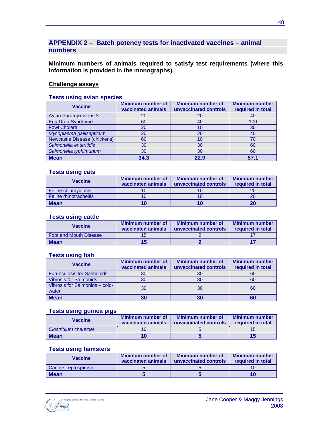### **APPENDIX 2 – Batch potency tests for inactivated vaccines – animal numbers**

**Minimum numbers of animals required to satisfy test requirements (where this information is provided in the monographs).**

### **Challenge assays**

#### **Tests using avian species**

| <b>Vaccine</b>               | <b>Minimum number of</b><br>vaccinated animals | <b>Minimum number of</b><br>unvaccinated controls | <b>Minimum number</b><br>required in total |
|------------------------------|------------------------------------------------|---------------------------------------------------|--------------------------------------------|
| <b>Avian Paramyxovirus 3</b> | 20                                             | 20                                                | 40                                         |
| <b>Egg Drop Syndrome</b>     | 60                                             | 40                                                | 100                                        |
| <b>Fowl Cholera</b>          | 20                                             | 10                                                | 30                                         |
| Mycoplasma gallisepticum     | 20                                             | 20                                                | 40                                         |
| Newcastle Disease (chickens) | 60                                             | 10                                                | 70                                         |
| Salmonella enteritidis       | 30                                             | 30                                                | 60                                         |
| Salmonella typhimurium       | 30                                             | 30                                                | 60                                         |
| <b>Mean</b>                  | 34.3                                           | 22.9                                              | 57.1                                       |

#### **Tests using cats**

| Vaccine                | Minimum number of<br>vaccinated animals | Minimum number of<br>unvaccinated controls | <b>Minimum number</b><br>required in total |
|------------------------|-----------------------------------------|--------------------------------------------|--------------------------------------------|
| Feline chlamydiosis    |                                         |                                            |                                            |
| Feline rhinotracheitis |                                         |                                            |                                            |
| Mean                   |                                         | 10                                         |                                            |

#### **Tests using cattle**

| Vaccine                       | Minimum number of<br>vaccinated animals | Minimum number of<br>unvaccinated controls | <b>Minimum number</b><br>required in total |
|-------------------------------|-----------------------------------------|--------------------------------------------|--------------------------------------------|
| <b>Foot and Mouth Disease</b> |                                         |                                            |                                            |
| <b>Mean</b>                   |                                         |                                            |                                            |

#### **Tests using fish**

| <b>Vaccine</b>                          | Minimum number of<br>vaccinated animals | <b>Minimum number of</b><br>unvaccinated controls | <b>Minimum number</b><br>required in total |
|-----------------------------------------|-----------------------------------------|---------------------------------------------------|--------------------------------------------|
| <b>Furunculosis for Salmonids</b>       |                                         | 30                                                | 60                                         |
| <b>Vibrosis for Salmonids</b>           |                                         | 30                                                | 60                                         |
| Vibrosis for Salmonids - cold-<br>water | 30                                      | 30                                                | 60                                         |
| <b>Mean</b>                             | 30                                      | 30                                                |                                            |

#### **Tests using guinea pigs**

| Vaccine              | Minimum number of<br>vaccinated animals | Minimum number of<br>unvaccinated controls | <b>Minimum number</b><br>required in total |
|----------------------|-----------------------------------------|--------------------------------------------|--------------------------------------------|
| Clostridium chauvoei |                                         |                                            |                                            |
| <b>Mean</b>          |                                         |                                            |                                            |

### **Tests using hamsters**

| Vaccine              | Minimum number of<br>vaccinated animals | Minimum number of<br>unvaccinated controls | <b>Minimum number</b><br>required in total |
|----------------------|-----------------------------------------|--------------------------------------------|--------------------------------------------|
| Canine Leptospirosis |                                         |                                            |                                            |
| <b>Mean</b>          |                                         |                                            |                                            |

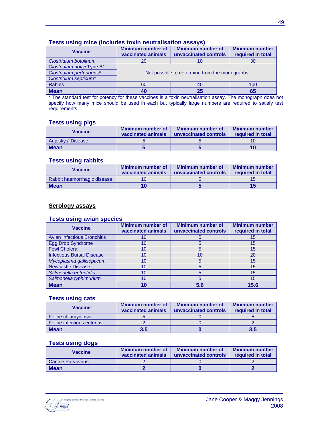| rests using mice (includes toxin neutralisation assays) |                                                                                                     |    |                                            |  |  |  |
|---------------------------------------------------------|-----------------------------------------------------------------------------------------------------|----|--------------------------------------------|--|--|--|
| <b>Vaccine</b>                                          | <b>Minimum number of</b><br><b>Minimum number of</b><br>vaccinated animals<br>unvaccinated controls |    | <b>Minimum number</b><br>required in total |  |  |  |
| Clostridium botulinum                                   | 20<br>30                                                                                            |    |                                            |  |  |  |
| Clostridium novyi Type B*                               |                                                                                                     |    |                                            |  |  |  |
| Clostridium perfringens*                                | Not possible to determine from the monographs                                                       |    |                                            |  |  |  |
| Clostridium septicum*                                   |                                                                                                     |    |                                            |  |  |  |
| <b>Rabies</b>                                           | 60<br>100<br>40                                                                                     |    |                                            |  |  |  |
| <b>Mean</b>                                             | 40                                                                                                  | 25 | 65                                         |  |  |  |

### **Tests using mice (includes toxin neutralisation assays)**

\* The standard test for potency for these vaccines is a toxin neutralisation assay. The monograph does not specify how many mice should be used in each but typically large numbers are required to satisfy test requirements

#### **Tests using pigs**

| Vaccine           | Minimum number of<br>vaccinated animals | Minimum number of<br>unvaccinated controls | <b>Minimum number</b><br>required in total |
|-------------------|-----------------------------------------|--------------------------------------------|--------------------------------------------|
| Aujeskys' Disease |                                         |                                            |                                            |
| <b>Mean</b>       |                                         |                                            |                                            |

#### **Tests using rabbits**

| Vaccine                     | Minimum number of<br>vaccinated animals | Minimum number of<br>unvaccinated controls | <b>Minimum number</b><br>required in total |
|-----------------------------|-----------------------------------------|--------------------------------------------|--------------------------------------------|
| Rabbit haemorrhagic disease |                                         |                                            |                                            |
| <b>Mean</b>                 |                                         |                                            |                                            |

### **Serology assays**

#### **Tests using avian species**

| <b>Vaccine</b>                     | <b>Minimum number of</b><br>vaccinated animals | <b>Minimum number of</b><br>unvaccinated controls | <b>Minimum number</b><br>required in total |
|------------------------------------|------------------------------------------------|---------------------------------------------------|--------------------------------------------|
| <b>Avian Infectious Bronchitis</b> | 10                                             |                                                   | 15                                         |
| <b>Egg Drop Syndrome</b>           | 10                                             |                                                   | 15                                         |
| <b>Fowl Cholera</b>                | 10                                             |                                                   | 15                                         |
| <b>Infectious Bursal Disease</b>   | 10                                             | 10                                                | 20                                         |
| Mycoplasma gallisepticum           | 10                                             |                                                   | 15                                         |
| <b>Newcastle Disease</b>           | 10                                             |                                                   | 15                                         |
| Salmonella enteritidis             | 10                                             |                                                   | 15                                         |
| Salmonella typhimurium             |                                                |                                                   | 15                                         |
| <b>Mean</b>                        |                                                |                                                   |                                            |

#### **Tests using cats**

| Vaccine                     | Minimum number of<br>vaccinated animals | Minimum number of<br>unvaccinated controls | <b>Minimum number</b><br>required in total |
|-----------------------------|-----------------------------------------|--------------------------------------------|--------------------------------------------|
| <b>Feline chlamydiosis</b>  |                                         |                                            |                                            |
| Feline infectious enteritis |                                         |                                            |                                            |
| <b>Mean</b>                 | 3.5                                     |                                            | 3.5                                        |

### **Tests using dogs**

| Vaccine                  | Minimum number of<br>vaccinated animals | Minimum number of<br>unvaccinated controls | Minimum number<br>required in total |
|--------------------------|-----------------------------------------|--------------------------------------------|-------------------------------------|
| <b>Canine Parvovirus</b> |                                         |                                            |                                     |
| <b>Mean</b>              |                                         |                                            |                                     |

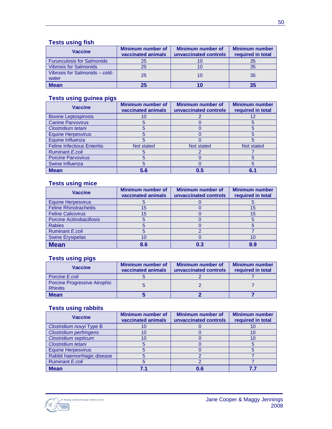### **Tests using fish**

| <b>Vaccine</b>                          | Minimum number of<br>vaccinated animals | <b>Minimum number of</b><br>unvaccinated controls | <b>Minimum number</b><br>required in total |
|-----------------------------------------|-----------------------------------------|---------------------------------------------------|--------------------------------------------|
| <b>Furunculosis for Salmonids</b>       | 25                                      |                                                   | 35                                         |
| <b>Vibrosis for Salmonids</b>           | 25                                      |                                                   | 35                                         |
| Vibrosis for Salmonids - cold-<br>water | 25                                      |                                                   | 35                                         |
| <b>Mean</b>                             |                                         |                                                   |                                            |

### **Tests using guinea pigs**

| <b>Vaccine</b>                     | <b>Minimum number of</b><br>vaccinated animals | <b>Minimum number of</b><br>unvaccinated controls | <b>Minimum number</b><br>required in total |
|------------------------------------|------------------------------------------------|---------------------------------------------------|--------------------------------------------|
| <b>Bovine Leptospirosis</b>        |                                                |                                                   |                                            |
| <b>Canine Parvovirus</b>           |                                                |                                                   |                                            |
| Clostridium tetani                 |                                                |                                                   |                                            |
| <b>Equine Herpesvirus</b>          |                                                |                                                   |                                            |
| Equine Influenza                   | h                                              |                                                   |                                            |
| <b>Feline Infectious Enteritis</b> | Not stated                                     | Not stated                                        | Not stated                                 |
| Ruminant E.coli                    |                                                |                                                   |                                            |
| <b>Porcine Parvovirus</b>          |                                                |                                                   |                                            |
| Swine Influenza                    |                                                |                                                   |                                            |
| <b>Mean</b>                        | 5.6                                            | 0.5                                               |                                            |

### **Tests using mice**

| <b>Vaccine</b>                  | <b>Minimum number of</b><br>vaccinated animals | <b>Minimum number of</b><br>unvaccinated controls | <b>Minimum number</b><br>required in total |
|---------------------------------|------------------------------------------------|---------------------------------------------------|--------------------------------------------|
| <b>Equine Herpesvirus</b>       |                                                |                                                   |                                            |
| <b>Feline Rhinotracheitis</b>   | 15                                             |                                                   | 15                                         |
| <b>Feline Calicivirus</b>       | 15                                             |                                                   | 15                                         |
| <b>Porcine Actinobacillosis</b> |                                                |                                                   |                                            |
| <b>Rabies</b>                   |                                                |                                                   |                                            |
| <b>Ruminant E.coli</b>          |                                                |                                                   |                                            |
| <b>Swine Erysipelas</b>         |                                                |                                                   |                                            |
| <b>Mean</b>                     | 8.6                                            |                                                   | 8.9                                        |

#### **Tests using pigs**

| Vaccine                                         | Minimum number of<br>vaccinated animals | <b>Minimum number of</b><br>unvaccinated controls | <b>Minimum number</b><br>required in total |
|-------------------------------------------------|-----------------------------------------|---------------------------------------------------|--------------------------------------------|
| Porcine E.coli                                  |                                         |                                                   |                                            |
| Porcine Progressive Atrophic<br><b>Rhinitis</b> |                                         |                                                   |                                            |
| <b>Mean</b>                                     |                                         |                                                   |                                            |

### **Tests using rabbits**

| <b>Vaccine</b>                 | <b>Minimum number of</b><br>vaccinated animals | <b>Minimum number of</b><br>unvaccinated controls | <b>Minimum number</b><br>required in total |
|--------------------------------|------------------------------------------------|---------------------------------------------------|--------------------------------------------|
| Clostridium novyi Type B       |                                                |                                                   |                                            |
| <b>Clostridium perfringens</b> |                                                |                                                   |                                            |
| <b>Clostridium septicum</b>    |                                                |                                                   |                                            |
| Clostridium tetani             |                                                |                                                   |                                            |
| <b>Equine Herpesvirus</b>      |                                                |                                                   |                                            |
| Rabbit haemorrhagic disease    |                                                |                                                   |                                            |
| Ruminant E.coli                |                                                |                                                   |                                            |
| <b>Mean</b>                    |                                                | 0.6                                               |                                            |

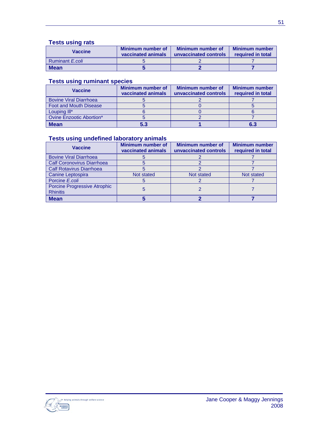### **Tests using rats**

| Vaccine                | Minimum number of<br>vaccinated animals | Minimum number of<br>unvaccinated controls | <b>Minimum number</b><br>required in total |
|------------------------|-----------------------------------------|--------------------------------------------|--------------------------------------------|
| Ruminant <i>E.coli</i> |                                         |                                            |                                            |
| <b>Mean</b>            |                                         |                                            |                                            |

### **Tests using ruminant species**

| <b>Vaccine</b>                | Minimum number of<br>vaccinated animals | Minimum number of<br>unvaccinated controls | <b>Minimum number</b><br>required in total |
|-------------------------------|-----------------------------------------|--------------------------------------------|--------------------------------------------|
| <b>Bovine Viral Diarrhoea</b> |                                         |                                            |                                            |
| <b>Foot and Mouth Disease</b> |                                         |                                            |                                            |
| Louping III*                  |                                         |                                            |                                            |
| Ovine Enzootic Abortion*      |                                         |                                            |                                            |
| <b>Mean</b>                   | 5.3                                     |                                            | 6.3                                        |

### **Tests using undefined laboratory animals**

| <b>Vaccine</b>                                         | <b>Minimum number of</b><br>vaccinated animals | <b>Minimum number of</b><br>unvaccinated controls | <b>Minimum number</b><br>required in total |
|--------------------------------------------------------|------------------------------------------------|---------------------------------------------------|--------------------------------------------|
| <b>Bovine Viral Diarrhoea</b>                          |                                                |                                                   |                                            |
| <b>Calf Coronovirus Diarrhoea</b>                      |                                                |                                                   |                                            |
| <b>Calf Rotavirus Diarrhoea</b>                        |                                                |                                                   |                                            |
| Canine Leptospira                                      | Not stated                                     | Not stated                                        | Not stated                                 |
| Porcine E.coli                                         |                                                |                                                   |                                            |
| <b>Porcine Progressive Atrophic</b><br><b>Rhinitis</b> |                                                |                                                   |                                            |
| <b>Mean</b>                                            |                                                |                                                   |                                            |

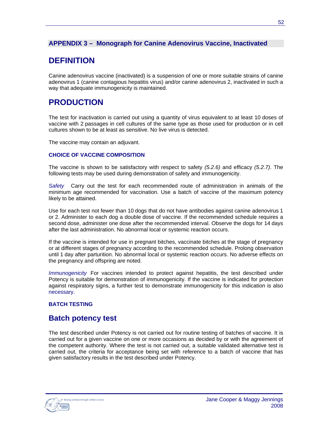### **APPENDIX 3 – Monograph for Canine Adenovirus Vaccine, Inactivated**

## **DEFINITION**

Canine adenovirus vaccine (inactivated) is a suspension of one or more suitable strains of canine adenovirus 1 (canine contagious hepatitis virus) and/or canine adenovirus 2, inactivated in such a way that adequate immunogenicity is maintained.

## **PRODUCTION**

The test for inactivation is carried out using a quantity of virus equivalent to at least 10 doses of vaccine with 2 passages in cell cultures of the same type as those used for production or in cell cultures shown to be at least as sensitive. No live virus is detected.

The vaccine may contain an adjuvant.

#### **CHOICE OF VACCINE COMPOSITION**

The vaccine is shown to be satisfactory with respect to safety *(5.2.6)* and efficacy *(5.2.7)*. The following tests may be used during demonstration of safety and immunogenicity.

*Safety* Carry out the test for each recommended route of administration in animals of the minimum age recommended for vaccination. Use a batch of vaccine of the maximum potency likely to be attained.

Use for each test not fewer than 10 dogs that do not have antibodies against canine adenovirus 1 or 2. Administer to each dog a double dose of vaccine. If the recommended schedule requires a second dose, administer one dose after the recommended interval. Observe the dogs for 14 days after the last administration. No abnormal local or systemic reaction occurs.

If the vaccine is intended for use in pregnant bitches, vaccinate bitches at the stage of pregnancy or at different stages of pregnancy according to the recommended schedule. Prolong observation until 1 day after parturition. No abnormal local or systemic reaction occurs. No adverse effects on the pregnancy and offspring are noted.

*Immunogenicity* For vaccines intended to protect against hepatitis, the test described under Potency is suitable for demonstration of immunogenicity. If the vaccine is indicated for protection against respiratory signs, a further test to demonstrate immunogenicity for this indication is also necessary.

#### **BATCH TESTING**

### **Batch potency test**

The test described under Potency is not carried out for routine testing of batches of vaccine. It is carried out for a given vaccine on one or more occasions as decided by or with the agreement of the competent authority. Where the test is not carried out, a suitable validated alternative test is carried out, the criteria for acceptance being set with reference to a batch of vaccine that has given satisfactory results in the test described under Potency.

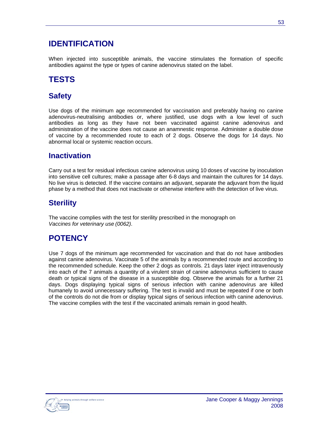## **IDENTIFICATION**

When injected into susceptible animals, the vaccine stimulates the formation of specific antibodies against the type or types of canine adenovirus stated on the label.

## **TESTS**

## **Safety**

Use dogs of the minimum age recommended for vaccination and preferably having no canine adenovirus-neutralising antibodies or, where justified, use dogs with a low level of such antibodies as long as they have not been vaccinated against canine adenovirus and administration of the vaccine does not cause an anamnestic response. Administer a double dose of vaccine by a recommended route to each of 2 dogs. Observe the dogs for 14 days. No abnormal local or systemic reaction occurs.

## **Inactivation**

Carry out a test for residual infectious canine adenovirus using 10 doses of vaccine by inoculation into sensitive cell cultures; make a passage after 6-8 days and maintain the cultures for 14 days. No live virus is detected. If the vaccine contains an adjuvant, separate the adjuvant from the liquid phase by a method that does not inactivate or otherwise interfere with the detection of live virus.

## **Sterility**

The vaccine complies with the test for sterility prescribed in the monograph on *Vaccines for veterinary use (0062)*.

## **POTENCY**

Use 7 dogs of the minimum age recommended for vaccination and that do not have antibodies against canine adenovirus. Vaccinate 5 of the animals by a recommended route and according to the recommended schedule. Keep the other 2 dogs as controls. 21 days later inject intravenously into each of the 7 animals a quantity of a virulent strain of canine adenovirus sufficient to cause death or typical signs of the disease in a susceptible dog. Observe the animals for a further 21 days. Dogs displaying typical signs of serious infection with canine adenovirus are killed humanely to avoid unnecessary suffering. The test is invalid and must be repeated if one or both of the controls do not die from or display typical signs of serious infection with canine adenovirus. The vaccine complies with the test if the vaccinated animals remain in good health.

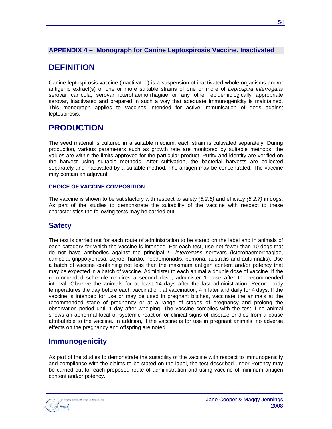### **APPENDIX 4 – Monograph for Canine Leptospirosis Vaccine, Inactivated**

## **DEFINITION**

Canine leptospirosis vaccine (inactivated) is a suspension of inactivated whole organisms and/or antigenic extract(s) of one or more suitable strains of one or more of *Leptospira interrogans* serovar canicola, serovar icterohaemorrhagiae or any other epidemiologically appropriate serovar, inactivated and prepared in such a way that adequate immunogenicity is maintained. This monograph applies to vaccines intended for active immunisation of dogs against leptospirosis.

## **PRODUCTION**

The seed material is cultured in a suitable medium; each strain is cultivated separately. During production, various parameters such as growth rate are monitored by suitable methods; the values are within the limits approved for the particular product. Purity and identity are verified on the harvest using suitable methods. After cultivation, the bacterial harvests are collected separately and inactivated by a suitable method. The antigen may be concentrated. The vaccine may contain an adjuvant.

#### **CHOICE OF VACCINE COMPOSITION**

The vaccine is shown to be satisfactory with respect to safety *(5.2.6)* and efficacy *(5.2.7)* in dogs. As part of the studies to demonstrate the suitability of the vaccine with respect to these characteristics the following tests may be carried out.

## **Safety**

The test is carried out for each route of administration to be stated on the label and in animals of each category for which the vaccine is intended. For each test, use not fewer than 10 dogs that do not have antibodies against the principal *L. interrogans* serovars (icterohaemorrhagiae, canicola, grippotyphosa, sejroe, hardjo, hebdomonadis, pomona, australis and autumnalis). Use a batch of vaccine containing not less than the maximum antigen content and/or potency that may be expected in a batch of vaccine. Administer to each animal a double dose of vaccine. If the recommended schedule requires a second dose, administer 1 dose after the recommended interval. Observe the animals for at least 14 days after the last administration. Record body temperatures the day before each vaccination, at vaccination, 4 h later and daily for 4 days. If the vaccine is intended for use or may be used in pregnant bitches, vaccinate the animals at the recommended stage of pregnancy or at a range of stages of pregnancy and prolong the observation period until 1 day after whelping. The vaccine complies with the test if no animal shows an abnormal local or systemic reaction or clinical signs of disease or dies from a cause attributable to the vaccine. In addition, if the vaccine is for use in pregnant animals, no adverse effects on the pregnancy and offspring are noted.

### **Immunogenicity**

As part of the studies to demonstrate the suitability of the vaccine with respect to immunogenicity and compliance with the claims to be stated on the label, the test described under Potency may be carried out for each proposed route of administration and using vaccine of minimum antigen content and/or potency.

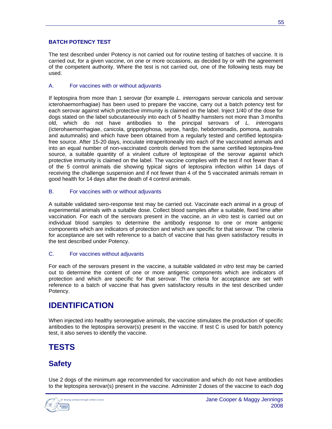#### **BATCH POTENCY TEST**

The test described under Potency is not carried out for routine testing of batches of vaccine. It is carried out, for a given vaccine, on one or more occasions, as decided by or with the agreement of the competent authority. Where the test is not carried out, one of the following tests may be used.

#### A. For vaccines with or without adjuvants

If leptospira from more than 1 serovar (for example *L. interrogans* serovar canicola and serovar icterohaemorrhagiae) has been used to prepare the vaccine, carry out a batch potency test for each serovar against which protective immunity is claimed on the label. Inject 1/40 of the dose for dogs stated on the label subcutaneously into each of 5 healthy hamsters not more than 3 months old, which do not have antibodies to the principal serovars of *L. interrogans* (icterohaemorrhagiae, canicola, grippotyphosa, sejroe, hardjo, hebdomonadis, pomona, australis and autumnalis) and which have been obtained from a regularly tested and certified leptospirafree source. After 15-20 days, inoculate intraperitoneally into each of the vaccinated animals and into an equal number of non-vaccinated controls derived from the same certified leptospira-free source, a suitable quantity of a virulent culture of leptospirae of the serovar against which protective immunity is claimed on the label. The vaccine complies with the test if not fewer than 4 of the 5 control animals die showing typical signs of leptospira infection within 14 days of receiving the challenge suspension and if not fewer than 4 of the 5 vaccinated animals remain in good health for 14 days after the death of 4 control animals.

#### B. For vaccines with or without adjuvants

A suitable validated sero-response test may be carried out. Vaccinate each animal in a group of experimental animals with a suitable dose. Collect blood samples after a suitable, fixed time after vaccination. For each of the serovars present in the vaccine, an *in vitro* test is carried out on individual blood samples to determine the antibody response to one or more antigenic components which are indicators of protection and which are specific for that serovar. The criteria for acceptance are set with reference to a batch of vaccine that has given satisfactory results in the test described under Potency.

#### C. For vaccines without adjuvants

For each of the serovars present in the vaccine, a suitable validated *in vitro* test may be carried out to determine the content of one or more antigenic components which are indicators of protection and which are specific for that serovar. The criteria for acceptance are set with reference to a batch of vaccine that has given satisfactory results in the test described under Potency.

### **IDENTIFICATION**

When injected into healthy seronegative animals, the vaccine stimulates the production of specific antibodies to the leptospira serovar(s) present in the vaccine. If test C is used for batch potency test, it also serves to identify the vaccine.

## **TESTS**

## **Safety**

Use 2 dogs of the minimum age recommended for vaccination and which do not have antibodies to the leptospira serovar(s) present in the vaccine. Administer 2 doses of the vaccine to each dog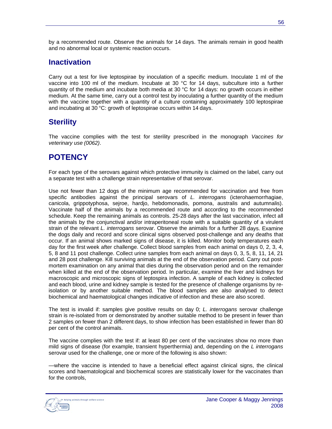by a recommended route. Observe the animals for 14 days. The animals remain in good health and no abnormal local or systemic reaction occurs.

## **Inactivation**

Carry out a test for live leptospirae by inoculation of a specific medium. Inoculate 1 ml of the vaccine into 100 ml of the medium. Incubate at 30 °C for 14 days, subculture into a further quantity of the medium and incubate both media at 30 °C for 14 days: no growth occurs in either medium. At the same time, carry out a control test by inoculating a further quantity of the medium with the vaccine together with a quantity of a culture containing approximately 100 leptospirae and incubating at 30 °C: growth of leptospirae occurs within 14 days.

## **Sterility**

The vaccine complies with the test for sterility prescribed in the monograph *Vaccines for veterinary use (0062)*.

## **POTENCY**

For each type of the serovars against which protective immunity is claimed on the label, carry out a separate test with a challenge strain representative of that serovar.

Use not fewer than 12 dogs of the minimum age recommended for vaccination and free from specific antibodies against the principal serovars of *L. interrogans* (icterohaemorrhagiae, canicola, grippotyphosa, sejroe, hardjo, hebdomonadis, pomona, australis and autumnalis). Vaccinate half of the animals by a recommended route and according to the recommended schedule. Keep the remaining animals as controls. 25-28 days after the last vaccination, infect all the animals by the conjunctival and/or intraperitoneal route with a suitable quantity of a virulent strain of the relevant *L. interrogans* serovar. Observe the animals for a further 28 days. Examine the dogs daily and record and score clinical signs observed post-challenge and any deaths that occur. If an animal shows marked signs of disease, it is killed. Monitor body temperatures each day for the first week after challenge. Collect blood samples from each animal on days 0, 2, 3, 4, 5, 8 and 11 post challenge. Collect urine samples from each animal on days 0, 3, 5, 8, 11, 14, 21 and 28 post challenge. Kill surviving animals at the end of the observation period. Carry out postmortem examination on any animal that dies during the observation period and on the remainder when killed at the end of the observation period. In particular, examine the liver and kidneys for macroscopic and microscopic signs of leptospira infection. A sample of each kidney is collected and each blood, urine and kidney sample is tested for the presence of challenge organisms by reisolation or by another suitable method. The blood samples are also analysed to detect biochemical and haematological changes indicative of infection and these are also scored.

The test is invalid if: samples give positive results on day 0; *L. interrogans* serovar challenge strain is re-isolated from or demonstrated by another suitable method to be present in fewer than 2 samples on fewer than 2 different days, to show infection has been established in fewer than 80 per cent of the control animals.

The vaccine complies with the test if: at least 80 per cent of the vaccinates show no more than mild signs of disease (for example, transient hyperthermia) and, depending on the *L interrogans* serovar used for the challenge, one or more of the following is also shown:

—where the vaccine is intended to have a beneficial effect against clinical signs, the clinical scores and haematological and biochemical scores are statistically lower for the vaccinates than for the controls,

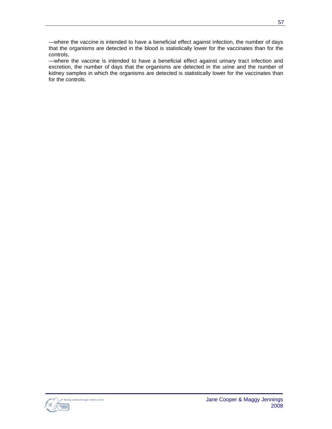—where the vaccine is intended to have a beneficial effect against infection, the number of days that the organisms are detected in the blood is statistically lower for the vaccinates than for the controls,

—where the vaccine is intended to have a beneficial effect against urinary tract infection and excretion, the number of days that the organisms are detected in the urine and the number of kidney samples in which the organisms are detected is statistically lower for the vaccinates than for the controls.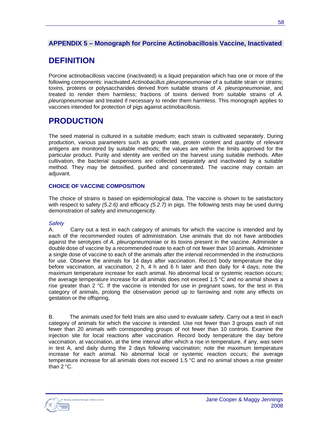### **APPENDIX 5 – Monograph for Porcine Actinobacillosis Vaccine, Inactivated**

## **DEFINITION**

Porcine actinobacillosis vaccine (inactivated) is a liquid preparation which has one or more of the following components: inactivated *Actinobacillus pleuropneumoniae* of a suitable strain or strains; toxins, proteins or polysaccharides derived from suitable strains of *A. pleuropneumoniae*, and treated to render them harmless; fractions of toxins derived from suitable strains of *A. pleuropneumoniae* and treated if necessary to render them harmless. This monograph applies to vaccines intended for protection of pigs against actinobacillosis.

## **PRODUCTION**

The seed material is cultured in a suitable medium; each strain is cultivated separately. During production, various parameters such as growth rate, protein content and quantity of relevant antigens are monitored by suitable methods; the values are within the limits approved for the particular product. Purity and identity are verified on the harvest using suitable methods. After cultivation, the bacterial suspensions are collected separately and inactivated by a suitable method. They may be detoxified, purified and concentrated. The vaccine may contain an adjuvant.

#### **CHOICE OF VACCINE COMPOSITION**

The choice of strains is based on epidemiological data. The vaccine is shown to be satisfactory with respect to safety *(5.2.6)* and efficacy *(5.2.7)* in pigs. The following tests may be used during demonstration of safety and immunogenicity.

#### *Safety*

A. Carry out a test in each category of animals for which the vaccine is intended and by each of the recommended routes of administration. Use animals that do not have antibodies against the serotypes of *A. pleuropneumoniae* or its toxins present in the vaccine. Administer a double dose of vaccine by a recommended route to each of not fewer than 10 animals. Administer a single dose of vaccine to each of the animals after the interval recommended in the instructions for use. Observe the animals for 14 days after vaccination. Record body temperature the day before vaccination, at vaccination, 2 h, 4 h and 6 h later and then daily for 4 days; note the maximum temperature increase for each animal. No abnormal local or systemic reaction occurs; the average temperature increase for all animals does not exceed 1.5  $\degree$ C and no animal shows a rise greater than 2 °C. If the vaccine is intended for use in pregnant sows, for the test in this category of animals, prolong the observation period up to farrowing and note any effects on gestation or the offspring.

B. The animals used for field trials are also used to evaluate safety. Carry out a test in each category of animals for which the vaccine is intended. Use not fewer than 3 groups each of not fewer than 20 animals with corresponding groups of not fewer than 10 controls. Examine the injection site for local reactions after vaccination. Record body temperature the day before vaccination, at vaccination, at the time interval after which a rise in temperature, if any, was seen in test A, and daily during the 2 days following vaccination; note the maximum temperature increase for each animal. No abnormal local or systemic reaction occurs; the average temperature increase for all animals does not exceed 1.5 °C and no animal shows a rise greater than 2 °C.

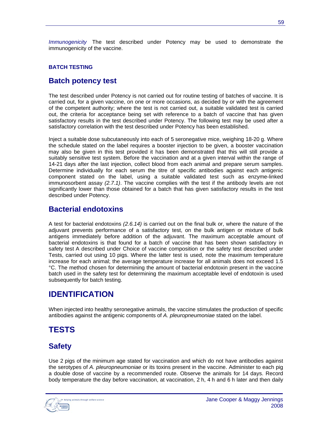*Immunogenicity* The test described under Potency may be used to demonstrate the immunogenicity of the vaccine.

#### **BATCH TESTING**

### **Batch potency test**

The test described under Potency is not carried out for routine testing of batches of vaccine. It is carried out, for a given vaccine, on one or more occasions, as decided by or with the agreement of the competent authority; where the test is not carried out, a suitable validated test is carried out, the criteria for acceptance being set with reference to a batch of vaccine that has given satisfactory results in the test described under Potency. The following test may be used after a satisfactory correlation with the test described under Potency has been established.

Inject a suitable dose subcutaneously into each of 5 seronegative mice, weighing 18-20 g. Where the schedule stated on the label requires a booster injection to be given, a booster vaccination may also be given in this test provided it has been demonstrated that this will still provide a suitably sensitive test system. Before the vaccination and at a given interval within the range of 14-21 days after the last injection, collect blood from each animal and prepare serum samples. Determine individually for each serum the titre of specific antibodies against each antigenic component stated on the label, using a suitable validated test such as enzyme-linked immunosorbent assay *(2.7.1)*. The vaccine complies with the test if the antibody levels are not significantly lower than those obtained for a batch that has given satisfactory results in the test described under Potency.

### **Bacterial endotoxins**

A test for bacterial endotoxins *(2.6.14)* is carried out on the final bulk or, where the nature of the adjuvant prevents performance of a satisfactory test, on the bulk antigen or mixture of bulk antigens immediately before addition of the adjuvant. The maximum acceptable amount of bacterial endotoxins is that found for a batch of vaccine that has been shown satisfactory in safety test A described under Choice of vaccine composition or the safety test described under Tests, carried out using 10 pigs. Where the latter test is used, note the maximum temperature increase for each animal; the average temperature increase for all animals does not exceed 1.5 °C. The method chosen for determining the amount of bacterial endotoxin present in the vaccine batch used in the safety test for determining the maximum acceptable level of endotoxin is used subsequently for batch testing.

## **IDENTIFICATION**

When injected into healthy seronegative animals, the vaccine stimulates the production of specific antibodies against the antigenic components of *A. pleuropneumoniae* stated on the label.

## **TESTS**

### **Safety**

Use 2 pigs of the minimum age stated for vaccination and which do not have antibodies against the serotypes of *A. pleuropneumoniae* or its toxins present in the vaccine. Administer to each pig a double dose of vaccine by a recommended route. Observe the animals for 14 days. Record body temperature the day before vaccination, at vaccination, 2 h, 4 h and 6 h later and then daily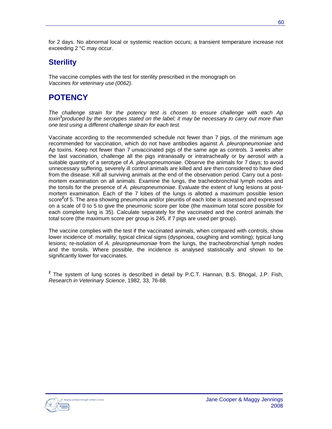for 2 days. No abnormal local or systemic reaction occurs; a transient temperature increase not exceeding 2 °C may occur.

## **Sterility**

The vaccine complies with the test for sterility prescribed in the monograph on *Vaccines for veterinary use (0062)*.

## **POTENCY**

*The challenge strain for the potency test is chosen to ensure challenge with each Ap toxin***<sup>1</sup>** *produced by the serotypes stated on the label; it may be necessary to carry out more than one test using a different challenge strain for each test.*

Vaccinate according to the recommended schedule not fewer than 7 pigs, of the minimum age recommended for vaccination, which do not have antibodies against *A. pleuropneumoniae* and Ap toxins. Keep not fewer than 7 unvaccinated pigs of the same age as controls. 3 weeks after the last vaccination, challenge all the pigs intranasally or intratracheally or by aerosol with a suitable quantity of a serotype of *A. pleuropneumoniae*. Observe the animals for 7 days; to avoid unnecessary suffering, severely ill control animals are killed and are then considered to have died from the disease. Kill all surviving animals at the end of the observation period. Carry out a postmortem examination on all animals. Examine the lungs, the tracheobronchial lymph nodes and the tonsils for the presence of *A. pleuropneumoniae*. Evaluate the extent of lung lesions at postmortem examination. Each of the 7 lobes of the lungs is allotted a maximum possible lesion score<sup>2</sup>of 5. The area showing pneumonia and/or pleuritis of each lobe is assessed and expressed on a scale of 0 to 5 to give the pneumonic score per lobe (the maximum total score possible for each complete lung is 35). Calculate separately for the vaccinated and the control animals the total score (the maximum score per group is 245, if 7 pigs are used per group).

The vaccine complies with the test if the vaccinated animals, when compared with controls, show lower incidence of: mortality; typical clinical signs (dyspnoea, coughing and vomiting); typical lung lesions; re-isolation of *A. pleuropneumoniae* from the lungs, the tracheobronchial lymph nodes and the tonsils. Where possible, the incidence is analysed statistically and shown to be significantly lower for vaccinates.

**2** The system of lung scores is described in detail by P.C.T. Hannan, B.S. Bhogal, J.P. Fish, *Research in Veterinary Science*, 1982, 33, 76-88.

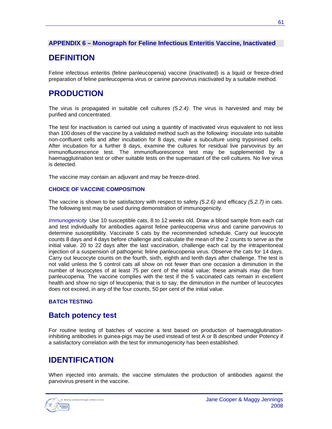### **APPENDIX 6 – Monograph for Feline Infectious Enteritis Vaccine, Inactivated**

## **DEFINITION**

Feline infectious enteritis (feline panleucopenia) vaccine (inactivated) is a liquid or freeze-dried preparation of feline panleucopenia virus or canine parvovirus inactivated by a suitable method.

## **PRODUCTION**

The virus is propagated in suitable cell cultures *(5.2.4)*. The virus is harvested and may be purified and concentrated.

The test for inactivation is carried out using a quantity of inactivated virus equivalent to not less than 100 doses of the vaccine by a validated method such as the following: inoculate into suitable non-confluent cells and after incubation for 8 days, make a subculture using trypsinised cells. After incubation for a further 8 days, examine the cultures for residual live parvovirus by an immunofluorescence test. The immunofluorescence test may be supplemented by a haemagglutination test or other suitable tests on the supernatant of the cell cultures. No live virus is detected.

The vaccine may contain an adjuvant and may be freeze-dried.

#### **CHOICE OF VACCINE COMPOSITION**

The vaccine is shown to be satisfactory with respect to safety *(5.2.6)* and efficacy *(5.2.7)* in cats. The following test may be used during demonstration of immunogenicity.

*Immunogenicity* Use 10 susceptible cats, 8 to 12 weeks old. Draw a blood sample from each cat and test individually for antibodies against feline panleucopenia virus and canine parvovirus to determine susceptibility. Vaccinate 5 cats by the recommended schedule. Carry out leucocyte counts 8 days and 4 days before challenge and calculate the mean of the 2 counts to serve as the initial value. 20 to 22 days after the last vaccination, challenge each cat by the intraperitoneal injection of a suspension of pathogenic feline panleucopenia virus. Observe the cats for 14 days. Carry out leucocyte counts on the fourth, sixth, eighth and tenth days after challenge. The test is not valid unless the 5 control cats all show on not fewer than one occasion a diminution in the number of leucocytes of at least 75 per cent of the initial value; these animals may die from panleucopenia. The vaccine complies with the test if the 5 vaccinated cats remain in excellent health and show no sign of leucopenia; that is to say, the diminution in the number of leucocytes does not exceed, in any of the four counts, 50 per cent of the initial value.

#### **BATCH TESTING**

### **Batch potency test**

For routine testing of batches of vaccine a test based on production of haemagglutinationinhibiting antibodies in guinea-pigs may be used instead of test A or B described under Potency if a satisfactory correlation with the test for immunogenicity has been established.

## **IDENTIFICATION**

When injected into animals, the vaccine stimulates the production of antibodies against the parvovirus present in the vaccine.

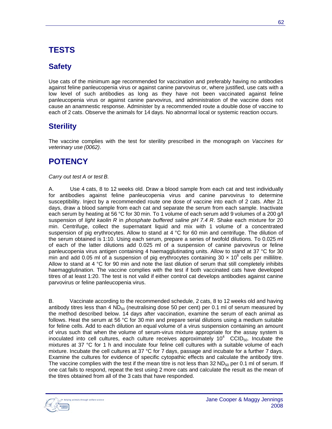# **TESTS**

## **Safety**

Use cats of the minimum age recommended for vaccination and preferably having no antibodies against feline panleucopenia virus or against canine parvovirus or, where justified, use cats with a low level of such antibodies as long as they have not been vaccinated against feline panleucopenia virus or against canine parvovirus, and administration of the vaccine does not cause an anamnestic response. Administer by a recommended route a double dose of vaccine to each of 2 cats. Observe the animals for 14 days. No abnormal local or systemic reaction occurs.

## **Sterility**

The vaccine complies with the test for sterility prescribed in the monograph on *Vaccines for veterinary use (0062)*.

## **POTENCY**

#### *Carry out test A or test B.*

A. Use 4 cats, 8 to 12 weeks old. Draw a blood sample from each cat and test individually for antibodies against feline panleucopenia virus and canine parvovirus to determine susceptibility. Inject by a recommended route one dose of vaccine into each of 2 cats. After 21 days, draw a blood sample from each cat and separate the serum from each sample. Inactivate each serum by heating at 56 °C for 30 min. To 1 volume of each serum add 9 volumes of a 200 g/l suspension of *light kaolin R* in *phosphate buffered saline pH 7.4 R*. Shake each mixture for 20 min. Centrifuge, collect the supernatant liquid and mix with 1 volume of a concentrated suspension of pig erythrocytes. Allow to stand at 4 °C for 60 min and centrifuge. The dilution of the serum obtained is 1:10. Using each serum, prepare a series of twofold dilutions. To 0.025 ml of each of the latter dilutions add 0.025 ml of a suspension of canine parvovirus or feline panleucopenia virus antigen containing 4 haemagglutinating units. Allow to stand at 37 °C for 30 min and add 0.05 ml of a suspension of pig erythrocytes containing 30  $\times$  10<sup>6</sup> cells per millilitre. Allow to stand at 4 °C for 90 min and note the last dilution of serum that still completely inhibits haemagglutination. The vaccine complies with the test if both vaccinated cats have developed titres of at least 1:20. The test is not valid if either control cat develops antibodies against canine parvovirus or feline panleucopenia virus.

B. Vaccinate according to the recommended schedule, 2 cats, 8 to 12 weeks old and having antibody titres less than 4  $ND_{50}$  (neutralising dose 50 per cent) per 0.1 ml of serum measured by the method described below. 14 days after vaccination, examine the serum of each animal as follows. Heat the serum at 56 °C for 30 min and prepare serial dilutions using a medium suitable for feline cells. Add to each dilution an equal volume of a virus suspension containing an amount of virus such that when the volume of serum-virus mixture appropriate for the assay system is inoculated into cell cultures, each culture receives approximately  $10^4$  CCID<sub>50</sub>. Incubate the mixtures at 37 °C for 1 h and inoculate four feline cell cultures with a suitable volume of each mixture. Incubate the cell cultures at 37 °C for 7 days, passage and incubate for a further 7 days. Examine the cultures for evidence of specific cytopathic effects and calculate the antibody titre. The vaccine complies with the test if the mean titre is not less than 32 ND $_{50}$  per 0.1 ml of serum. If one cat fails to respond, repeat the test using 2 more cats and calculate the result as the mean of the titres obtained from all of the 3 cats that have responded.